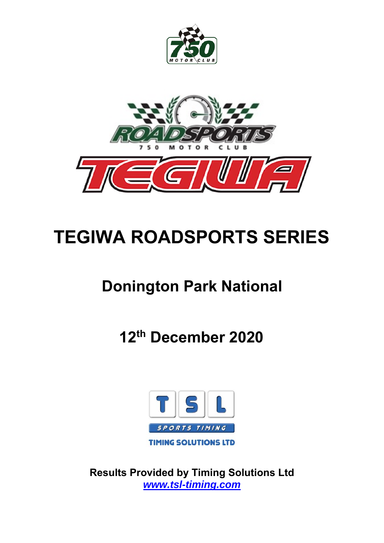



# **TEGIWA ROADSPORTS SERIES**

# **Donington Park National**

**12th December 2020** 



**Results Provided by Timing Solutions Ltd**  *www.tsl-timing.com*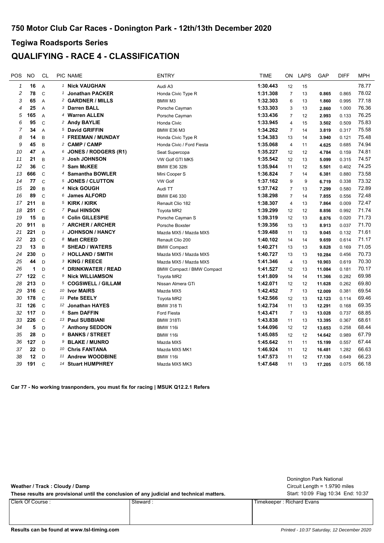### **QUALIFYING - RACE 4 - CLASSIFICATION**

| POS          | <b>NO</b> | CL             | <b>PIC NAME</b>             | <b>ENTRY</b>                     | <b>TIME</b> | <b>ON</b>      | <b>LAPS</b> | GAP    | <b>DIFF</b> | <b>MPH</b> |
|--------------|-----------|----------------|-----------------------------|----------------------------------|-------------|----------------|-------------|--------|-------------|------------|
| $\mathbf{1}$ | 16        | A              | 1 Nick VAUGHAN              | Audi A3                          | 1:30.443    | 12             | 15          |        |             | 78.77      |
| 2            | 78        | $\mathcal{C}$  | <b>Jonathan PACKER</b>      | Honda Civic Type R               | 1:31.308    | $\overline{7}$ | 13          | 0.865  | 0.865       | 78.02      |
| 3            | 65        | $\overline{A}$ | 2 GARDNER / MILLS           | BMW <sub>M3</sub>                | 1:32.303    | 6              | 13          | 1.860  | 0.995       | 77.18      |
| 4            | 25        | $\overline{A}$ | 3 Darren BALL               | Porsche Cayman                   | 1:33.303    | 3              | 13          | 2.860  | 1.000       | 76.36      |
| 5            | 165       | $\overline{A}$ | 4 Warren ALLEN              | Porsche Cayman                   | 1:33.436    | $\overline{7}$ | 12          | 2.993  | 0.133       | 76.25      |
| 6            | 95        | $\mathcal{C}$  | <sup>2</sup> Andy BAYLIE    | Honda Civic                      | 1:33.945    | $\overline{4}$ | 15          | 3.502  | 0.509       | 75.83      |
| 7            | 34        | A              | 5 David GRIFFIN             | <b>BMW E36 M3</b>                | 1:34.262    | $\overline{7}$ | 14          | 3.819  | 0.317       | 75.58      |
| 8            | 14        | B              | 1 FREEMAN / MUNDAY          | Honda Civic Type R               | 1:34.383    | 13             | 14          | 3.940  | 0.121       | 75.48      |
| 9            | 45        | B              | 2 CAMP / CAMP               | Honda Civic / Ford Fiesta        | 1:35.068    | $\overline{4}$ | 11          | 4.625  | 0.685       | 74.94      |
| 10           | 47        | A              | $6$ JONES / RODGERS (R1)    | Seat Supercopa                   | 1:35.227    | 12             | 12          | 4.784  | 0.159       | 74.81      |
| 11           | 21        | B              | <b>3 Josh JOHNSON</b>       | VW Golf GTI MK5                  | 1:35.542    | 12             | 13          | 5.099  | 0.315       | 74.57      |
| 12           | 36        | $\mathsf C$    | 3 Sam McKEE                 | <b>BMW E36 328i</b>              | 1:35.944    | 11             | 12          | 5.501  | 0.402       | 74.25      |
| 13           | 666       | $\mathsf C$    | 4 Samantha BOWLER           | Mini Cooper S                    | 1:36.824    | $\overline{7}$ | 14          | 6.381  | 0.880       | 73.58      |
| 14           | 77        | $\mathsf{C}$   | 5 JONES / CLUTTON           | <b>VW Golf</b>                   | 1:37.162    | 9              | 9           | 6.719  | 0.338       | 73.32      |
| 15           | 20        | B              | 4 Nick GOUGH                | Audi TT                          | 1:37.742    | $\overline{7}$ | 13          | 7.299  | 0.580       | 72.89      |
| 16           | 89        | $\mathcal{C}$  | 6 James ALFORD              | BMW E46 330                      | 1:38.298    | $\overline{7}$ | 14          | 7.855  | 0.556       | 72.48      |
| 17           | 211       | B              | 5 KIRK / KIRK               | Renault Clio 182                 | 1:38.307    | $\overline{4}$ | 13          | 7.864  | 0.009       | 72.47      |
| 18           | 251       | $\mathcal{C}$  | 7 Paul HINSON               | Toyota MR2                       | 1:39.299    | 12             | 12          | 8.856  | 0.992       | 71.74      |
| 19           | 15        | B              | 6 Colin GILLESPIE           | Porsche Cayman S                 | 1:39.319    | 12             | 13          | 8.876  | 0.020       | 71.73      |
| 20           | 911       | B              | 7 ARCHER / ARCHER           | Porsche Boxster                  | 1:39.356    | 13             | 13          | 8.913  | 0.037       | 71.70      |
| 21           | 221       | D              | <b>JOHNSON / HANCY</b><br>1 | Mazda MX5 / Mazda MX5            | 1:39.488    | 11             | 13          | 9.045  | 0.132       | 71.61      |
| 22           | 23        | $\mathsf{C}$   | 8 Matt CREED                | Renault Clio 200                 | 1:40.102    | 14             | 14          | 9.659  | 0.614       | 71.17      |
| 23           | 13        | B              | 8 SHEAD / WATERS            | <b>BMW Compact</b>               | 1:40.271    | 13             | 13          | 9.828  | 0.169       | 71.05      |
| 24           | 230       | D              | 2 HOLLAND / SMITH           | Mazda MX5 / Mazda MX5            | 1:40.727    | 13             | 13          | 10.284 | 0.456       | 70.73      |
| 25           | 44        | D              | 3 KING / REECE              | Mazda MX5 / Mazda MX5            | 1:41.346    | $\overline{4}$ | 13          | 10.903 | 0.619       | 70.30      |
| 26           | 1         | $\mathsf{D}$   | 4 DRINKWATER / READ         | <b>BMW Compact / BMW Compact</b> | 1:41.527    | 12             | 13          | 11.084 | 0.181       | 70.17      |
| 27           | 122       | $\mathcal{C}$  | 9 Nick WILLIAMSON           | Toyota MR2                       | 1:41.809    | 14             | 14          | 11.366 | 0.282       | 69.98      |
| 28           | 213       | D              | 5 COGSWELL / GILLAM         | Nissan Almera GTi                | 1:42.071    | 12             | 12          | 11.628 | 0.262       | 69.80      |
| 29           | 316       | $\mathcal{C}$  | 10 Ivor MAIRS               | Mazda MX5                        | 1:42.452    | $\overline{7}$ | 13          | 12.009 | 0.381       | 69.54      |
| 30           | 178       | $\mathcal{C}$  | 11 Pete SEELY               | Toyota MR2                       | 1:42.566    | 12             | 13          | 12.123 | 0.114       | 69.46      |
| 31           | 126       | $\mathsf{C}$   | 12 Jonathan HAYES           | <b>BMW 318 Ti</b>                | 1:42.734    | 11             | 13          | 12.291 | 0.168       | 69.35      |
| 32           | 117       | $\mathsf{D}$   | 6 Sam DAFFIN                | <b>Ford Fiesta</b>               | 1:43.471    | $\overline{7}$ | 13          | 13.028 | 0.737       | 68.85      |
| 33           | 226       | $\mathsf{C}$   | 13 Paul SUBBIANI            | BMW 318Ti                        | 1:43.838    | 11             | 13          | 13.395 | 0.367       | 68.61      |
| 34           | 5         | D              | <sup>7</sup> Anthony SEDDON | <b>BMW 116i</b>                  | 1:44.096    | 12             | 12          | 13.653 | 0.258       | 68.44      |
| 35           | 28        | D              | 8 BANKS / STREET            | <b>BMW 116i</b>                  | 1:45.085    | 12             | 12          | 14.642 | 0.989       | 67.79      |
| 36           | 127       | D              | 9 BLAKE / MUNRO             | Mazda MX5                        | 1:45.642    | 11             | 11          | 15.199 | 0.557       | 67.44      |
| 37           | 22        | D              | 10 Chris FANTANA            | Mazda MX5 MK1                    | 1:46.924    | 11             | 12          | 16.481 | 1.282       | 66.63      |
| 38           | 12        | D              | 11 Andrew WOODBINE          | <b>BMW 116i</b>                  | 1:47.573    | 11             | 12          | 17.130 | 0.649       | 66.23      |
| 39           | 191       | $\mathcal{C}$  | 14 Stuart HUMPHREY          | Mazda MX5 MK3                    | 1:47.648    | 11             | 13          | 17.205 | 0.075       | 66.18      |
|              |           |                |                             |                                  |             |                |             |        |             |            |

**Car 77 - No working trasnponders, you must fix for racing | MSUK Q12.2.1 Refers**

| Weather / Track: Cloudy / Damp<br>These results are provisional until the conclusion of any judicial and technical matters. |          | Donington Park National<br>Circuit Length = $1.9790$ miles<br>Start: 10:09 Flag 10:34 End: 10:37 |
|-----------------------------------------------------------------------------------------------------------------------------|----------|--------------------------------------------------------------------------------------------------|
| Clerk Of Course :                                                                                                           | Steward: | Timekeeper: Richard Evans                                                                        |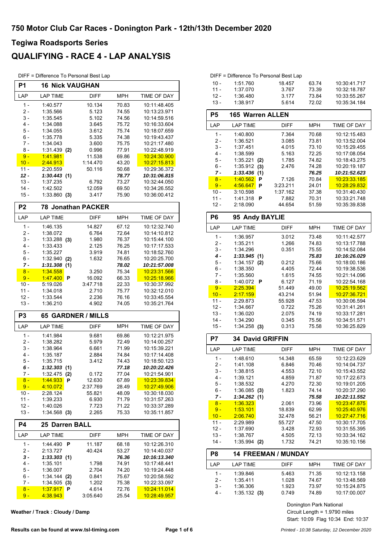### **QUALIFYING - RACE 4 - LAP ANALYSIS**

DIFF = Difference To Personal Best Lap

| P1             | <b>16 Nick VAUGHAN</b>        |                 |                |                              |
|----------------|-------------------------------|-----------------|----------------|------------------------------|
| LAP            | <b>LAP TIME</b>               | DIFF            | <b>MPH</b>     | TIME OF DAY                  |
| $1 -$          | 1:40.577                      | 10.134          | 70.83          | 10:11:48.405                 |
| 2 -            | 1:35.566                      | 5.123           | 74.55          | 10:13:23.971                 |
| $3 -$          | 1:35.545                      | 5.102           | 74.56          | 10:14:59.516                 |
| 4 -            | 1:34.088                      | 3.645           | 75.72          | 10:16:33.604                 |
| 5 -            | 1:34.055                      | 3.612           | 75.74          | 10:18:07.659                 |
| 6 -<br>7 -     | 1:35.778<br>1:34.043          | 5.335<br>3.600  | 74.38<br>75.75 | 10:19:43.437<br>10:21:17.480 |
| 8 -            | 1:31.439<br>(2)               | 0.996           | 77.91          | 10:22:48.919                 |
| $9 -$          | 1:41.981                      | 11.538          | 69.86          | 10:24:30.900                 |
| $10 -$         | 2:44.913                      | 1:14.470        | 43.20          | 10:27:15.813                 |
| $11 -$         | 2:20.559                      | 50.116          | 50.68          | 10:29:36.372                 |
| $12 -$         | 1:30.443(1)                   |                 | 78.77          | 10:31:06.815                 |
| $13 -$         | 1:37.235                      | 6.792           | 73.27          | 10:32:44.050                 |
| 14 -<br>15 -   | 1:42.502<br>1:33.860<br>(3)   | 12.059<br>3.417 | 69.50<br>75.90 | 10:34:26.552<br>10:36:00.412 |
|                |                               |                 |                |                              |
| P <sub>2</sub> | <b>78 Jonathan PACKER</b>     |                 |                |                              |
| LAP            | <b>LAP TIME</b>               | <b>DIFF</b>     | <b>MPH</b>     | TIME OF DAY                  |
| $1 -$          | 1:46.135                      | 14.827          | 67.12          | 10:12:32.740                 |
| 2 -<br>3 -     | 1:38.072<br>$1:33.288$ (3)    | 6.764<br>1.980  | 72.64<br>76.37 | 10:14:10.812<br>10:15:44.100 |
| $4 -$          | 1:33.433                      | 2.125           | 76.25          | 10:17:17.533                 |
| $5 -$          | 1:35.227                      | 3.919           | 74.81          | 10:18:52.760                 |
| 6 -            | 1:32.940<br>(2)               | 1.632           | 76.65          | 10:20:25.700                 |
| 7 -            | 1:31.308<br>(1)               |                 | 78.02          | 10:21:57.008                 |
| $8 -$          | 1:34.558                      | 3.250           | 75.34          | 10:23:31.566                 |
| $9 -$          | 1:47.400<br>P                 | 16.092          | 66.33          | 10:25:18.966                 |
| $10 -$         | 5:19.026                      | 3:47.718        | 22.33          | 10:30:37.992                 |
| 11 -<br>$12 -$ | 1:34.018<br>1:33.544          | 2.710<br>2.236  | 75.77<br>76.16 | 10:32:12.010<br>10:33:45.554 |
| $13 -$         | 1:36.210                      | 4.902           | 74.05          | 10:35:21.764                 |
| P <sub>3</sub> | <b>65 GARDNER / MILLS</b>     |                 |                |                              |
| LAP            | LAP TIME                      | <b>DIFF</b>     | <b>MPH</b>     | TIME OF DAY                  |
| $1 -$          | 1:41.984                      | 9.681           | 69.86          | 10:12:21.975                 |
| $2 -$          | 1:38.282                      | 5.979           | 72.49          | 10:14:00.257                 |
| $3 -$          | 1:38.964                      | 6.661           | 71.99          | 10:15:39.221                 |
| 4 -            | 1:35.187                      | 2.884           | 74.84          | 10:17:14.408                 |
| 5 -            | 1:35.715                      | 3.412           | 74.43          | 10:18:50.123                 |
| 6 -<br>7 -     | 1:32.303(1)<br>$1:32.475$ (2) | 0.172           | 77.18<br>77.04 | 10:20:22.426<br>10:21:54.901 |
| $8 -$          | 1:44.933<br>P                 | 12.630          | 67.89          | 10:23:39.834                 |
| $9 -$          | 4:10.072                      | 2:37.769        | 28.49          | 10:27:49.906                 |
| 10 -           | 2:28.124                      | 55.821          | 48.09          | 10:30:18.030                 |
| $11 -$         | 1:39.233                      | 6.930           | 71.79          | 10:31:57.263                 |
| $12 -$         | 1:40.026                      | 7.723           | 71.22          | 10:33:37.289                 |
| $13 -$         | $1:34.568$ (3)                | 2.265           | 75.33          | 10:35:11.857                 |
| <b>P4</b>      | <b>25 Darren BALL</b>         |                 |                |                              |
| LAP            | <b>LAP TIME</b>               | <b>DIFF</b>     | <b>MPH</b>     | TIME OF DAY                  |
| $1 -$          | 1:44.490<br>P                 | 11.187          | 68.18          | 10:12:26.310                 |
| $2 -$          | 2:13.727                      | 40.424          | 53.27          | 10:14:40.037                 |
| $3 -$<br>4 -   | 1:33.303(1)<br>1:35.101       | 1.798           | 76.36<br>74.91 | 10:16:13.340<br>10:17:48.441 |
| 5 -            | 1:36.007                      | 2.704           | 74.20          | 10:19:24.448                 |
| 6 -            | 1:34.144<br>(2)               | 0.841           | 75.67          | 10:20:58.592                 |
| $7 -$          | 1:34.505<br>(3)               | 1.202           | 75.38          | 10:22:33.097                 |
| $8 -$          | <u>1.37.917</u><br>P          | 4.614           | 72.76          | <u>10:24:11.014</u>          |
| $9-$           | 4:38.943                      | 3:05.640        | 25.54          | <u>10:28:49.957</u>          |

**Weather / Track : Cloudy / Damp**

|        | DIFF = Difference To Personal Best Lap |         |       |              |
|--------|----------------------------------------|---------|-------|--------------|
| $10 -$ | 1:51.760                               | 18457   | 63.74 | 10:30:41.717 |
| $11 -$ | 1:37.070                               | 3 7 6 7 | 73 39 | 10:32:18.787 |
| $12 -$ | 1:36.480                               | 3 1 7 7 | 73.84 | 10:33:55.267 |
| $13 -$ | 1:38.917                               | 5.614   | 72.02 | 10:35:34.184 |

| - טו             | 1.90.917                       | <u>ບ.ບ ເ4</u>    | 72.UZ          | 10.33.34.104                 |
|------------------|--------------------------------|------------------|----------------|------------------------------|
| P <sub>5</sub>   | <b>165 Warren ALLEN</b>        |                  |                |                              |
| LAP              | <b>LAP TIME</b>                | <b>DIFF</b>      | <b>MPH</b>     | TIME OF DAY                  |
| $1 -$            | 1:40.800                       | 7.364            | 70.68          | 10:12:15.483                 |
| $2 -$            | 1:36.521                       | 3.085            | 73.81          | 10:13:52.004                 |
| $3 -$            | 1:37.451                       | 4.015            | 73.10          | 10:15:29.455                 |
| $4 -$            | 1:38.599                       | 5.163            | 72.25          | 10:17:08.054                 |
| $5 -$            | 1:35.221<br>(2)                | 1.785            | 74.82          | 10:18:43.275                 |
| $6 -$            | 1:35.912<br>(3)                | 2.476            | 74.28          | 10:20:19.187                 |
| 7 -<br>$8 -$     | 1:33.436<br>(1)                | 7.126            | 76.25          | 10:21:52.623                 |
| $9 -$            | 1:40.562<br>Ρ<br>4:56.647<br>Р | 3:23.211         | 70.84<br>24.01 | 10:23:33.185<br>10:28:29.832 |
| $10 -$           | 3:10.598                       | 1:37.162         | 37.38          | 10:31:40.430                 |
| $11 -$           | 1:41.318<br>P                  | 7.882            | 70.31          | 10:33:21.748                 |
| $12 -$           | 2:18.090                       | 44.654           | 51.59          | 10:35:39.838                 |
| P6               | 95 Andy BAYLIE                 |                  |                |                              |
| LAP              | <b>LAP TIME</b>                | <b>DIFF</b>      | <b>MPH</b>     | TIME OF DAY                  |
| $1 -$            | 1:36.957                       | 3.012            | 73.48          | 10:11:42.577                 |
| $2 -$            | 1:35.211                       | 1.266            | 74.83          | 10:13:17.788                 |
| 3 -              | 1:34.296                       | 0.351            | 75.55          | 10:14:52.084                 |
| $4 -$            | 1:33.945(1)                    |                  | 75.83          | 10:16:26.029                 |
| $5 -$            | 1:34.157<br>(2)                | 0.212            | 75.66          | 10:18:00.186                 |
| $6 -$            | 1:38.350                       | 4.405            | 72.44          | 10:19:38.536                 |
| 7 -              | 1:35.560                       | 1.615            | 74.55          | 10:21:14.096                 |
| 8 -              | 1:40.072<br>P                  | 6.127            | 71.19          | 10:22:54.168                 |
| $9 -$            | 2:25.394                       | 51.449           | 49.00          | 10:25:19.562                 |
| $10 -$<br>$11 -$ | 2:17.159<br>2:29.873           | 43.214<br>55.928 | 51.94<br>47.53 | 10:27:36.721<br>10:30:06.594 |
| $12 -$           | 1:34.667                       | 0.722            | 75.26          | 10:31:41.261                 |
| $13 -$           | 1:36.020                       | 2.075            | 74.19          | 10:33:17.281                 |
| 14 -             | 1:34.290                       | 0.345            | 75.56          | 10:34:51.571                 |
| $15 -$           | $1:34.258$ (3)                 | 0.313            | 75.58          | 10:36:25.829                 |
| P7               | <b>34 David GRIFFIN</b>        |                  |                |                              |
| LAP              | <b>LAP TIME</b>                | <b>DIFF</b>      | <b>MPH</b>     | TIME OF DAY                  |
| $1 -$            | 1:48.610                       | 14.348           | 65.59          | 10:12:23.629                 |
| $2 -$            | 1:41.108                       | 6.846            | 70.46          | 10:14:04.737                 |
| $3 -$            | 1:38.815                       | 4.553            | 72.10          | 10:15:43.552                 |
| 4 -              | 1:39.121                       | 4.859            | 71.87          | 10:17:22.673                 |
| $5 -$            | 1:38.532                       | 4.270            | 72.30          | 10:19:01.205                 |
| $6 -$            | $1:36.085$ (3)                 | 1.823            | 74.14          | 10:20:37.290                 |
| 7 -              | 1:34.262(1)                    |                  | 75.58          | 10:22:11.552                 |
| $8 -$<br>$9 -$   | 1:36.323<br>1:53.101           | 2.061<br>18.839  | 73.96<br>62.99 | 10.23.47.875<br>10:25:40.976 |
| $10 -$           | 2:06.740                       | 32.478           | 56.21          | 10:27:47.716                 |
| $11 -$           | 2:29.989                       | 55.727           | 47.50          | 10:30:17.705                 |
| $12 -$           | 1:37.690                       | 3.428            | 72.93          | 10:31:55.395                 |
| $13 -$           | 1:38.767                       | 4.505            | 72.13          | 10:33:34.162                 |
| $14 -$           | 1:35.994<br>(2)                | 1.732            | 74.21          | 10:35:10.156                 |
| P8               | <b>14 FREEMAN / MUNDAY</b>     |                  |                |                              |
| LAP              | <b>LAP TIME</b>                | DIFF             | <b>MPH</b>     | TIME OF DAY                  |
| $1 -$            | 1:39.846                       | 5.463            | 71.35          | 10:12:13.158                 |
| 2 -              | 1:35.411                       | 1.028            | 74.67          | 10:13:48.569                 |
| $3 -$            | 1:36.306                       | 1.923            | 73.97          | 10:15:24.875                 |
| $4 -$            | 1:35.132(3)                    | 0.749            | 74.89          | 10:17:00.007                 |
|                  |                                |                  |                |                              |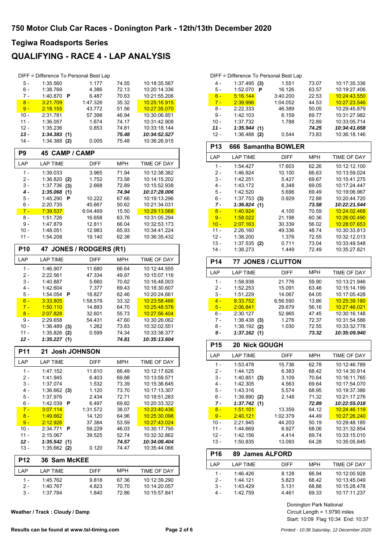### **QUALIFYING - RACE 4 - LAP ANALYSIS**

|                  |                      |     | DIFF = Difference To Personal Best Lap |                |                              |
|------------------|----------------------|-----|----------------------------------------|----------------|------------------------------|
| 5 -              | 1:35.560             |     | 1.177                                  | 74.55          | 10:18:35.567                 |
| 6 -              | 1:38.769             |     | 4.386                                  | 72.13          | 10:20:14.336                 |
| 7 -              | 1:40.870             | P   | 6.487                                  | 70.63          | 10:21:55.206                 |
| $8 -$            | 3:21.709             |     | 1:47.326                               | 35.32          | 10:25:16.915                 |
| $9 -$            | 2:18.155             |     | 43.772                                 | 51.56          | 10:27:35.070                 |
| $10 -$           |                      |     |                                        |                |                              |
|                  | 2:31.781             |     | 57.398                                 | 46.94          | 10:30:06.851                 |
| $11 -$           | 1:36.057             |     | 1.674                                  | 74.17          | 10:31:42.908                 |
| $12 -$           | 1:35.236             |     | 0.853                                  | 74.81          | 10:33:18.144                 |
| $13 -$           | 1:34.383             | (1) |                                        | 75.48          | 10:34:52.527                 |
| $14 -$           | 1:34.388             | (2) | 0.005                                  | 75.48          | 10:36:26.915                 |
| P <sub>9</sub>   | 45 CAMP / CAMP       |     |                                        |                |                              |
| LAP              | <b>LAP TIME</b>      |     | <b>DIFF</b>                            | <b>MPH</b>     | <b>TIME OF DAY</b>           |
| $1 -$            | 1:39.033             |     | 3.965                                  | 71.94          | 10:12:38.382                 |
| 2 -              | 1:36.820             | (2) | 1.752                                  | 73.58          | 10:14:15.202                 |
| 3 -              | 1:37.736             | (3) | 2.668                                  | 72.89          | 10:15:52.938                 |
| 4 -              | 1:35.068             | (1) |                                        | 74.94          | 10:17:28.006                 |
| 5 -              | 1:45.290             | Р   | 10.222                                 | 67.66          | 10:19:13.296                 |
| 6 -              | 2:20.735             |     | 45.667                                 | 50.62          | 10:21:34.031                 |
| $7 -$            | <u>7:39.537</u>      |     | 6:04.469                               | 15.50          | 10:29:13.568                 |
| 8 -              | 1:51.726             |     | 16.658                                 | 63.76          | 10:31:05.294                 |
| $9 -$            | 1:47.879             |     | 12.811                                 | 66.04          | 10:32:53.173                 |
| $10 -$           | 1:48.051             |     | 12.983                                 | 65.93          | 10:34:41.224                 |
| $11 -$           | 1:54.208             |     | 19.140                                 | 62.38          | 10:36:35.432                 |
| <b>P10</b>       |                      |     | 47 JONES / RODGERS (R1)                |                |                              |
| LAP              | <b>LAP TIME</b>      |     | <b>DIFF</b>                            | MPH            | <b>TIME OF DAY</b>           |
|                  |                      |     |                                        |                |                              |
| $1 -$            | 1:46.907             |     | 11.680                                 | 66.64          | 10:12:44.555                 |
| $2 -$            | 2:22.561             |     | 47.334                                 | 49.97          | 10:15:07.116                 |
| $3 -$            | 1:40.887             |     | 5.660                                  | 70.62          | 10:16:48.003                 |
| $4 -$            | 1:42.604             |     | 7.377                                  | 69.43          | 10:18:30.607                 |
| 5 -              | 1:54.054             | P   | 18.827                                 | 62.46          | 10:20:24.661                 |
| $6 -$            | 3:33.805             |     | 1:58.578                               | 33.32          | 10:23:58.466                 |
| $7 -$            | 1:50.110             |     | 14.883                                 | 64.70          | 10:25:48.576                 |
| $8 -$            | 2:07.828             |     | 32.601                                 | 55.73          | 10:27:56.404                 |
| 9 -              | 2:29.658             |     | 54.431                                 | 47.60          | 10:30:26.062                 |
| $10 -$           | 1:36.489             | (3) | 1.262                                  | 73.83          | 10:32:02.551                 |
| 11 -             | 1:35.826             | (2) | 0.599                                  | 74.34          | 10:33:38.377                 |
| 12 -             | 1:35.227             | (1) |                                        | 74.81          | 10:35:13.604                 |
| P11              |                      |     | 21 Josh JOHNSON                        |                |                              |
| LAP              | <b>LAP TIME</b>      |     | DIFF                                   | <b>MPH</b>     | TIME OF DAY                  |
| $1 -$            | 1:47.152             |     | 11.610                                 | 66.49          | 10:12:17.626                 |
| $2 -$            | 1:41.945             |     | 6.403                                  | 69.88          | 10:13:59.571                 |
| 3 -              | 1:37.074             |     | 1.532                                  | 73.39          | 10:15:36.645                 |
| $4 -$            | 1:36.662             | (3) | 1.120                                  | 73.70          | 10:17:13.307                 |
| 5 -              | 1:37.976             |     | 2.434                                  | 72.71          | 10:18:51.283                 |
| 6 -              | 1:42.039             | Р   | 6.497                                  | 69.82          | 10:20:33.322                 |
| $7 -$            | 3.07.114             |     | 1:31.572                               | 38.07          | 10:23:40.436                 |
|                  |                      |     |                                        |                |                              |
|                  |                      |     |                                        |                |                              |
| $8 -$            | 1:49.662             |     | 14.120                                 | 64.96          | 10:25:30.098                 |
| $9 -$            | 2:12.926             |     | 37.384                                 | 53.59          | 10:27:43.024                 |
| $10 -$           | 2:34.771             | P   | 59.229                                 | 46.03          | 10:30:17.795                 |
| $11 -$           | 2:15.067             |     | 39.525                                 | 52.74          | 10:32:32.862                 |
| $12 -$<br>$13 -$ | 1:35.542<br>1:35.662 | (1) | 0.120                                  | 74.57<br>74.47 | 10:34:08.404                 |
|                  |                      | (2) |                                        |                | 10:35:44.066                 |
| <b>P12</b>       | 36 Sam McKEE         |     |                                        |                |                              |
| LAP              | <b>LAP TIME</b>      |     | DIFF                                   | <b>MPH</b>     | TIME OF DAY                  |
| $1 -$            | 1:45.762             |     | 9.818                                  | 67.36          | 10:12:39.290                 |
| $2 -$<br>$3 -$   | 1:40.767<br>1:37.784 |     | 4.823<br>1.840                         | 70.70<br>72.86 | 10:14:20.057<br>10:15:57.841 |

| Weather / Track: Cloudy / Damp |  |  |  |
|--------------------------------|--|--|--|
|                                |  |  |  |

|        |                |   | DIFF = Difference To Personal Best Lap |       |              |
|--------|----------------|---|----------------------------------------|-------|--------------|
| 4 -    | $1:37.495$ (3) |   | 1.551                                  | 73.07 | 10:17:35.336 |
| 5 -    | 1:52.070       | Р | 16.126                                 | 63.57 | 10:19:27.406 |
| $6 -$  | 5:16.144       |   | 3:40.200                               | 22.53 | 10:24:43.550 |
| $7 -$  | 2:39.996       |   | 1:04.052                               | 44.53 | 10:27:23.546 |
| 8 -    | 2:22.333       |   | 46.389                                 | 50.05 | 10:29:45.879 |
| 9 -    | 1:42.103       |   | 6.159                                  | 69.77 | 10:31:27.982 |
| $10 -$ | 1:37.732       |   | 1.788                                  | 72.89 | 10:33:05.714 |
| 11 -   | 1:35.944(1)    |   |                                        | 74.25 | 10:34:41.658 |
| $12 -$ | 1:36.488       |   | ი 544                                  | 73.83 | 10:36:18.146 |

| P <sub>13</sub> | 666 Samantha BOWLER       |             |            |                    |
|-----------------|---------------------------|-------------|------------|--------------------|
| LAP             | <b>LAP TIME</b>           | <b>DIFF</b> | <b>MPH</b> | TIME OF DAY        |
| $1 -$           | 1:54.427                  | 17.603      | 62.26      | 10:12:12.100       |
| $2 -$           | 1:46.924                  | 10.100      | 66.63      | 10:13:59.024       |
| $3 -$           | 1:42.251                  | 5.427       | 69.67      | 10:15:41.275       |
| $4 -$           | 1:43.172                  | 6.348       | 69.05      | 10:17:24.447       |
| $5 -$           | 1:42.520                  | 5.696       | 69.49      | 10:19:06.967       |
| $6 -$           | $1:37.753$ (3)            | 0.929       | 72.88      | 10:20:44.720       |
| $7 -$           | 1:36.824<br>(1)           |             | 73.58      | 10:22:21.544       |
| $8 -$           | 1:40.924                  | 4.100       | 70.59      | 10:24:02.468       |
| $9 -$           | 1:58.022                  | 21.198      | 60.36      | 10:26:00.490       |
| $10 -$          | 2:07.163                  | 30.339      | 56.02      | 10:28:07.653       |
| $11 -$          | 2:26.160                  | 49.336      | 48.74      | 10:30:33.813       |
| $12 -$          | 1:38.200                  | 1.376       | 72.55      | 10:32:12.013       |
| $13 -$          | $1:37.535$ (2)            | 0.711       | 73.04      | 10:33:49.548       |
| $14 -$          | 1:38.273                  | 1.449       | 72.49      | 10:35:27.821       |
| <b>P14</b>      | <b>77 JONES / CLUTTON</b> |             |            |                    |
| LAP             | <b>LAP TIME</b>           | <b>DIFF</b> | <b>MPH</b> | TIME OF DAY        |
| $1 -$           | 1:58.938                  | 21.776      | 59.90      | 10:13:21.946       |
| $2 -$           | 1:52.253                  | 15.091      | 63.46      | 10:15:14.199       |
| $3 -$           | 1:51.229                  | 14.067      | 64.05      | 10:17:05.428       |
| $4 -$           | 8:33.752                  | 6:56.590    | 13.86      | 10:25:39.180       |
| $5 -$           | 2:06.841                  | 29.679      | 56.16      | 10:27:46.021       |
| $6 -$           | 2:30.127                  | 52.965      | 47.45      | 10:30:16.148       |
| $7 -$           | 1:38.438<br>(3)           | 1.276       | 72.37      | 10:31:54.586       |
| $8 -$           | 1:38.192<br>(2)           | 1.030       | 72.55      | 10:33:32.778       |
| $9 -$           | 1:37.162(1)               |             | 73.32      | 10:35:09.940       |
| P <sub>15</sub> | 20 Nick GOUGH             |             |            |                    |
| LAP             | <b>LAP TIME</b>           | <b>DIFF</b> | <b>MPH</b> | <b>TIME OF DAY</b> |
| $\overline{A}$  | 1.52.170                  | 4579C       | 6270       | 10.12.16.700       |

| LAP    | <b>LAP TIME</b> |     | <b>DIFF</b>     | <b>MPH</b> | TIME OF DAY  |
|--------|-----------------|-----|-----------------|------------|--------------|
| 1 -    | 1:53.478        |     | 15.736          | 62.78      | 10:12:46.789 |
| 2 -    | 1:44.125        |     | 6.383           | 68.42      | 10:14:30.914 |
| $3 -$  | 1:40.851        | (3) | 3.109           | 70.64      | 10:16:11.765 |
| 4 -    | 1:42.305        |     | 4.563           | 69.64      | 10:17:54.070 |
| 5 -    | 1:43.316        |     | 5.574           | 68.95      | 10:19:37.386 |
| $6 -$  | 1:39.890        | (2) | 2.148           | 71.32      | 10:21:17.276 |
| 7 -    | 1:37.742(1)     |     |                 | 72.89      | 10:22:55.018 |
| $8 -$  | 1:51.101        |     | 13.359          | 64.12      | 10:24:46.119 |
| $9 -$  | 2:40.121        |     | 1:02.379        | 44.49      | 10:27:26.240 |
| $10 -$ | 2:21.945        |     | 44.203          | 50.19      | 10:29:48.185 |
| $11 -$ | 1:44.669        |     | 6.927           | 68.06      | 10:31:32.854 |
| $12 -$ | 1:42.156        |     | 4.414           | 69.74      | 10:33:15.010 |
| $13 -$ | 1:50.835        |     | 13.093          | 64.28      | 10:35:05.845 |
| P16    |                 |     | 89 James ALFORD |            |              |
|        |                 |     |                 |            |              |

| .    | 99 9988997158 9119 |             |       |              |
|------|--------------------|-------------|-------|--------------|
| I AP | LAP TIME           | <b>DIFF</b> | MPH   | TIME OF DAY  |
| 1 –  | 1.46.426           | 8.128       | 66.94 | 10:12:00.928 |
| 2 -  | 1.44 121           | 5.823       | 68.42 | 10:13:45.049 |
| 3 -  | 1:43.429           | 5.131       | 68.88 | 10:15:28.478 |
|      | 1:42.759           | 4.461       | 69.33 | 10:17:11.237 |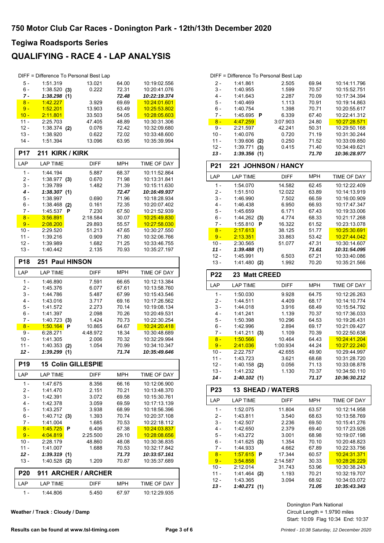### **QUALIFYING - RACE 4 - LAP ANALYSIS**

|                 |                             |     | DIFF = Difference To Personal Best Lap |                |                              |
|-----------------|-----------------------------|-----|----------------------------------------|----------------|------------------------------|
| 5 -             | 1:51.319                    |     | 13.021                                 | 64.00          | 10:19:02.556                 |
| $6 -$           | $1:38.520$ (3)              |     | 0.222                                  | 72.31          | 10:20:41.076                 |
| 7 -             | 1:38.298                    | (1) |                                        | 72.48          | 10:22:19.374                 |
| $8 -$           | 1:42.227                    |     | 3.929                                  | 69.69          | 10:24:01.601                 |
| $9 -$           | 1:52.201                    |     | 13.903                                 | 63.49          | 10:25:53.802                 |
| $10 -$          | 2:11.801                    |     | 33.503                                 | 54.05          | 10:28:05.603                 |
| $11 -$          | 2:25.703                    |     | 47.405                                 | 48.89          | 10:30:31.306                 |
| $12 -$          | 1:38.374                    | (2) | 0.076                                  | 72.42          | 10:32:09.680                 |
| 13 -            | 1:38.920                    |     | 0.622                                  | 72.02          | 10:33:48.600                 |
| 14 -            | 1:51.394                    |     | 13.096                                 | 63.95          | 10:35:39.994                 |
|                 |                             |     |                                        |                |                              |
| <b>P17</b>      | 211                         |     | <b>KIRK / KIRK</b>                     |                |                              |
| LAP             | <b>LAP TIME</b>             |     | <b>DIFF</b>                            | <b>MPH</b>     | TIME OF DAY                  |
| $1 -$           | 1:44.194                    |     | 5.887                                  | 68.37          | 10:11:52.864                 |
| 2 -             | $1:38.977$ (3)              |     | 0.670                                  | 71.98          | 10:13:31.841                 |
| $3 -$           | 1:39.789                    |     | 1.482                                  | 71.39          | 10:15:11.630                 |
| $4 -$           | 1:38.307(1)                 |     |                                        | 72.47          | 10:16:49.937                 |
| 5 -             | 1:38.997                    |     | 0.690                                  | 71.96          | 10:18:28.934                 |
| 6 -             | 1:38.468                    | (2) | 0.161                                  | 72.35          | 10:20:07.402                 |
| 7 -             | 1:45.537                    | P   | 7.230                                  | 67.50          | 10:21:52.939                 |
| $8 -$           | 3:56.891                    |     | 2:18.584                               | 30.07          | 10:25:49.830                 |
| $9 -$           | 2:08.200                    |     | 29.893                                 | 55.57          | 10:27:58.030                 |
| $10 -$          | 2:29.520                    |     | 51.213                                 | 47.65          | 10:30:27.550                 |
| 11 -            | 1:39.216                    |     | 0.909                                  | 71.80          | 10:32:06.766                 |
| $12 -$          | 1:39.989                    |     | 1.682                                  | 71.25          | 10:33:46.755                 |
| 13 -            | 1:40.442                    |     | 2.135                                  | 70.93          | 10:35:27.197                 |
| <b>P18</b>      | 251 Paul HINSON             |     |                                        |                |                              |
| LAP             | <b>LAP TIME</b>             |     | <b>DIFF</b>                            | <b>MPH</b>     | TIME OF DAY                  |
| $1 -$           | 1:46.890                    |     | 7.591                                  | 66.65          | 10:12:13.384                 |
|                 |                             |     |                                        |                |                              |
|                 |                             |     |                                        |                |                              |
| $2 -$           | 1:45.376                    |     | 6.077                                  | 67.61          | 10:13:58.760                 |
| $3 -$           | 1:44.786                    |     | 5.487                                  | 67.99          | 10:15:43.546                 |
| $4 -$           | 1:43.016                    |     | 3.717                                  | 69.16          | 10:17:26.562                 |
| 5 -             | 1:41.572                    |     | 2.273                                  | 70.14          | 10:19:08.134                 |
| 6 -             | 1:41.397                    |     | 2.098                                  | 70.26          | 10:20:49.531                 |
| $7 -$           | 1:40.723                    | (3) | 1.424                                  | 70.73          | 10:22:30.254                 |
| $8 -$           | 1:50.164                    | P   | 10.865                                 | 64.67          | 10:24:20.418                 |
| 9 -             | 6:28.271                    |     | 4:48.972                               | 18.34          | 10:30:48.689                 |
| $10 -$          | 1:41.305                    |     | 2.006                                  | 70.32          | 10:32:29.994                 |
| 11 -<br>12 -    | 1:40.353<br>1:39.299        | (2) | 1.054                                  | 70.99<br>71.74 | 10:34:10.347<br>10:35:49.646 |
|                 |                             | (1) |                                        |                |                              |
| P <sub>19</sub> |                             |     | <b>15 Colin GILLESPIE</b>              |                |                              |
| LAP             | <b>LAP TIME</b>             |     | DIFF                                   | MPH            | TIME OF DAY                  |
| 1 -             | 1:47.675                    |     | 8.356                                  | 66.16          | 10:12:06.900                 |
| $2 -$           | 1:41.470                    |     | 2.151                                  | 70.21          | 10:13:48.370                 |
| 3 -             | 1:42.391                    |     | 3.072                                  | 69.58          | 10:15:30.761                 |
| 4 -             | 1:42.378                    |     | 3.059                                  | 69.59          | 10:17:13.139                 |
| 5 -             | 1:43.257                    |     | 3.938                                  | 68.99          | 10:18:56.396                 |
| 6 -             | 1:40.712                    | (3) | 1.393                                  | 70.74          | 10:20:37.108                 |
| 7 -             | 1:41.004                    |     | 1.685                                  | 70.53          | 10:22:18.112                 |
| $8 -$           | <u>1:45.725</u>             | P   | 6.406                                  | 67.38          | 10:24:03.837                 |
| $9 -$           | 4:04.819                    |     | 2:25.500                               | 29.10          | 10:28:08.656                 |
| 10 -            | 2:28.179                    |     | 48.860                                 | 48.08          | 10:30:36.835                 |
| 11 -            | 1:41.007                    |     | 1.688                                  | 70.53          | 10:32:17.842                 |
| $12 -$          | 1:39.319                    | (1) |                                        | 71.73          | 10:33:57.161                 |
| 13 -            | 1:40.528 (2)                |     | 1.209                                  | 70.87          | 10:35:37.689                 |
| <b>P20</b>      |                             |     | 911 ARCHER / ARCHER                    |                |                              |
| LAP<br>1 -      | <b>LAP TIME</b><br>1:44.806 |     | <b>DIFF</b><br>5.450                   | MPH<br>67.97   | TIME OF DAY<br>10:12:29.935  |

**Weather / Track : Cloudy / Damp**

|        | DIFF = Difference To Personal Best Lap |          |       |              |
|--------|----------------------------------------|----------|-------|--------------|
| $2 -$  | 1:41.861                               | 2.505    | 69.94 | 10:14:11.796 |
| $3 -$  | 1:40.955                               | 1.599    | 70.57 | 10:15:52.751 |
| 4 -    | 1:41.643                               | 2.287    | 70.09 | 10:17:34.394 |
| 5 -    | 1:40.469                               | 1.113    | 70.91 | 10:19:14.863 |
| 6 -    | 1:40.754                               | 1.398    | 70.71 | 10:20:55.617 |
| $7 -$  | 1:45.695<br>- P                        | 6.339    | 67.40 | 10:22:41.312 |
| $8 -$  | 4:47.259                               | 3:07.903 | 24.80 | 10:27:28.571 |
| 9 -    | 2:21.597                               | 42.241   | 50.31 | 10:29:50.168 |
| $10 -$ | 1:40.076                               | 0.720    | 71.19 | 10:31:30.244 |
| $11 -$ | 1:39.606<br>(2)                        | 0.250    | 71.52 | 10:33:09.850 |
| $12 -$ | 1:39.771<br>(3)                        | 0.415    | 71.40 | 10:34:49.621 |
| $13 -$ | 1:39.356<br>(1)                        |          | 71.70 | 10:36:28.977 |

| <b>P21</b> | <b>221 JOHNSON / HANCY</b> |             |            |              |  |
|------------|----------------------------|-------------|------------|--------------|--|
| LAP        | <b>LAP TIME</b>            | <b>DIFF</b> | <b>MPH</b> | TIME OF DAY  |  |
| 1 -        | 1:54.070                   | 14.582      | 62.45      | 10:12:22.409 |  |
| 2 -        | 1:51.510                   | 12.022      | 63.89      | 10:14:13.919 |  |
| $3 -$      | 1:46.990                   | 7.502       | 66.59      | 10:16:00.909 |  |
| 4 -        | 1:46.438                   | 6.950       | 66.93      | 10:17:47.347 |  |
| 5 -        | 1:45.659                   | 6.171       | 67.43      | 10:19:33.006 |  |
| $6 -$      | 1.44.262(3)                | 4.774       | 68.33      | 10:21:17.268 |  |
| 7 -        | 1:55.810<br>Р              | 16.322      | 61.52      | 10:23:13.078 |  |
| $8 -$      | 2:17.613                   | 38.125      | 51.77      | 10:25:30.691 |  |
| $9 -$      | 2:13.351                   | 33.863      | 53.42      | 10:27:44.042 |  |
| 10 -       | 2:30.565                   | 51.077      | 47.31      | 10:30:14.607 |  |
| 11 -       | 1:39.488(1)                |             | 71.61      | 10:31:54.095 |  |
| 12 -       | 1:45.991                   | 6.503       | 67.21      | 10:33:40.086 |  |
| 13 -       | 1:41.480<br>(2)            | 1.992       | 70.20      | 10:35:21.566 |  |

| <b>P22</b> | 23 Matt CREED   |             |            |              |  |
|------------|-----------------|-------------|------------|--------------|--|
| LAP        | <b>LAP TIME</b> | <b>DIFF</b> | <b>MPH</b> | TIME OF DAY  |  |
| $1 -$      | 1:50.030        | 9.928       | 64.75      | 10:12:26.263 |  |
| 2 -        | 1:44.511        | 4.409       | 68.17      | 10:14:10.774 |  |
| $3 -$      | 1:44.018        | 3.916       | 68.49      | 10:15:54.792 |  |
| 4 -        | 1:41.241        | 1.139       | 70.37      | 10:17:36.033 |  |
| 5 -        | 1:50.398        | 10.296      | 64.53      | 10:19:26.431 |  |
| $6 -$      | 1:42.996        | 2.894       | 69.17      | 10:21:09.427 |  |
| 7 -        | 1:41.211<br>(3) | 1.109       | 70.39      | 10:22:50.638 |  |
| $8 -$      | 1:50.566        | 10.464      | 64.43      | 10.24.41.204 |  |
| $9 -$      | 2:41.036        | 1:00.934    | 44.24      | 10:27:22.240 |  |
| $10 -$     | 2:22.757        | 42.655      | 49.90      | 10:29:44.997 |  |
| 11 -       | 1:43.723        | 3.621       | 68.68      | 10:31:28.720 |  |
| 12 -       | 1:40.158<br>(2) | 0.056       | 71.13      | 10:33:08.878 |  |
| $13 -$     | 1:41.232        | 1.130       | 70.37      | 10:34:50.110 |  |
| 14 -       | 1:40.102(1)     |             | 71.17      | 10:36:30.212 |  |

| <b>P23</b> | <b>13 SHEAD / WATERS</b> |             |            |              |  |
|------------|--------------------------|-------------|------------|--------------|--|
| LAP        | <b>LAP TIME</b>          | <b>DIFF</b> | <b>MPH</b> | TIME OF DAY  |  |
| 1 -        | 1:52.075                 | 11.804      | 63.57      | 10:12:14.958 |  |
| 2 -        | 1:43.811                 | 3.540       | 68.63      | 10:13:58.769 |  |
| $3 -$      | 1:42.507                 | 2.236       | 69.50      | 10:15:41.276 |  |
| 4 -        | 1:42.650                 | 2.379       | 69.40      | 10:17:23.926 |  |
| 5 -        | 1:43.272                 | 3.001       | 68.98      | 10:19:07.198 |  |
| $6 -$      | 1:41.625<br>(3)          | 1.354       | 70.10      | 10:20:48.823 |  |
| 7 -        | 1:44.933                 | 4.662       | 67.89      | 10:22:33.756 |  |
| $8 -$      | 1:57.615<br>P            | 17.344      | 60.57      | 10:24:31.371 |  |
| $9 -$      | 3:54.858                 | 2:14.587    | 30.33      | 10:28:26.229 |  |
| 10 -       | 2:12.014                 | 31.743      | 53.96      | 10:30:38.243 |  |
| 11 -       | 1:41.464<br>(2)          | 1.193       | 70.21      | 10:32:19.707 |  |
| 12 -       | 1:43.365                 | 3.094       | 68.92      | 10:34:03.072 |  |
| 13 -       | 1:40.271<br>(1)          |             | 71.05      | 10:35:43.343 |  |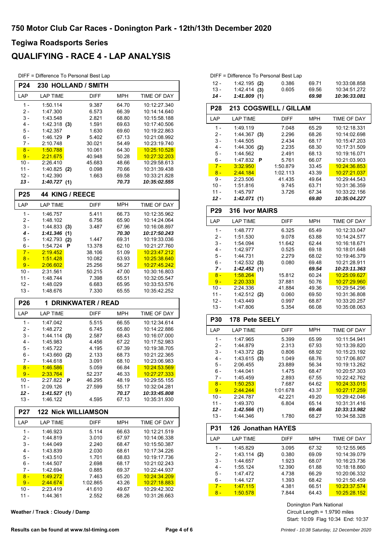### **QUALIFYING - RACE 4 - LAP ANALYSIS**

DIFF = Difference To Personal Best Lap

| <b>P24</b>     | 230 HOLLAND / SMITH        |                          |                |                              |  |
|----------------|----------------------------|--------------------------|----------------|------------------------------|--|
| LAP            | <b>LAP TIME</b>            | <b>DIFF</b>              | MPH            | TIME OF DAY                  |  |
| 1 -            | 1:50.114                   | 9.387                    | 64.70          | 10:12:27.340                 |  |
| 2 -            | 1:47.300                   | 6.573                    | 66.39          | 10:14:14.640                 |  |
| 3 -            | 1:43.548                   | 2.821                    | 68.80          | 10:15:58.188                 |  |
| 4 -            | $1:42.318$ (3)             | 1.591                    | 69.63          | 10:17:40.506                 |  |
| 5 -            | 1:42.357                   | 1.630                    | 69.60          | 10:19:22.863                 |  |
| 6 -            | 1:46.129<br>P              | 5.402                    | 67.13          | 10:21:08.992                 |  |
| 7 -            | 2:10.748                   | 30.021                   | 54.49          | 10:23:19.740                 |  |
| $8 -$          | 1:50.788                   | 10.061                   | 64.30          | 10:25:10.528                 |  |
| $9 -$          | 2:21.675                   | 40.948                   | 50.28          | 10:27:32.203                 |  |
| 10 -<br>$11 -$ | 2:26.410                   | 45.683                   | 48.66          | 10:29:58.613                 |  |
| $12 -$         | 1:40.825 (2)<br>1:42.390   | 0.098<br>1.663           | 70.66<br>69.58 | 10:31:39.438<br>10:33:21.828 |  |
| 13 -           | 1:40.727(1)                |                          | 70.73          | 10:35:02.555                 |  |
|                |                            |                          |                |                              |  |
| P25            | <b>44 KING / REECE</b>     |                          |                |                              |  |
| LAP            | <b>LAP TIME</b>            | DIFF                     | MPH            | TIME OF DAY                  |  |
| $1 -$          | 1:46.757                   | 5.411                    | 66.73          | 10:12:35.962                 |  |
| 2 -<br>3 -     | 1:48.102<br>1:44.833(3)    | 6.756<br>3.487           | 65.90<br>67.96 | 10:14:24.064<br>10:16:08.897 |  |
| 4 -            | 1:41.346                   |                          | 70.30          | 10:17:50.243                 |  |
| 5 -            | (1)<br>1:42.793<br>(2)     | 1.447                    | 69.31          | 10:19:33.036                 |  |
| $6 -$          | 1:54.724<br>Р              | 13.378                   | 62.10          | 10:21:27.760                 |  |
| $7 -$          | 2:19.452                   | 38.106                   | 51.09          | 10:23:47.212                 |  |
| $8 -$          | 1:51.428                   | 10.082                   | 63.93          | 10:25:38.640                 |  |
| $9 -$          | 2:06.602                   | 25.256                   | 56.27          | 10:27:45.242                 |  |
| 10 -           | 2:31.561                   | 50.215                   | 47.00          | 10:30:16.803                 |  |
| $11 -$         | 1:48.744                   | 7.398                    | 65.51          | 10:32:05.547                 |  |
| $12 -$         | 1:48.029                   | 6.683                    | 65.95          | 10:33:53.576                 |  |
| $13 -$         | 1:48.676                   | 7.330                    | 65.55          | 10:35:42.252                 |  |
| P26            | 1                          | <b>DRINKWATER / READ</b> |                |                              |  |
| LAP            | <b>LAP TIME</b>            | <b>DIFF</b>              | MPH            | TIME OF DAY                  |  |
| 1 -            | 1:47.042                   | 5.515                    | 66.55          | 10:12:34.614                 |  |
| 2 -            | 1:48.272                   | 6.745                    | 65.80          | 10:14:22.886                 |  |
| 3 -            | 1.44.114(3)                | 2.587                    | 68.43          | 10:16:07.000                 |  |
| 4 -            | 1:45.983                   | 4.456                    | 67.22          | 10:17:52.983                 |  |
| 5 -            | 1:45.722                   | 4.195                    | 67.39          | 10:19:38.705                 |  |
| 6 -            | 1:43.660 (2)               | 2.133                    | 68.73          | 10:21:22.365                 |  |
| 7 -<br>$8 -$   | 1:44.618<br>1:46.586       | 3.091<br>5.059           | 68.10<br>66.84 | 10:23:06.983<br>10:24:53.569 |  |
| $9 -$          | 2:33.764                   | 52.237                   | 46.33          | 10:27:27.333                 |  |
| 10 -           | 2:27.822<br>P              | 46.295                   | 48.19          | 10:29:55.155                 |  |
| 11 -           | 2:09.126                   | 27.599                   | 55.17          | 10:32:04.281                 |  |
| 12 -           | 1:41.527(1)                |                          | 70.17          | 10:33:45.808                 |  |
| $13 -$         | 1:46.122                   | 4.595                    | 67.13          | 10:35:31.930                 |  |
| P27            | <b>122 Nick WILLIAMSON</b> |                          |                |                              |  |
| LAP            | <b>LAP TIME</b>            | <b>DIFF</b>              | <b>MPH</b>     | <b>TIME OF DAY</b>           |  |
| 1 -            | 1:46.923                   | 5.114                    | 66.63          | 10:12:21.519                 |  |
| 2 -            | 1:44.819                   | 3.010                    | 67.97          | 10:14:06.338                 |  |
| $3 -$          | 1:44.049                   | 2.240                    | 68.47          | 10:15:50.387                 |  |
| $4 -$          | 1:43.839                   | 2.030                    | 68.61          | 10:17:34.226                 |  |
| 5 -            | 1:43.510                   | 1.701                    | 68.83          | 10:19:17.736                 |  |
| 6 -            | 1:44.507                   | 2.698                    | 68.17          | 10:21:02.243                 |  |
| 7 -            | 1:42.694                   | 0.885                    | 69.37          | 10:22:44.937                 |  |
| $8 -$          | 1:49.272                   | 7.463                    | 65.20          | 10:24:34.209                 |  |
| $9 -$          | 2:44.674                   | 1:02.865                 | 43.26          | 10:27:18.883                 |  |
| $10 -$         | 2:23.419<br>1:44.361       | 41.610<br>2.552          | 49.67<br>68.26 | 10:29:42.302<br>10:31:26.663 |  |
| 11 -           |                            |                          |                |                              |  |

**Weather / Track : Cloudy / Damp**

|        | DIFF = Difference To Personal Best Lap |       |       |              |
|--------|----------------------------------------|-------|-------|--------------|
| - 12   | $1:42.195$ (2)                         | 0.386 | 69.71 | 10:33:08.858 |
| $13 -$ | $1.42.414$ (3)                         | 0.605 | 69.56 | 10:34:51.272 |
| $14 -$ | 1:41.809(1)                            |       | 69.98 | 10:36:33.081 |

|                 | . . <i>. .</i><br>$\cdots$ |             |            |                      |  |
|-----------------|----------------------------|-------------|------------|----------------------|--|
| P28             | 213 COGSWELL / GILLAM      |             |            |                      |  |
| LAP             | <b>LAP TIME</b>            | <b>DIFF</b> | <b>MPH</b> | TIME OF DAY          |  |
| $1 -$           | 1:49.119                   | 7.048       | 65.29      | 10:12:18.331         |  |
| $2 -$           | 1:44.367(3)                | 2.296       | 68.26      | 10:14:02.698         |  |
| 3 -             | 1:44.505                   | 2.434       | 68.17      | 10:15:47.203         |  |
| $4 -$           | 1:44.306 (2)               | 2.235       | 68.30      | 10:17:31.509         |  |
| 5 -             | 1:44.562                   | 2.491       | 68.13      | 10:19:16.071         |  |
| 6 -             | 1:47.832<br>P              | 5.761       | 66.07      | 10:21:03.903         |  |
| $7 -$           | 3:32.950                   | 1:50.879    | 33.45      | 10:24:36.853         |  |
| $8 -$           | 2:44.184                   | 1:02.113    | 43.39      | 10:27:21.037         |  |
| 9 -             | 2:23.506                   | 41.435      | 49.64      | 10:29:44.543         |  |
| $10 -$          | 1:51.816                   | 9.745       | 63.71      | 10:31:36.359         |  |
| $11 -$          | 1:45.797                   | 3.726       | 67.34      | 10:33:22.156         |  |
| 12 -            | 1:42.071(1)                |             | 69.80      | 10:35:04.227         |  |
| P <sub>29</sub> | <b>316 Ivor MAIRS</b>      |             |            |                      |  |
| LAP             | <b>LAP TIME</b>            | <b>DIFF</b> | <b>MPH</b> | TIME OF DAY          |  |
| $1 -$           | 1:48.777                   | 6.325       | 65.49      | 10:12:33.047         |  |
| 2 -             | 1:51.530                   | 9.078       | 63.88      | 10:14:24.577         |  |
| 3 -             | 1:54.094                   | 11.642      | 62.44      | 10:16:18.671         |  |
| 4 -             | 1:42.977                   | 0.525       | 69.18      | 10:18:01.648         |  |
| 5 -             | 1:44.731                   | 2.279       | 68.02      | 10:19:46.379         |  |
| 6 -             | 1:42.532(3)                | 0.080       | 69.48      | 10:21:28.911         |  |
| 7 -             | 1:42.452<br>(1)            |             | 69.54      | 10:23:11.363         |  |
| $8 -$           | 1:58.264                   | 15.812      | 60.24      | 10:25:09.627         |  |
| $9 -$           | 2:20.333                   | 37.881      | 50.76      | 10:27:29.960         |  |
| 10 -            | 2:24.336                   | 41.884      | 49.36      | 10:29:54.296         |  |
| $11 -$          | $1:42.512$ (2)             | 0.060       | 69.50      | 10:31:36.808         |  |
|                 |                            |             |            |                      |  |
| $12 -$          | 1.43.449                   | 0.997       | 68.87      | 10:33:20.257         |  |
| $13 -$          | 1:47.806                   | 5.354       | 66.08      | 10:35:08.063         |  |
| <b>P30</b>      | 178 Pete SEELY             |             |            |                      |  |
| LAP             | <b>LAP TIME</b>            | DIFF        | <b>MPH</b> | TIME OF DAY          |  |
| $1 -$           | 1:47.965                   | 5.399       | 65.99      | 10:11:54.941         |  |
| $2 -$           | 1:44.879                   | 2.313       | 67.93      | 10:13:39.820         |  |
| 3 -             | 1:43.372 (2)               | 0.806       | 68.92      | 10:15:23.192         |  |
| 4 -             | 1:43.615<br>(3)            | 1.049       | 68.76      | 10:17:06.807         |  |
| 5 -             | 2:06.455                   | 23.889      | 56.34      | 10:19:13.262         |  |
| 6 -             | 1:44.041                   | 1.475       | 68.47      | 10:20:57.303         |  |
| 7 -             | 1:45.459                   | 2.893       | 67.55      | 10:22:42.762         |  |
| $8 -$           | 1:50.253                   | 7.687       | 64.62      | 10:24:33.015         |  |
| $9 -$           | 2:44.244                   | 1:01.678    | 43.37      | <u> 10.27:17.259</u> |  |
| $10 -$          | 2:24.787                   | 42.221      | 49.20      | 10:29:42.046         |  |
| $11 -$          | 1:49.370                   | 6.804       | 65.14      | 10:31:31.416         |  |
| 12 -            | 1:42.566(1)                |             | 69.46      | 10:33:13.982         |  |
| $13 -$          | 1:44.346                   | 1.780       | 68.27      | 10:34:58.328         |  |
| P31             | <b>126 Jonathan HAYES</b>  |             |            |                      |  |
| LAP             | <b>LAP TIME</b>            | DIFF        | <b>MPH</b> | TIME OF DAY          |  |
| $1 -$           | 1:45.829                   | 3.095       | 67.32      | 10:12:55.965         |  |
| 2 -             | $1.43.114$ (2)             | 0.380       | 69.09      | 10:14:39.079         |  |
| 3 -             | 1:44.657                   | 1.923       | 68.07      | 10:16:23.736         |  |
| 4 -             | 1:55.124                   | 12.390      | 61.88      | 10:18:18.860         |  |
| 5 -             | 1:47.472                   | 4.738       | 66.29      | 10:20:06.332         |  |
| $6 -$           | 1:44.127                   | 1.393       | 68.42      | 10:21:50.459         |  |
| $7 -$           | <u>1.47.115</u>            | 4.381       | 66.51      | 10:23:37.574         |  |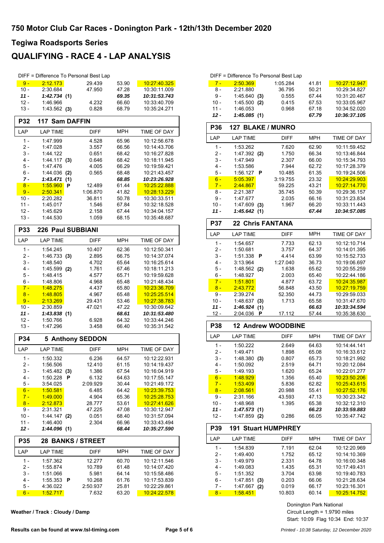### **QUALIFYING - RACE 4 - LAP ANALYSIS**

|                |                      | DIFF = Difference To Personal Best Lap |                |                              |
|----------------|----------------------|----------------------------------------|----------------|------------------------------|
| $9 -$          | 2:12.173             | 29.439                                 | 53.90          | 10:27:40.325                 |
| $10 -$         | 2:30.684             | 47.950                                 | 47.28          | 10:30:11.009                 |
| $11 -$         | 1:42.734(1)          |                                        | 69.35          | 10:31:53.743                 |
| $12 -$         | 1:46.966             | 4.232                                  | 66.60          | 10:33:40.709                 |
| $13 -$         | 1:43.562(3)          | 0.828                                  | 68.79          | 10:35:24.271                 |
| <b>P32</b>     | 117 Sam DAFFIN       |                                        |                |                              |
| LAP            | <b>LAP TIME</b>      | <b>DIFF</b>                            | MPH            | TIME OF DAY                  |
| $1 -$          | 1:47.999             | 4.528                                  | 65.96          | 10:12:56.678                 |
| $2 -$          | 1:47.028             | 3.557                                  | 66.56          | 10:14:43.706                 |
| $3 -$          | 1:44.122             | 0.651                                  | 68.42          | 10:16:27.828                 |
| $4 -$          | 1:44.117<br>(3)      | 0.646                                  | 68.42          | 10:18:11.945                 |
| 5 -            | 1:47.476             | 4.005                                  | 66.29          | 10:19:59.421                 |
| 6 -            | 1:44.036<br>(2)      | 0.565                                  | 68.48          | 10:21:43.457                 |
| 7 -            | 1:43.471<br>(1)      |                                        | 68.85          | 10:23:26.928                 |
| $8 -$          | 1:55.960<br>P        | 12.489                                 | 61.44          | 10:25:22.888                 |
| $9 -$          | 2:50.341             | 1:06.870                               | 41.82          | 10:28:13.229                 |
| $10 -$         | 2:20.282             | 36.811                                 | 50.78          | 10:30:33.511                 |
| $11 -$         | 1:45.017             | 1.546                                  | 67.84          | 10:32:18.528                 |
| 12 -           | 1:45.629             | 2.158                                  | 67.44          | 10:34:04.157                 |
| $13 -$         | 1:44.530             | 1.059                                  | 68.15          | 10:35:48.687                 |
| <b>P33</b>     | 226 Paul SUBBIANI    |                                        |                |                              |
| LAP            | <b>LAP TIME</b>      | <b>DIFF</b>                            | MPH            | TIME OF DAY                  |
| 1 -            | 1:54.245             | 10.407                                 | 62.36          | 10:12:50.341                 |
| 2 -            | 1:46.733(3)          | 2.895                                  | 66.75          | 10:14:37.074                 |
| 3 -            | 1:48.540             | 4.702                                  | 65.64          | 10:16:25.614                 |
| $4 -$          | 1:45.599 (2)         | 1.761                                  | 67.46          | 10:18:11.213                 |
| 5 -            | 1:48.415             | 4.577                                  | 65.71          | 10:19:59.628                 |
| $6 -$          | 1:48.806             | 4.968                                  | 65.48          | 10:21:48.434                 |
| $7 -$          | 1:48.275             | 4.437                                  | 65.80          | 10:23:36.709                 |
| $8 -$<br>$9 -$ | 1:48.805<br>2:13.269 | 4.967<br>29.431                        | 65.48<br>53.46 | 10:25:25.514<br>10:27:38.783 |
| $10 -$         | 2:30.859             | 47.021                                 | 47.22          | 10:30:09.642                 |
| $11 -$         | 1:43.838(1)          |                                        | 68.61          | 10:31:53.480                 |
| $12 -$         | 1:50.766             | 6.928                                  | 64.32          | 10:33:44.246                 |
| $13 -$         | 1:47.296             | 3.458                                  | 66.40          | 10:35:31.542                 |
| <b>P34</b>     |                      | 5 Anthony SEDDON                       |                |                              |
| LAP            | <b>LAP TIME</b>      | <b>DIFF</b>                            | <b>MPH</b>     | TIME OF DAY                  |
| $1 -$          | 1:50.332             | 6.236                                  |                | 10:12:22.931                 |
| 2 -            | 1:56.506             |                                        | 64.57          |                              |
| 3 -            | 1:45.482             | 12.410<br>1.386                        | 61.15<br>67.54 | 10:14:19:437<br>10:16:04.919 |
| 4 -            | (3)<br>1:50.228<br>P | 6.132                                  | 64.63          | 10:17:55.147                 |
| 5 -            | 3:54.025             | 2:09.929                               | 30.44          | 10:21:49.172                 |
| $6 -$          | 1:50.581             | 6.485                                  | 64.42          | 10:23:39.753                 |
| $7 -$          | 1:49.000             | 4.904                                  | 65.36          | 10:25:28.753                 |
| $8 -$          | 2:12.873             | 28.777                                 | 53.61          | 10.27:41.626                 |
| 9 -            | 2:31.321             | 47.225                                 | 47.08          | 10:30:12.947                 |
| 10 -           | 1:44.147<br>(2)      | 0.051                                  | 68.40          | 10:31:57.094                 |
| $11 -$         | 1:46.400             | 2.304                                  | 66.96          | 10 33 43 494                 |
| 12 -           | 1:44.096(1)          |                                        | 68.44          | 10:35:27.590                 |
| P35            |                      | <b>28 BANKS / STREET</b>               |                |                              |
| LAP            | <b>LAP TIME</b>      | <b>DIFF</b>                            | <b>MPH</b>     | TIME OF DAY                  |
| $1 -$          | 1:57.362             | 12.277                                 | 60.70          | 10:12:11.546                 |
| 2 -            | 1:55.874             | 10.789                                 | 61.48          | 10:14:07.420                 |
| $3 -$          | 1:51.066             | 5.981                                  | 64.14          | 10:15:58.486                 |
|                | 1:55.353<br>P        | 10.268                                 | 61.76          | 10:17:53.839                 |
| 4 -            |                      |                                        |                |                              |
| $5 -$          | 4 36 0 22            | 2:50.937                               | 25.81          | 10:22:29.861                 |
| $6 -$          | 1:52.717             | 7.632                                  | 63.20          | 10:24:22.578                 |

**Weather / Track : Cloudy / Damp**

|        | DIFF = Difference To Personal Best Lap |     |             |            |                    |
|--------|----------------------------------------|-----|-------------|------------|--------------------|
| $7 -$  | 2:50.369                               |     | 1:05.284    | 41.81      | 10.27:12.947       |
| $8 -$  | 2:21.880                               |     | 36.795      | 50.21      | 10:29:34.827       |
| $9 -$  | 1:45.640                               | (3) | 0.555       | 67.44      | 10:31:20.467       |
| $10 -$ | 1:45.500                               | (2) | 0.415       | 67.53      | 10:33:05.967       |
| $11 -$ | 1:46.053                               |     | 0.968       | 67.18      | 10:34:52.020       |
| $12 -$ | 1:45.085(1)                            |     |             | 67.79      | 10:36:37.105       |
| P36    | <b>127 BLAKE / MUNRO</b>               |     |             |            |                    |
| LAP    | <b>LAP TIME</b>                        |     | <b>DIFF</b> | <b>MPH</b> | <b>TIME OF DAY</b> |
| $1 -$  | 1:53.262                               |     | 7.620       | 62.90      | 10:11:59.452       |
| $2 -$  | $1:47.392$ (2)                         |     | 1.750       | 66.34      | 10:13:46.844       |
| $3 -$  | 1:47.949                               |     | 2.307       | 66.00      | 10:15:34.793       |
| $4 -$  | 1:53.586                               |     | 7.944       | 62.72      | 10:17:28.379       |
| 5 -    | 1:56.127                               | P   | 10.485      | 61.35      | 10:19:24.506       |
| $6 -$  | 5:05.397                               |     | 3:19.755    | 23.32      | 10:24:29.903       |
| $7 -$  | 2:44.867                               |     | 59.225      | 43.21      | 10:27:14.770       |
| $8 -$  | 2:21.387                               |     | 35.745      | 50.39      | 10:29:36.157       |
| 9 -    | 1:47.677                               |     | 2.035       | 66.16      | 10:31:23.834       |
| $10 -$ | 1:47.609                               | (3) | 1.967       | 66.20      | 10:33:11.443       |
| $11 -$ | 1:45.642(1)                            |     |             | 67.44      | 10:34:57.085       |
| P37    | <b>22 Chris FANTANA</b>                |     |             |            |                    |
| LAP    | <b>LAP TIME</b>                        |     | DIFF        | <b>MPH</b> | TIME OF DAY        |
| $1 -$  | 1:54.657                               |     | 7.733       | 62.13      | 10:12:10.714       |

| 1 -    | 1:54.657        | 7.733    | 62.13 | 10:12:10.714 |
|--------|-----------------|----------|-------|--------------|
| 2 -    | 1:50.681        | 3.757    | 64.37 | 10:14:01.395 |
| $3 -$  | 1:51.338<br>Р   | 4.414    | 63.99 | 10:15:52.733 |
| $4 -$  | 3:13.964        | 1:27.040 | 36.73 | 10:19:06.697 |
| 5 -    | $1.48.562$ (2)  | 1.638    | 65.62 | 10:20:55.259 |
| 6 -    | 1:48.927        | 2.003    | 65.40 | 10:22:44.186 |
| $7 -$  | 1:51.801        | 4.877    | 63.72 | 10:24:35.987 |
| $8 -$  | 2:43.772        | 56.848   | 43.50 | 10:27:19.759 |
| 9 -    | 2:39.274        | 52.350   | 44.73 | 10:29:59.033 |
| $10 -$ | 1:48.637<br>(3) | 1.713    | 65.58 | 10:31:47.670 |
| 11 -   | 1:46.924<br>(1) |          | 66.63 | 10:33:34.594 |
| 12 -   | 2:04.036<br>Р   | 17.112   | 57.44 | 10:35:38.630 |

| <b>P38</b> | <b>12 Andrew WOODBINE</b> |             |            |              |
|------------|---------------------------|-------------|------------|--------------|
| LAP        | <b>LAP TIME</b>           | <b>DIFF</b> | <b>MPH</b> | TIME OF DAY  |
| 1 -        | 1:50.222                  | 2.649       | 64.63      | 10:14:44.141 |
| 2 -        | 1:49.471                  | 1.898       | 65.08      | 10:16:33.612 |
| $3 -$      | 1:48.380<br>(3)           | 0.807       | 65.73      | 10:18:21.992 |
| $4 -$      | 1:50.092                  | 2.519       | 64.71      | 10:20:12.084 |
| $5 -$      | 1:49.193                  | 1.620       | 65.24      | 10:22:01.277 |
| $6 -$      | 1:48.929                  | 1.356       | 65.40      | 10.23:50.206 |
| 7 -        | 1:53.409                  | 5.836       | 62.82      | 10:25:43.615 |
| $8 -$      | 2:08.561                  | 20.988      | 55.41      | 10:27:52.176 |
| 9 -        | 2:31.166                  | 43.593      | 47.13      | 10:30:23.342 |
| $10 -$     | 1:48.968                  | 1.395       | 65.38      | 10:32:12.310 |
| 11 -       | 1:47.573(1)               |             | 66.23      | 10:33:59.883 |
| 12 -       | 1:47.859<br>(2)           | 0.286       | 66.05      | 10:35:47.742 |

| <b>P39</b> | <b>191 Stuart HUMPHREY</b> |             |            |              |  |
|------------|----------------------------|-------------|------------|--------------|--|
| I AP       | <b>LAP TIME</b>            | <b>DIFF</b> | <b>MPH</b> | TIME OF DAY  |  |
| 1 -        | 1:54.839                   | 7.191       | 62.04      | 10:12:20.969 |  |
| 2 -        | 1:49.400                   | 1.752       | 65.12      | 10:14:10.369 |  |
| $3 -$      | 1:49.979                   | 2.331       | 64.78      | 10:16:00.348 |  |
| 4 -        | 1:49.083                   | 1.435       | 65.31      | 10:17:49.431 |  |
| 5 -        | 1:51.352                   | 3.704       | 63.98      | 10:19:40.783 |  |
| $6 -$      | 1:47.851<br>(3)            | 0.203       | 66.06      | 10:21:28.634 |  |
| 7 -        | 1:47.667<br>(2)            | 0.019       | 66.17      | 10:23:16.301 |  |
| $8 -$      | 1:58.451                   | 10.803      | 60.14      | 10:25:14.752 |  |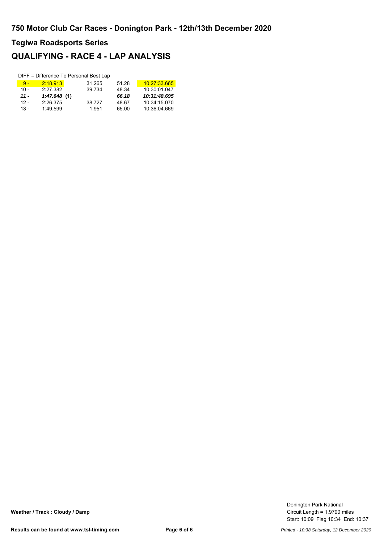### **QUALIFYING - RACE 4 - LAP ANALYSIS**

|        |             | DIFF = Difference To Personal Best Lap |       |              |
|--------|-------------|----------------------------------------|-------|--------------|
| $9 -$  | 2:18.913    | 31.265                                 | 51.28 | 10:27:33.665 |
| $10 -$ | 2:27.382    | 39.734                                 | 48.34 | 10:30:01.047 |
| $11 -$ | 1:47.648(1) |                                        | 66.18 | 10:31:48.695 |
| $12 -$ | 2:26.375    | 38.727                                 | 48.67 | 10:34:15.070 |
| $13 -$ | 1:49.599    | 1.951                                  | 65.00 | 10:36:04.669 |

Start: 10:09 Flag 10:34 End: 10:37 Circuit Length = 1.9790 miles Donington Park National

**Weather / Track : Cloudy / Damp**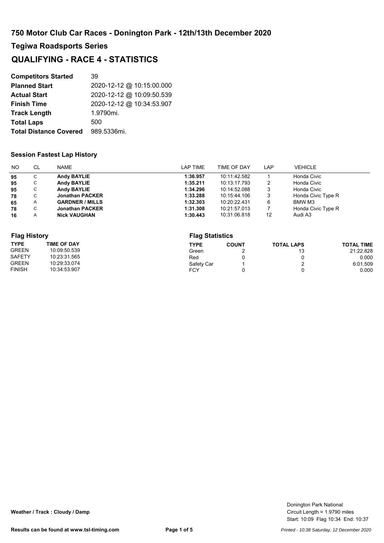### **QUALIFYING - RACE 4 - STATISTICS**

| <b>Competitors Started</b>    | 39                        |
|-------------------------------|---------------------------|
| <b>Planned Start</b>          | 2020-12-12 @ 10:15:00.000 |
| <b>Actual Start</b>           | 2020-12-12 @ 10:09:50.539 |
| <b>Finish Time</b>            | 2020-12-12 @ 10:34:53.907 |
| <b>Track Length</b>           | 1.9790mi.                 |
| <b>Total Laps</b>             | 500                       |
| <b>Total Distance Covered</b> | 989.5336mi.               |

#### **Session Fastest Lap History**

| NO. | CL             | NAME                   | LAP TIME | TIME OF DAY  | LAP | <b>VEHICLE</b>     |
|-----|----------------|------------------------|----------|--------------|-----|--------------------|
| 95  | C              | <b>Andy BAYLIE</b>     | 1:36.957 | 10:11:42.582 |     | Honda Civic        |
| 95  | С              | <b>Andy BAYLIE</b>     | 1:35.211 | 10:13:17.793 | 2   | Honda Civic        |
| 95  | С              | <b>Andy BAYLIE</b>     | 1:34.296 | 10:14:52.088 | 3   | Honda Civic        |
| 78  | C.             | <b>Jonathan PACKER</b> | 1:33.288 | 10:15:44.106 | 3   | Honda Civic Type R |
| 65  | A              | <b>GARDNER / MILLS</b> | 1:32.303 | 10:20:22.431 | 6   | BMW M3             |
| 78  | С              | <b>Jonathan PACKER</b> | 1:31.308 | 10:21:57.013 |     | Honda Civic Type R |
| 16  | $\overline{A}$ | <b>Nick VAUGHAN</b>    | 1:30.443 | 10:31:06.818 | 12  | Audi A3            |

| <b>Flag History</b> |                    |             | <b>Flag Statistics</b> |                   |                   |  |  |  |  |
|---------------------|--------------------|-------------|------------------------|-------------------|-------------------|--|--|--|--|
| <b>TYPE</b>         | <b>TIME OF DAY</b> | <b>TYPE</b> | <b>COUNT</b>           | <b>TOTAL LAPS</b> | <b>TOTAL TIME</b> |  |  |  |  |
| <b>GREEN</b>        | 10:09:50.539       | Green       |                        | 13                | 21:22.828         |  |  |  |  |
| <b>SAFETY</b>       | 10:23:31.565       | Red         |                        |                   | 0.000             |  |  |  |  |
| <b>GREEN</b>        | 10:29:33.074       | Safety Car  |                        |                   | 6:01.509          |  |  |  |  |
| <b>FINISH</b>       | 10:34:53.907       | <b>FCY</b>  |                        |                   | 0.000             |  |  |  |  |

**Weather / Track : Cloudy / Damp**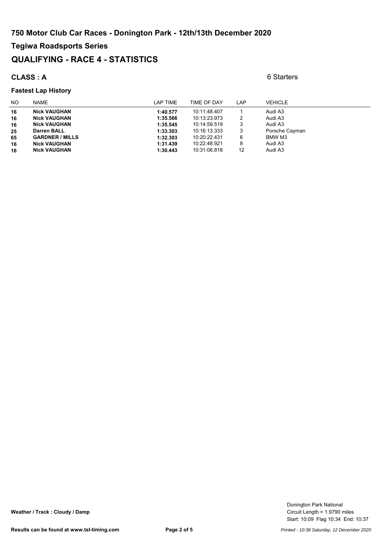#### **QUALIFYING - RACE 4 - STATISTICS**

#### **CLASS : A** 6 Starters

#### **Fastest Lap History**

#### NO NAME **NAME** NAME TIME TIME OF DAY LAP VEHICLE **16 Nick VAUGHAN 1:40.577 10:11:48.407** 1 Audi A3<br>**16 Nick VAUGHAN 1:35.566 10:13:23.973** 2 Audi A3 **16 Nick VAUGHAN 1:35.566** 10:13:23.973 2 Audi A3 **1:35.545** 10:14:59.519 3 Audi A3<br> **1:33.303** 10:16:13.333 3 Audi A3<br> **1:33.303** 10:16:13.333 3 Porsche Cayman **25 Darren BALL 1:33.303** 10:16:13.333 3 Porsche Cayman **65 GARDNER / MILLS 1:32.303** 10:20:22.431 6 BMW M3 **16 Nick VAUGHAN 1:31.439** 10:22:48.921 8 Audi A3 **1:30.443** 10:31:06.818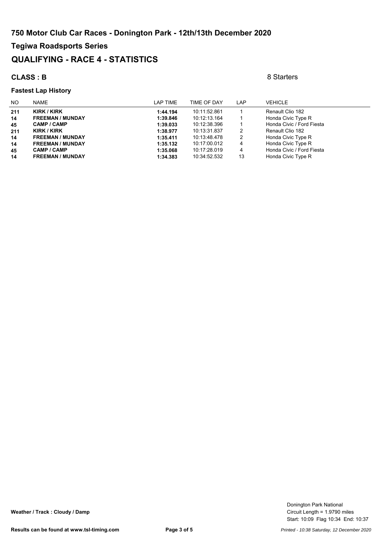### **QUALIFYING - RACE 4 - STATISTICS**

#### **CLASS : B** 8 Starters

#### **Fastest Lap History**

| NO. | <b>NAME</b>             | LAP TIME | TIME OF DAY  | LAP | <b>VEHICLE</b>            |
|-----|-------------------------|----------|--------------|-----|---------------------------|
| 211 | KIRK / KIRK             | 1:44.194 | 10:11:52.861 |     | Renault Clio 182          |
| 14  | <b>FREEMAN / MUNDAY</b> | 1:39.846 | 10:12:13.164 |     | Honda Civic Type R        |
| 45  | <b>CAMP / CAMP</b>      | 1:39.033 | 10:12:38.396 |     | Honda Civic / Ford Fiesta |
| 211 | KIRK / KIRK             | 1:38.977 | 10:13:31.837 | 2   | Renault Clio 182          |
| 14  | <b>FREEMAN / MUNDAY</b> | 1:35.411 | 10:13:48.478 | 2   | Honda Civic Type R        |
| 14  | <b>FREEMAN / MUNDAY</b> | 1:35.132 | 10:17:00.012 | 4   | Honda Civic Type R        |
| 45  | <b>CAMP / CAMP</b>      | 1:35.068 | 10:17:28.019 | 4   | Honda Civic / Ford Fiesta |
| 14  | <b>FREEMAN / MUNDAY</b> | 1:34.383 | 10:34:52.532 | 13  | Honda Civic Type R        |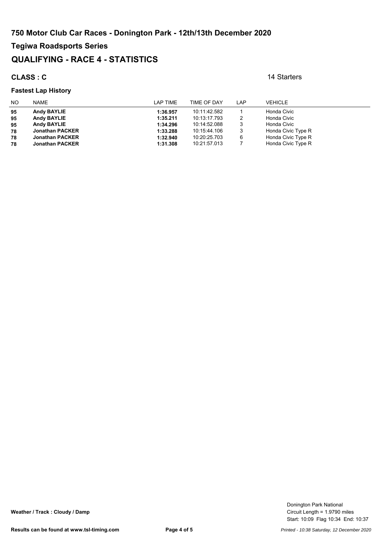### **QUALIFYING - RACE 4 - STATISTICS**

#### **CLASS : C** 14 Starters

#### **Fastest Lap History**

#### NO NAME **NAME** NAME TIME TIME OF DAY LAP VEHICLE **95 Andy BAYLIE 1:36.957** 10:11:42.582 1 Honda Civic **95 Andy BAYLIE 1:35.211** 10:13:17.793 2 Honda Civic **956 10:14:52.088 11:34.296 10:14:52.088 10:14:52.088 Honda Civic<br>
<b>9 Jonathan PACKER** 1:33.288 10:15:44.106 3 Honda Civic Type R **78 Jonathan PACKER 1:33.288** 10:15:44.106 3 Honda Civic Type R **78 Jonathan PACKER 1:32.940** 10:20:25.703 6 Honda Civic Type R **78 Jonathan PACKER 1:31.308** 10:21:57.013 7 Honda Civic Type R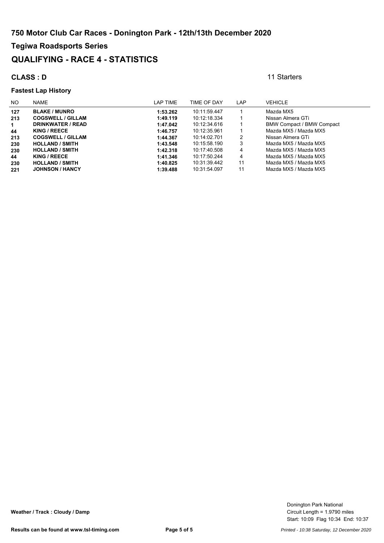#### **QUALIFYING - RACE 4 - STATISTICS**

#### **CLASS : D** 11 Starters

#### **Fastest Lap History**

#### NO NAME **NAME** NO NAME TIME TIME OF DAY LAP VEHICLE **127 BLAKE / MUNRO 1:53.262** 10:11:59.447 1 Mazda MX5 **213 COGSWELL / GILLAM 1:49.119** 10:12:18.334 1 Nissan Almera GTi **1 DRINKWATER / READ 1:47.042 10:12:34.616** 1<br>**1:46.757 10:12:35.961** 1 **44 KING / REECE 1:46.757** 10:12:35.961 1 Mazda MX5 / Mazda MX5 **2130 COGSWELL / GILLAM 1:44.367** 10:14:02.701 2<br>**2133548** 10:15:58.190 1:43.548 10:15:58.190 **230 HOLLAND / SMITH 1:43.548** 10:15:58.190 3 Mazda MX5 / Mazda MX5 **230 HOLLAND / SMITH 1:42.318** 10:17:40.508 4 Mazda MX5 / Mazda MX5 **44 KING / REECE 1:41.346** 10:17:50.244 4 Mazda MX5 / Mazda MX5 **230 HOLLAND / SMITH 1:40.825** 10:31:39.442 11 Mazda MX5 / Mazda MX5 **221 JOHNSON / HANCY 1:39.488** 10:31:54.097 11 Mazda MX5 / Mazda MX5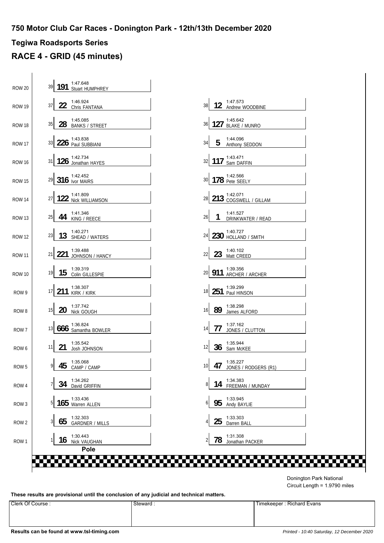### **Tegiwa Roadsports Series**

### **RACE 4 - GRID (45 minutes)**

| 39 191 3:47.648                                    |                                                           |
|----------------------------------------------------|-----------------------------------------------------------|
| 1:46.924<br>22 Chris FANTANA<br>37                 | 1:47.573<br>12 Andrew WOODBINE<br>38                      |
| 1:45.085<br>28 BANKS / STREET<br>35                | 1:45.642<br>127 BLAKE / MUNRO<br>36                       |
| 1:43.838<br>226 Paul SUBBIANI<br>33                | 1:44.096<br>5<br>34<br>Anthony SEDDON                     |
| $126$ Jonathan HAYES<br>31                         | 117 Sam DAFFIN<br>32                                      |
| $29$ 316 $\frac{1:42.452}{\text{lvor MAIRS}}$      | 30 178 <sup>1:42.566</sup>                                |
| 122 Nick WILLIAMSON<br>27                          | 28 213 <sup>1:42.071</sup><br>COGSWELL / GILLAM           |
| 1:41.346<br>44 KING / REECE<br>25                  | 1:41.527<br>26<br>1<br>DRINKWATER / READ                  |
| 1:40.271<br>13<br>23<br>SHEAD / WATERS             | 1:40.727<br>230 HOLLAND / SMITH<br>24                     |
| 1:39.488<br>221 JOHNSON / HANCY<br>21              | 1:40.102<br>23 Matt CREED<br>22                           |
| 1:39.319<br>15<br>19<br>Colin GILLESPIE            | 1:39.356<br>20 911 ARCHER / ARCHER                        |
| 1:38.307<br>211 KIRK / KIRK<br>17 <sup>1</sup>     | 18 251 1:39.299                                           |
| 1:37.742<br>20 Nick GOUGH<br>15                    | 1:38.298<br>89<br>16<br>James ALFORD                      |
| 1:36.824<br>13 666 Samantha BOWLER                 | 1:37.162<br>77<br>14<br>JONES / CLUTTON                   |
| 1:35.542<br>21<br>11<br>Josh JOHNSON               | 1:35.944<br>36 Sam McKEE<br>$12 \overline{ }$             |
| $\mathbf{I}$<br>1:35.068<br>45<br>9<br>CAMP / CAMP | 1:35.227<br>47<br>10 <sup>1</sup><br>JONES / RODGERS (R1) |
| 1:34.262<br>34<br>David GRIFFIN                    | 1:34.383<br>14 FREEMAN / MUNDAY<br>8                      |
| 1:33.436<br>165 Warren ALLEN<br>5                  | 1:33.945<br>95<br>6<br>Andy BAYLIE                        |
| 1:32.303<br>65<br><b>GARDNER / MILLS</b>           | 1:33.303<br>25<br>4<br>Darren BALL                        |
| 1:30.443<br>16<br>Nick VAUGHAN<br>Pole             | 1:31.308<br>78<br>$\overline{2}$<br>Jonathan PACKER       |

Circuit Length = 1.9790 miles Donington Park National

**These results are provisional until the conclusion of any judicial and technical matters.**

Clerk Of Course : Steward : Steward : Steward : Timekeeper : Richard Evans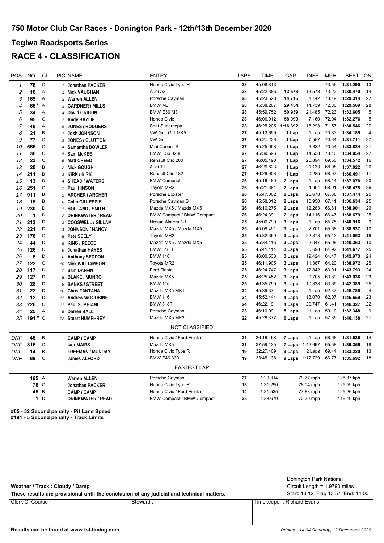### **Tegiwa Roadsports Series RACE 4 - CLASSIFICATION**

| POS          | <b>NO</b> | <b>CL</b>      | PIC NAME                               | <b>ENTRY</b>                     | LAPS | <b>TIME</b> | GAP      | <b>DIFF</b> | <b>MPH</b> | <b>BEST</b> | ON             |
|--------------|-----------|----------------|----------------------------------------|----------------------------------|------|-------------|----------|-------------|------------|-------------|----------------|
| $\mathbf{1}$ | 78        | $\mathsf C$    | 1 Jonathan PACKER                      | Honda Civic Type R               | 28   | 45:08.813   |          |             | 73.59      | 1:31.290    | 13             |
| 2            | 16        | Α              | 1 Nick VAUGHAN                         | Audi A3                          | 28   | 45:22.386   | 13.573   | 13.573      | 73.22      | 1:30.470    | 14             |
| 3            | 165       | Α              | 2 Warren ALLEN                         | Porsche Cayman                   | 28   | 45:23.528   | 14.715   | 1.142       | 73.19      | 1:29.314    | 27             |
| 4            | 65*       | $\overline{A}$ | 3 GARDNER / MILLS                      | BMW <sub>M3</sub>                | 28   | 45:38.267   | 29.454   | 14.739      | 72.80      | 1:29.569    | 28             |
| 5            | 34        | A              | 4 David GRIFFIN                        | <b>BMW E36 M3</b>                | 28   | 45:59.752   | 50.939   | 21.485      | 72.23      | 1:32.605    | 5              |
| 6            | 95        | C              | 2 Andy BAYLIE                          | Honda Civic                      | 28   | 46:06.912   | 58.099   | 7.160       | 72.04      | 1:32.276    | $\,$ 5 $\,$    |
| 7            | 48        | Α              | 5 JONES / RODGERS                      | Seat Supercopa                   | 28   | 46:25.205   | 1:16.392 | 18.293      | 71.57      | 1:30.546    | 27             |
| 8            | 21        | B              | Josh JOHNSON<br>$\mathbf{1}$           | VW Golf GTI MK5                  | 27   | 45:13.659   | 1 Lap    | 1 Lap       | 70.83      | 1:34.189    | $\overline{4}$ |
| 9            | 77        | $\mathsf C$    | 3 JONES / CLUTTON                      | <b>VW Golf</b>                   | 27   | 45:21.226   | 1 Lap    | 7.567       | 70.64      | 1:31.711    | 27             |
| 10           | 666       | $\mathsf C$    | Samantha BOWLER<br>4                   | Mini Cooper S                    | 27   | 45:25.058   | 1 Lap    | 3.832       | 70.54      | 1:33.824    | 21             |
| 11           | 36        | $\mathsf C$    | 5 Sam McKEE                            | <b>BMW E36 328i</b>              | 27   | 45:39.596   | 1 Lap    | 14.538      | 70.16      | 1:34.054    | 27             |
| 12           | 23        | C              | 6 Matt CREED                           | Renault Clio 200                 | 27   | 46:05.490   | 1 Lap    | 25.894      | 69.50      | 1:34.572    | 16             |
| 13           | 20        | B              | 2 Nick GOUGH                           | Audi TT                          | 27   | 46:26.623   | 1 Lap    | 21.133      | 68.98      | 1:37.022    | 26             |
| 14           | 211       | B              | 3 KIRK/KIRK                            | Renault Clio 182                 | 27   | 46:26.908   | 1 Lap    | 0.285       | 68.97      | 1:36.491    | 11             |
| 15           | 13        | B              | 4 SHEAD / WATERS                       | <b>BMW Compact</b>               | 26   | 45:16.480   | 2 Laps   | 1 Lap       | 68.14      | 1:37.070    | 20             |
| 16           | 251       | $\mathsf C$    | 7 Paul HINSON                          | Toyota MR2                       | 26   | 45:21.384   | 2 Laps   | 4.904       | 68.01      | 1:36.475    | 26             |
| 17           | 911       | B              | 5 ARCHER / ARCHER                      | Porsche Boxster                  | 26   | 45:47.062   | 2 Laps   | 25.678      | 67.38      | 1:37.474    | 25             |
| 18           | 15        | B              | 6 Colin GILLESPIE                      | Porsche Cayman S                 | 26   | 45:58.012   | 2 Laps   | 10.950      | 67.11      | 1:36.634    | 25             |
| 19           | 230       | D              | <b>HOLLAND / SMITH</b><br>$\mathbf{1}$ | Mazda MX5 / Mazda MX5            | 26   | 46:10.275   | 2 Laps   | 12.263      | 66.81      | 1:38.901    | 26             |
| 20           | 1         | D              | 2 DRINKWATER / READ                    | <b>BMW Compact / BMW Compact</b> | 26   | 46:24.391   | 2 Laps   | 14.116      | 66.47      | 1:38.679    | 25             |
| 21           | 213       | D              | 3 COGSWELL / GILLAM                    | Nissan Almera GTi                | 25   | 45:06.790   | 3 Laps   | 1 Lap       | 65.75      | 1:40.916    | 9              |
| 22           | 221       | D              | 4 JOHNSON / HANCY                      | Mazda MX5 / Mazda MX5            | 25   | 45:09.491   | 3 Laps   | 2.701       | 65.68      | 1:38.937    | 10             |
| 23           | 178       | $\mathsf C$    | 8 Pete SEELY                           | Toyota MR2                       | 25   | 45:32.369   | 3 Laps   | 22.878      | 65.13      | 1:41.063    | 16             |
| 24           | 44        | D              | 5 KING / REECE                         | Mazda MX5 / Mazda MX5            | 25   | 45:34.416   | 3 Laps   | 2.047       | 65.08      | 1:40.363    | 10             |
| 25           | 126       | $\mathsf{C}$   | Jonathan HAYES<br>9                    | <b>BMW 318 Ti</b>                | 25   | 45:41.114   | 3 Laps   | 6.698       | 64.92      | 1:41.677    | 25             |
| 26           | 5         | D              | 6 Anthony SEDDON                       | <b>BMW 116i</b>                  | 25   | 46:00.538   | 3 Laps   | 19.424      | 64.47      | 1:42.973    | 24             |
| 27           | 122       | $\mathbb C$    | 10 Nick WILLIAMSON                     | Toyota MR2                       | 25   | 46:11.905   | 3 Laps   | 11.367      | 64.20      | 1:38.972    | 25             |
| 28           | 117       | D              | 7 Sam DAFFIN                           | <b>Ford Fiesta</b>               | 25   | 46:24.747   | 3 Laps   | 12.842      | 63.91      | 1:43.793    | 24             |
| 29           | 127       | D              | 8 BLAKE / MUNRO                        | Mazda MX5                        | 25   | 46:25.452   | 3 Laps   | 0.705       | 63.89      | 1:43.036    | 23             |
| 30           | 28        | D              | <b>BANKS / STREET</b><br>9             | <b>BMW 116i</b>                  | 25   | 46:35.790   | 3 Laps   | 10.338      | 63.65      | 1:42.389    | 25             |
| 31           | 22        | D              | 10 Chris FANTANA                       | Mazda MX5 MK1                    | 24   | 45:39.374   | 4 Laps   | 1 Lap       | 62.37      | 1:46.789    | $\overline{4}$ |
| 32           | 12        | D              | 11 Andrew WOODBINE                     | <b>BMW 116i</b>                  | 24   | 45:52.444   | 4 Laps   | 13.070      | 62.07      | 1:45.659    | 23             |
| 33           | 226       | $\mathsf{C}$   | 11 Paul SUBBIANI                       | BMW 318Ti                        | 24   | 46:22.191   | 4 Laps   | 29.747      | 61.41      | 1:46.327    | 22             |
| 34           | 25        | Α              | 6 Darren BALL                          | Porsche Cayman                   | 23   | 46:10.091   | 5 Laps   | 1 Lap       | 59.10      | 1:32.348    | 9              |
| 35           | 191 $*$ C |                | 12 Stuart HUMPHREY                     | Mazda MX5 MK3                    | 22   | 45:28.377   | 6 Laps   | 1 Lap       | 57.39      | 1:46.138    | 21             |
|              |           |                |                                        | <b>NOT CLASSIFIED</b>            |      |             |          |             |            |             |                |
| <b>DNF</b>   | 45        | B              | CAMP / CAMP                            | Honda Civic / Ford Fiesta        | 21   | 36:16.468   | 7 Laps   | 1 Lap       | 68.68      | 1:31.535    | 14             |
| <b>DNF</b>   | 316       | $\mathbb C$    | <b>Ivor MAIRS</b>                      | Mazda MX5                        | 21   | 37:59.135   | 7 Laps   | 1:42.667    | 65.58      | 1:39.356    | 18             |
| DNF          | 14        | B              | <b>FREEMAN / MUNDAY</b>                | Honda Civic Type R               | 19   | 32:27.409   | 9 Laps   | 2 Laps      | 69.44      | 1:33.220    | 13             |
| <b>DNF</b>   | 89        | $\mathsf{C}$   | James ALFORD                           | BMW E46 330                      | 19   | 33:45.138   | 9 Laps   | 1:17.729    | 66.77      | 1:35.692    | 18             |
|              |           |                |                                        | <b>FASTEST LAP</b>               |      |             |          |             |            |             |                |
|              |           |                |                                        |                                  |      |             |          |             |            |             |                |
|              | 165 A     |                | <b>Warren ALLEN</b>                    | Porsche Cayman                   | 27   | 1:29.314    |          | 79.77 mph   |            | 128.37 kph  |                |
|              | 78 C      |                | Jonathan PACKER                        | Honda Civic Type R               | 13   | 1:31.290    |          | 78.04 mph   |            | 125.59 kph  |                |
|              | 45        | B              | CAMP / CAMP                            | Honda Civic / Ford Fiesta        | 14   | 1:31.535    |          | 77.83 mph   |            | 125.26 kph  |                |
|              |           | 1 <sub>D</sub> | <b>DRINKWATER / READ</b>               | <b>BMW Compact / BMW Compact</b> | 25   | 1:38.679    |          | 72.20 mph   |            | 116.19 kph  |                |

**#65 - 32 Second penalty - Pit Lane Speed #191 - 5 Second penalty - Track Limits**

#### **Weather / Track : Cloudy / Damp**

These results are provisional until the conclusion of any judicial and technical matters. Start: 13:12 Flag 13:57 End: 14:00

Circuit Length = 1.9790 miles Donington Park National

Clerk Of Course : Steward : Steward : Steward : Steward : Steward : Steward : Steward : Steward : Steward : Steward : Steward : Steward : Steward : Steward : Steward : Steward : Steward : Steward : Steward : Steward : Stew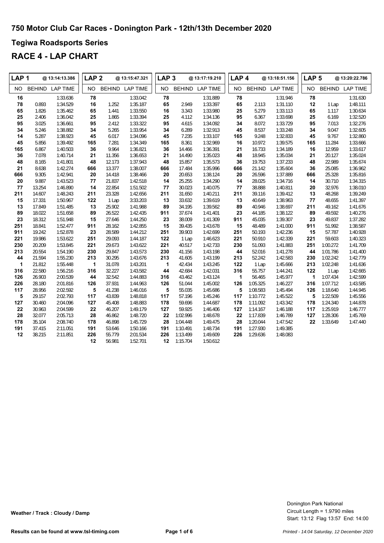### **Tegiwa Roadsports Series**

| LAP <sub>1</sub> |               | @ 13:14:13.386  | LAP <sub>2</sub> |        | @ 13:15:47.321  | LAP <sub>3</sub> |          | @13:17:19.210   | LAP <sub>4</sub> |               | @ 13:18:51.156  | LAP <sub>5</sub> |               | @ 13:20:22.786  |
|------------------|---------------|-----------------|------------------|--------|-----------------|------------------|----------|-----------------|------------------|---------------|-----------------|------------------|---------------|-----------------|
| NO.              | <b>BEHIND</b> | <b>LAP TIME</b> | <b>NO</b>        |        | BEHIND LAP TIME | NO               |          | BEHIND LAP TIME | <b>NO</b>        | <b>BEHIND</b> | <b>LAP TIME</b> | NO.              | <b>BEHIND</b> | <b>LAP TIME</b> |
| 16               |               | 1:33.636        | 78               |        | 1:33.042        | 78               |          | 1:31.889        | 78               |               | 1:31.946        | 78               |               | 1:31.630        |
| 78               | 0.893         | 1:34.529        | 16               | 1.252  | 1:35.187        | 65               | 2.949    | 1:33.397        | 65               | 2.113         | 1:31.110        | 12               | 1 Lap         | 1:48.111        |
| 65               | 1.826         | 1:35.462        | 65               | 1.441  | 1:33.550        | 16               | 3.343    | 1:33.980        | 25               | 5.279         | 1:33.113        | 65               | 1.117         | 1:30.634        |
| 25               | 2.406         | 1:36.042        | 25               | 1.865  | 1:33.394        | 25               | 4.112    | 1:34.136        | 95               | 6.367         | 1:33.698        | 25               | 6.169         | 1:32.520        |
| 95               | 3.025         | 1:36.661        | 95               | 2.412  | 1:33.322        | 95               | 4.615    | 1:34.092        | 34               | 8.072         | 1:33.729        | 95               | 7.013         | 1:32.276        |
| 34               | 5.246         | 1:38.882        | 34               | 5.265  | 1:33.954        | 34               | 6.289    | 1:32.913        | 45               | 8.537         | 1:33.248        | 34               | 9.047         | 1:32.605        |
| 14               | 5.287         | 1:38.923        | 45               | 6.017  | 1:34.096        | 45               | 7.235    | 1:33.107        | 165              | 9.248         | 1:32.833        | 45               | 9.767         | 1:32.860        |
| 45               | 5.856         | 1:39.492        | 165              | 7.281  | 1:34.349        | 165              | 8.361    | 1:32.969        | 16               | 10.972        | 1:39.575        | 165              | 11.284        | 1:33.666        |
| 165              | 6.867         | 1:40.503        | 36               | 9.964  | 1:36.821        | 36               | 14.466   | 1:36.391        | 21               | 16.733        | 1:34.189        | 16               | 12.959        | 1:33.617        |
| 36               | 7.078         | 1:40.714        | 21               | 11.356 | 1:36.653        | 21               | 14.490   | 1:35.023        | 48               | 18.945        | 1:35.034        | 21               | 20.127        | 1:35.024        |
| 48               | 8.165         | 1:41.801        | 48               | 12.173 | 1:37.943        | 48               | 15.857   | 1:35.573        | 36               | 19.753        | 1:37.233        | 48               | 22.989        | 1:35.674        |
| 21               | 8.638         | 1:42.274        | 666              | 13.377 | 1:38.007        | 666              | 17.484   | 1:35.996        | 666              | 21.142        | 1:35.604        | 36               | 25.085        | 1:36.962        |
| 666              | 9.305         | 1:42.941        | 20               | 14.418 | 1:38.466        | 20               | 20.653   | 1:38.124        | 20               | 26.596        | 1:37.889        | 666              | 25.328        | 1:35.816        |
| 20               | 9.887         | 1:43.523        | 77               | 21.837 | 1:42.518        | 14               | 25.255   | 1:34.290        | 14               | 28.025        | 1:34.716        | 14               | 30.710        | 1:34.315        |
| 77               | 13.254        | 1:46.890        | 14               | 22.854 | 1:51.502        | 77               | 30.023   | 1:40.075        | 77               | 38.888        | 1:40.811        | 20               | 32.976        | 1:38.010        |
| 211              | 14.607        | 1:48.243        | 211              | 23.328 | 1:42.656        | 211              | 31.650   | 1:40.211        | 211              | 39.116        | 1:39.412        | 13               | 48.268        | 1:39.249        |
| 15               | 17.331        | 1:50.967        | 122              | 1 Lap  | 3:33.203        | 13               | 33.632   | 1:39.619        | 13               | 40.649        | 1:38.963        | ${\bf 77}$       | 48.655        | 1:41.397        |
| 13               | 17.849        | 1:51.485        | 13               | 25.902 | 1:41.988        | 89               | 34.195   | 1:39.562        | 89               | 40.946        | 1:38.697        | 211              | 49.162        | 1:41.676        |
| 89               | 18.022        | 1:51.658        | 89               | 26.522 | 1:42.435        | 911              | 37.674   | 1:41.401        | 23               | 44.185        | 1:38.122        | 89               | 49.592        | 1:40.276        |
| 23               | 18.312        | 1:51.948        | 15               | 27.646 | 1:44.250        | 23               | 38.009   | 1:41.309        | 911              | 45.035        | 1:39.307        | 23               | 49.837        | 1:37.282        |
| 251              | 18.841        | 1:52.477        | 911              | 28.162 | 1:42.855        | 15               | 39.435   | 1:43.678        | 15               | 48.489        | 1:41.000        | 911              | 51.992        | 1:38.587        |
| 911              | 19.242        | 1:52.878        | 23               | 28.589 | 1:44.212        | 251              | 39.903   | 1:42.699        | 251              | 50.193        | 1:42.236        | 15               | 57.787        | 1:40.928        |
| 221              | 19.986        | 1:53.622        | 251              | 29.093 | 1:44.187        | 122              | 1 Lap    | 1:46.623        | 221              | 50.910        | 1:42.339        | 221              | 59.603        | 1:40.323        |
| 230              | 20.209        | 1:53.845        | 221              | 29.673 | 1:43.622        | 221              | 40.517   | 1:42.733        | 230              | 51.093        | 1:41.883        | 251              | 1:00.272      | 1:41.709        |
| 213              | 20.554        | 1:54.190        | 230              | 29.847 | 1:43.573        | 230              | 41.156   | 1:43.198        | 44               | 52.016        | 1:41.278        | 44               | 1:01.786      | 1:41.400        |
| 44               | 21.594        | 1:55.230        | 213              | 30.295 | 1:43.676        | 213              | 41.605   | 1:43.199        | 213              | 52.242        | 1:42.583        | 230              | 1:02.242      | 1:42.779        |
| 1                | 21.812        | 1:55.448        | $\mathbf{1}$     | 31.078 | 1:43.201        | 1                | 42.434   | 1:43.245        | 122              | 1 Lap         | 1:45.666        | 213              | 1:02.248      | 1:41.636        |
| 316              | 22.580        | 1:56.216        | 316              | 32.227 | 1:43.582        | 44               | 42.684   | 1:42.031        | 316              | 55.757        | 1:44.241        | 122              | 1 Lap         | 1:42.665        |
| 126              | 26.903        | 2:00.539        | 44               | 32.542 | 1:44.883        | 316              | 43.462   | 1:43.124        | 1                | 56.465        | 1:45.977        | 1                | 1:07.434      | 1:42.599        |
| 226              | 28.180        | 2:01.816        | 126              | 37.931 | 1:44.963        | 126              | 51.044   | 1:45.002        | 126              | 1:05.325      | 1:46.227        | 316              | 1:07.712      | 1:43.585        |
| 117              | 28.956        | 2:02.592        | 5                | 41.238 | 1:46.016        | 5                | 55.035   | 1:45.686        | 5                | 1:08.583      | 1:45.494        | 126              | 1:18.640      | 1:44.945        |
| 5                | 29.157        | 2:02.793        | 117              | 43.839 | 1:48.818        | 117              | 57.196   | 1:45.246        | 117              | 1:10.772      | 1:45.522        | 5                | 1:22.509      | 1:45.556        |
| 127              | 30.460        | 2:04.096        | 127              | 45.408 | 1:48.883        | 178              | 59.696   | 1:44.687        | 178              | 1:11.092      | 1:43.342        | 178              | 1:24.340      | 1:44.878        |
| 22               | 30.963        | 2:04.599        | 22               | 46.207 | 1:49.179        | 127              | 59.925   | 1:46.406        | 127              | 1:14.167      | 1:46.188        | 117              | 1:25.919      | 1:46.777        |
| 28               | 32.077        | 2:05.713        | 28               | 46.862 | 1:48.720        | 22               | 1:02.996 | 1:48.678        | 22               | 1:17.839      | 1:46.789        | 127              | 1:28.306      | 1:45.769        |
| 178              | 35.104        | 2:08.740        | 178              | 46.898 | 1:45.729        | 28               | 1:04.448 | 1:49.475        | 28               | 1:20.044      | 1:47.542        | 22               | 1:33.649      | 1:47.440        |
| 191              | 37.415        | 2:11.051        | 191              | 53.646 | 1:50.166        | 191              | 1:10.491 | 1:48.734        | 191              | 1:27.930      | 1:49.385        |                  |               |                 |
| 12               | 38.215        | 2:11.851        | 226              | 55.779 | 2:01.534        | 226              | 1:13.499 | 1:49.609        | 226              | 1:29.636      | 1:48.083        |                  |               |                 |
|                  |               |                 | 12               | 56.981 | 1:52.701        | 12               | 1:15.704 | 1:50.612        |                  |               |                 |                  |               |                 |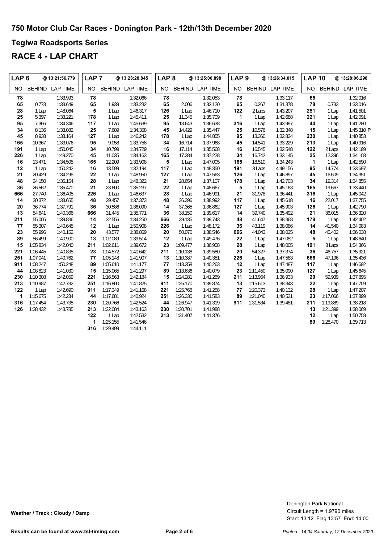### **Tegiwa Roadsports Series**

| LAP <sub>6</sub> |          | @ 13:21:56.779  | LAP <sub>7</sub> |          | @ 13:23:28.845  | LAP <sub>8</sub> |          | @ 13:25:00.898  | LAP <sub>9</sub> |          | @ 13:26:34.015  | <b>LAP 10</b> |          | @ 13:28:06.298  |
|------------------|----------|-----------------|------------------|----------|-----------------|------------------|----------|-----------------|------------------|----------|-----------------|---------------|----------|-----------------|
| NO.              |          | BEHIND LAP TIME | NO.              |          | BEHIND LAP TIME | NO.              |          | BEHIND LAP TIME | <b>NO</b>        |          | BEHIND LAP TIME | NO.           |          | BEHIND LAP TIME |
| 78               |          | 1:33.993        | 78               |          | 1:32.066        | 78               |          | 1:32.053        | 78               |          | 1:33.117        | 65            |          | 1:32.016        |
| 65               | 0.773    | 1:33.649        | 65               | 1.939    | 1:33.232        | 65               | 2.006    | 1:32.120        | 65               | 0.267    | 1:31.378        | 78            | 0.733    | 1:33.016        |
| 28               | 1 Lap    | 1:48.064        | 5                | 1 Lap    | 1:46.317        | 126              | 1 Lap    | 1:46.710        | 122              | 2 Laps   | 1:43.207        | 251           | 1 Lap    | 1:41.501        |
| 25               | 5.397    | 1:33.221        | 178              | 1 Lap    | 1:45.411        | 25               | 11.345   | 1:35.709        | $\mathbf{1}$     | 1 Lap    | 1:42.688        | 221           | 1 Lap    | 1:42.091        |
| 95               | 7.366    | 1:34.346        | 117              | 1 Lap    | 1:45.639        | 95               | 13.643   | 1:36.638        | 316              | 1 Lap    | 1:43.997        | 44            | 1 Lap    | 1:41.280        |
| 34               | 8.136    | 1:33.082        | 25               | 7.689    | 1:34.358        | 45               | 14.429   | 1:35.447        | 25               | 10.576   | 1:32.348        | 15            | 1 Lap    | 1:45.310 P      |
| 45               | 8.938    | 1:33.164        | 127              | 1 Lap    | 1:46.242        | 178              | 1 Lap    | 1:44.855        | 95               | 13.360   | 1:32.834        | 230           | 1 Lap    | 1:40.853        |
| 165              | 10.367   | 1:33.076        | 95               | 9.058    | 1:33.758        | 34               | 16.714   | 1:37.968        | 45               | 14.541   | 1:33.229        | 213           | 1 Lap    | 1:40.916        |
| 191              | 1 Lap    | 1:50.045        | 34               | 10.799   | 1:34.729        | 16               | 17.114   | 1:35.568        | 16               | 16.545   | 1:32.548        | 122           | 2 Laps   | 1:42.199        |
| 226              | 1 Lap    | 1:49.270        | 45               | 11.035   | 1:34.163        | 165              | 17.384   | 1:37.228        | 34               | 16.742   | 1:33.145        | 25            | 12.396   | 1:34.103        |
| 16               | 13.471   | 1:34.505        | 165              | 12.209   | 1:33.908        | 5                | 1 Lap    | 1:47.005        | 165              | 18.510   | 1:34.243        | $\mathbf{1}$  | 1 Lap    | 1:42.590        |
| 12               | 1 Lap    | 1:50.242        | 16               | 13.599   | 1:32.194        | 117              | 1 Lap    | 1:48.350        | 191              | 3 Laps   | 4:49.156        | 95            | 14.774   | 1:33.697        |
| 21               | 20.429   | 1:34.295        | 22               | 1 Lap    | 1:48.950        | 127              | 1 Lap    | 1:47.563        | 126              | 1 Lap    | 1:46.897        | 45            | 16.609   | 1:34.351        |
| 48               | 24.150   | 1:35.154        | 28               | 1 Lap    | 1:48.322        | 21               | 28.654   | 1:37.107        | 178              | 1 Lap    | 1:42.703        | 34            | 19.314   | 1:34.855        |
| 36               | 26.562   | 1:35.470        | 21               | 23.600   | 1:35.237        | 22               | 1 Lap    | 1:48.667        | ${\bf 5}$        | 1 Lap    | 1:45.163        | 165           | 19.667   | 1:33.440        |
| 666              | 27.740   | 1:36.405        | 226              | 1 Lap    | 1:46.637        | 28               | 1 Lap    | 1:46.991        | 21               | 31.978   | 1:36.441        | 316           | 1 Lap    | 1:45.042        |
| 14               | 30.372   | 1:33.655        | 48               | 29.457   | 1:37.373        | 48               | 36.396   | 1:38.992        | 117              | 1 Lap    | 1:45.618        | 16            | 22.017   | 1:37.755        |
| 20               | 36.774   | 1:37.791        | 36               | 30.586   | 1:36.090        | 14               | 37.365   | 1:36.862        | 127              | 1 Lap    | 1:45.903        | 126           | 1 Lap    | 1:42.790        |
| 13               | 54.641   | 1:40.366        | 666              | 31.445   | 1:35.771        | 36               | 38.150   | 1:39.617        | 14               | 39.740   | 1:35.492        | 21            | 36.015   | 1:36.320        |
| 211              | 55.005   | 1:39.836        | 14               | 32.556   | 1:34.250        | 666              | 39.135   | 1:39.743        | 48               | 41.647   | 1:38.368        | 178           | 1 Lap    | 1:42.402        |
| 77               | 55.307   | 1:40.645        | 12               | 1 Lap    | 1:50.908        | 226              | 1 Lap    | 1:48.172        | 36               | 43.119   | 1:38.086        | 14            | 41.540   | 1:34.083        |
| 23               | 55.996   | 1:40.152        | 20               | 43.577   | 1:38.869        | 20               | 50.070   | 1:38.546        | 666              | 44.043   | 1:38.025        | 48            | 45.402   | 1:36.038        |
| 89               | 56.499   | 1:40.900        | 13               | 1:02.089 | 1:39.514        | 12               | 1 Lap    | 1:49.476        | 22               | 1 Lap    | 1:47.052        | 5             | 1 Lap    | 1:48.640        |
| 15               | 1:05.834 | 1:42.040        | 211              | 1:02.611 | 1:39.672        | 23               | 1:09.477 | 1:36.958        | 28               | 1 Lap    | 1:48.005        | 191           | 3 Laps   | 1:54.366        |
| 221              | 1:06.445 | 1:40.835        | 23               | 1:04.572 | 1:40.642        | 211              | 1:10.138 | 1:39.580        | 20               | 54.327   | 1:37.374        | 36            | 46.757   | 1:35.921        |
| 251              | 1:07.041 | 1:40.762        | 77               | 1:05.148 | 1:41.907        | 13               | 1:10.387 | 1:40.351        | 226              | 1 Lap    | 1:47.583        | 666           | 47.196   | 1:35.436        |
| 911              | 1:08.247 | 1:50.248        | 89               | 1:05.610 | 1:41.177        | 77               | 1:13.358 | 1:40.263        | 12               | 1 Lap    | 1:47.487        | 117           | 1 Lap    | 1:46.692        |
| 44               | 1:08.823 | 1:41.030        | 15               | 1:15.065 | 1:41.297        | 89               | 1:13.636 | 1:40.079        | 23               | 1:11.450 | 1:35.090        | 127           | 1 Lap    | 1:45.645        |
| 230              | 1:10.308 | 1:42.059        | 221              | 1:16.563 | 1:42.184        | 15               | 1:24.281 | 1:41.269        | 211              | 1:13.954 | 1:36.933        | 20            | 59.939   | 1:37.895        |
| 213              | 1:10.987 | 1:42.732        | 251              | 1:16.800 | 1:41.825        | 911              | 1:25.170 | 1:39.874        | 13               | 1:15.613 | 1:38.343        | 22            | 1 Lap    | 1:47.709        |
| 122              | 1 Lap    | 1:42.690        | 911              | 1:17.349 | 1:41.168        | 221              | 1:25.768 | 1:41.258        | 77               | 1:20.373 | 1:40.132        | 28            | 1 Lap    | 1:47.207        |
| 1                | 1:15.675 | 1:42.234        | 44               | 1:17.681 | 1:40.924        | 251              | 1:26.330 | 1:41.583        | 89               | 1:21.040 | 1:40.521        | 23            | 1:17.066 | 1:37.899        |
| 316              | 1:17.454 | 1:43.735        | 230              | 1:20.766 | 1:42.524        | 44               | 1:26.947 | 1:41.319        | 911              | 1:31.534 | 1:39.481        | 211           | 1:19.889 | 1:38.218        |
| 126              | 1:28.432 | 1:43.785        | 213              | 1:22.084 | 1:43.163        | 230              | 1:30.701 | 1:41.988        |                  |          |                 | 13            | 1:21.399 | 1:38.069        |
|                  |          |                 | 122              | 1 Lap    | 1:42.532        | 213              | 1:31.407 | 1:41.376        |                  |          |                 | 12            | 1 Lap    | 1:50.758        |
|                  |          |                 | 1                | 1:25.155 | 1:41.546        |                  |          |                 |                  |          |                 | 89            | 1:28.470 | 1:39.713        |
|                  |          |                 | 316              | 1:29.499 | 1:44.111        |                  |          |                 |                  |          |                 |               |          |                 |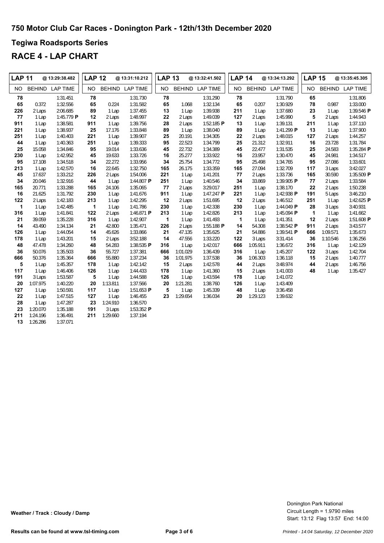### **Tegiwa Roadsports Series**

| <b>LAP 11</b> |          | @ 13:29:38.482  | <b>LAP 12</b> |          | @13:31:10.212         | <b>LAP 13</b> |          | @ 13:32:41.502  | <b>LAP 14</b> |               | @ 13:34:13.292  | <b>LAP 15</b> |          | @ 13:35:45.305  |
|---------------|----------|-----------------|---------------|----------|-----------------------|---------------|----------|-----------------|---------------|---------------|-----------------|---------------|----------|-----------------|
| NO.           |          | BEHIND LAP TIME | <b>NO</b>     |          | BEHIND LAP TIME       | <b>NO</b>     | BEHIND   | <b>LAP TIME</b> | <b>NO</b>     | <b>BEHIND</b> | <b>LAP TIME</b> | <b>NO</b>     |          | BEHIND LAP TIME |
| 78            |          | 1:31.451        | 78            |          | 1:31.730              | 78            |          | 1:31.290        | 78            |               | 1:31.790        | 65            |          | 1:31.806        |
| 65            | 0.372    | 1:32.556        | 65            | 0.224    | 1:31.582              | 65            | 1.068    | 1:32.134        | 65            | 0.207         | 1:30.929        | 78            | 0.987    | 1:33.000        |
| 226           | 2 Laps   | 2:06.685        | 89            | 1 Lap    | 1:37.455              | 13            | 1 Lap    | 1:39.938        | 211           | 1 Lap         | 1:37.680        | 23            | 1 Lap    | 1:39.546 P      |
| 77            | 1 Lap    | 1:45.779 P      | 12            | 2 Laps   | 1:48.997              | 22            | 2 Laps   | 1:49.039        | 127           | 2 Laps        | 1:45.990        | 5             | 2 Laps   | 1:44.943        |
| 911           | 1 Lap    | 1:38.581        | 911           | 1 Lap    | 1:39.756              | 28            | 2 Laps   | 1:52.185 P      | 13            | 1 Lap         | 1:39.131        | 211           | 1 Lap    | 1:37.110        |
| 221           | 1 Lap    | 1:38.937        | 25            | 17.176   | 1:33.848              | 89            | 1 Lap    | 1:38.040        | 89            | 1 Lap         | 1:41.299 P      | 13            | 1 Lap    | 1:37.900        |
| 251           | 1 Lap    | 1:40.403        | 221           | 1 Lap    | 1:39.907              | 25            | 20.191   | 1:34.305        | 22            | 2 Laps        | 1:48.015        | 127           | 2 Laps   | 1:44.257        |
| 44            | 1 Lap    | 1:40.363        | 251           | 1 Lap    | 1:39.333              | 95            | 22.523   | 1:34.799        | 25            | 21.312        | 1:32.911        | 16            | 23.728   | 1:31.784        |
| 25            | 15.058   | 1:34.846        | 95            | 19.014   | 1:33.636              | 45            | 22.732   | 1:34.389        | 45            | 22.477        | 1:31.535        | 25            | 24.583   | 1:35.284 P      |
| 230           | 1 Lap    | 1:42.952        | 45            | 19.633   | 1:33.726              | 16            | 25.277   | 1:33.922        | 16            | 23.957        | 1:30.470        | 45            | 24.981   | 1:34.517        |
| 95            | 17.108   | 1:34.518        | 34            | 22.272   | 1:33.956              | 34            | 25.754   | 1:34.772        | 95            | 25.498        | 1:34.765        | 95            | 27.086   | 1:33.601        |
| 213           | 1 Lap    | 1:42.570        | 16            | 22.645   | 1:32.750              | 165           | 26.175   | 1:33.359        | 165           | 27.094        | 1:32.709        | 117           | 3 Laps   | 3:42.027        |
| 45            | 17.637   | 1:33.212        | 226           | 2 Laps   | 1:54.006              | 221           | 1 Lap    | 1:41.201        | 77            | 2 Laps        | 1:33.736        | 165           | 30.590   | 1:35.509 P      |
| 34            | 20.046   | 1:32.916        | 44            | 1 Lap    | 1:44.807 $\textsf{P}$ | 251           | 1 Lap    | 1:40.546        | 34            | 33.869        | 1:39.905 P      | 77            | 2 Laps   | 1:33.584        |
| 165           | 20.771   | 1:33.288        | 165           | 24.106   | 1:35.065              | 77            | 2 Laps   | 3:29.017        | 251           | 1 Lap         | 1:38.170        | 22            | 2 Laps   | 1:50.238        |
| 16            | 21.625   | 1:31.792        | 230           | 1 Lap    | 1:41.676              | 911           | 1 Lap    | 1:47.247 $P$    | 221           | 1 Lap         | 1:42.938 P      | 191           | 5 Laps   | 3:46.210        |
| 122           | 2 Laps   | 1:42.183        | 213           | 1 Lap    | 1:42.295              | 12            | 2 Laps   | 1:51.695        | 12            | 2 Laps        | 1:46.512        | 251           | 1 Lap    | 1:42.625 P      |
| 1             | 1 Lap    | 1:42.485        | 1             | 1 Lap    | 1:41.786              | 230           | 1 Lap    | 1:42.338        | 230           | 1 Lap         | 1:44.049 P      | 28            | 3 Laps   | 3:40.931        |
| 316           | 1 Lap    | 1:41.841        | 122           | 2 Laps   | 1:46.871 P            | 213           | 1 Lap    | 1:42.826        | 213           | 1 Lap         | 1:45.094 P      | $\mathbf{1}$  | 1 Lap    | 1:41.662        |
| 21            | 39.059   | 1:35.228        | 316           | 1 Lap    | 1:42.907              | 1             | 1 Lap    | 1:41.493        | $\mathbf{1}$  | 1 Lap         | 1:41.351        | 12            | 2 Laps   | 1:51.608 P      |
| 14            | 43.490   | 1:34.134        | 21            | 42.800   | 1:35.471              | 226           | 2 Laps   | 1:55.188 P      | 14            | 54.308        | 1:38.542 P      | 911           | 2 Laps   | 3:43.577        |
| 126           | 1 Lap    | 1:44.054        | 14            | 45.626   | 1:33.866              | 21            | 47.135   | 1:35.625        | 21            | 54.886        | 1:39.541 P      | 666           | 1:09.571 | 1:35.673        |
| 178           | 1 Lap    | 1:43.201        | 15            | 2 Laps   | 3:52.188              | 14            | 47.556   | 1:33.220        | 122           | 3 Laps        | 3:31.414        | 36            | 1:10.546 | 1:36.256        |
| 48            | 47.478   | 1:34.260        | 48            | 54.283   | 1:38.535 P            | 316           | 1 Lap    | 1:42.017        | 666           | 1:05.911      | 1:36.672        | 316           | 1 Lap    | 1:42.129        |
| 36            | 50.076   | 1:35.503        | 36            | 55.727   | 1:37.381              | 666           | 1:01.029 | 1:36.439        | 316           | 1 Lap         | 1:45.207        | 122           | 3 Laps   | 1:42.704        |
| 666           | 50.376   | 1:35.364        | 666           | 55.880   | 1:37.234              | 36            | 1:01.975 | 1:37.538        | 36            | 1:06.303      | 1:36.118        | 15            | 2 Laps   | 1:40.777        |
| 5             | 1 Lap    | 1:45.357        | 178           | 1 Lap    | 1:42.142              | 15            | 2 Laps   | 1:42.578        | 44            | 2 Laps        | 3:48.974        | 44            | 2 Laps   | 1:46.756        |
| 117           | 1 Lap    | 1:46.406        | 126           | 1 Lap    | 1:44.433              | 178           | 1 Lap    | 1:41.360        | 15            | 2 Laps        | 1:41.003        | 48            | 1 Lap    | 1:35.427        |
| 191           | 3 Laps   | 1:53.587        | 5             | 1 Lap    | 1:44.588              | 126           | 1 Lap    | 1:43.594        | 178           | 1 Lap         | 1:41.072        |               |          |                 |
| 20            | 1:07.975 | 1:40.220        | 20            | 1:13.811 | 1:37.566              | 20            | 1:21.281 | 1:38.760        | 126           | 1 Lap         | 1:43.409        |               |          |                 |
| 127           | 1 Lap    | 1:50.591        | 117           | 1 Lap    | 1:51.653 $P$          | 5             | 1 Lap    | 1:45.339        | 48            | 1 Lap         | 3:36.458        |               |          |                 |
| 22            | 1 Lap    | 1:47.515        | 127           | 1 Lap    | 1:46.455              | 23            | 1:29.654 | 1:36.034        | 20            | 1:29.123      | 1:39.632        |               |          |                 |
| 28            | 1 Lap    | 1:47.287        | 23            | 1:24.910 | 1:36.570              |               |          |                 |               |               |                 |               |          |                 |
| 23            | 1:20.070 | 1:35.188        | 191           | 3 Laps   | 1:53.352 P            |               |          |                 |               |               |                 |               |          |                 |
| 211           | 1:24.196 | 1:36.491        | 211           | 1:29.660 | 1:37.194              |               |          |                 |               |               |                 |               |          |                 |
| 13            | 1:26.286 | 1:37.071        |               |          |                       |               |          |                 |               |               |                 |               |          |                 |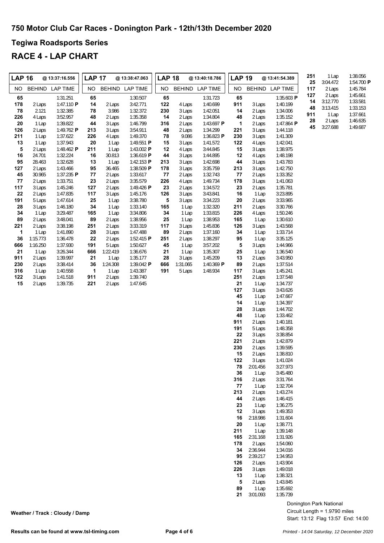### **Tegiwa Roadsports Series**

### **RACE 4 - LAP CHART**

| <b>LAP 16</b> |                  | @ 13:37:16.556         | <b>LAP 17</b> |                   | @ 13:38:47.063           | <b>LAP 18</b><br>@ 13:40:18.786 |                  |                      | <b>LAP 19</b><br>@ 13:41:54.389 |                    |                      | 251       | 1 Lap              | 1:38.056               |
|---------------|------------------|------------------------|---------------|-------------------|--------------------------|---------------------------------|------------------|----------------------|---------------------------------|--------------------|----------------------|-----------|--------------------|------------------------|
| NO.           |                  | BEHIND LAP TIME        | NO.           |                   | BEHIND LAP TIME          | NO.                             |                  | BEHIND LAP TIME      | NO.                             |                    | BEHIND LAP TIME      | 25<br>117 | 3:04.472<br>2 Laps | 1:54.700 P<br>1:45.784 |
| 65            |                  | 1:31.251               | 65            |                   | 1:30.507                 | 65                              |                  | 1:31.723             | 65                              |                    | 1:35.603 P           | 127<br>14 | 2 Laps<br>3:12.770 | 1:45.661<br>1:33.581   |
| 178           | 2 Laps           | 1:47.110 P             | 14            | 2 Laps            | 3:42.771                 | 122                             | 4 Laps           | 1:40.699             | 911                             | 3 Laps             | 1:40.199             | 48        | 3:13.415           | 1:33.153               |
| 78<br>226     | 2.121<br>4 Laps  | 1:32.385<br>3:52.957   | 78<br>48      | 3.986<br>2 Laps   | 1:32.372<br>1:35.358     | 230<br>14                       | 3 Laps<br>2 Laps | 1:42.051<br>1:34.804 | 14<br>48                        | 2 Laps<br>2 Laps   | 1:34.006<br>1:35.152 | 911       | 1 Lap              | 1:37.661               |
| 20            | 1 Lap            | 1:39.822               | 44            | 3 Laps            | 1:46.799                 | 316                             | 2 Laps           | 1:43.697 P           | $\mathbf{1}$                    | 2 Laps             | 1:47.864 P           | 28        | 2 Laps             | 1:46.635               |
| 126           | 2 Laps           | 1:49.762 P             | 213           | 3 Laps            | 3:54.911                 | 48                              | 2 Laps           | 1:34.299             | 221                             | 3 Laps             | 1:44.118             | 45        | 3:27.688           | 1:49.687               |
| 211           | 1 Lap            | 1:37.622               | 226           | 4 Laps            | 1:49.370                 | 78                              | 9.086            | 1:36.823 P           | 230                             | 3 Laps             | 1:41.309             |           |                    |                        |
| 13<br>5       | 1 Lap            | 1:37.943<br>1:48.462 P | 20<br>211     | 1 Lap             | 1:49.551 P<br>1:43.002 P | 15<br>12                        | 3 Laps           | 1:41.572             | 122                             | 4 Laps             | 1:42.041<br>1:38.975 |           |                    |                        |
| 16            | 2 Laps<br>24.701 | 1:32.224               | 16            | 1 Lap<br>30.813   | 1:36.619 P               | 44                              | 4 Laps<br>3 Laps | 3:44.845<br>1:44.895 | 15<br>12                        | 3 Laps<br>4 Laps   | 1:48.198             |           |                    |                        |
| 95            | 28.463           | 1:32.628               | 13            | 1 Lap             | 1:42.153 $\blacksquare$  | 213                             | 3 Laps           | 1:42.698             | 44                              | 3 Laps             | 1:43.783             |           |                    |                        |
| 127           | 2 Laps           | 1:43.466               | 95            | 36.465            | 1:38.509 P               | 178                             | 3 Laps           | 3:35.759             | 213                             | 3 Laps             | 1:42.750             |           |                    |                        |
| 45            | 30.965           | 1:37.235 P             | 77            | 2 Laps            | 1:33.617                 | 77                              | 2 Laps           | 1:32.743             | 77                              | 2 Laps             | 1:33.352             |           |                    |                        |
| 77<br>117     | 2 Laps<br>3 Laps | 1:33.751<br>1:45.246   | 23<br>127     | 2 Laps<br>2 Laps  | 3:35.579<br>1:49.426 P   | 226<br>23                       | 4 Laps<br>2 Laps | 1:49.734<br>1:34.572 | 178<br>23                       | 3 Laps<br>2 Laps   | 1:41.063<br>1:35.781 |           |                    |                        |
| 22            | 2 Laps           | 1:47.835               | 117           | 3 Laps            | 1:45.176                 | 126                             | 3 Laps           | 3:43.841             | 16                              | 1 Lap              | 3:23.895             |           |                    |                        |
| 191           | 5 Laps           | 1:47.614               | 25            | 1 Lap             | 3:38.780                 | 5                               | 3 Laps           | 3:34.223             | 20                              | 2 Laps             | 3:33.965             |           |                    |                        |
| 28            | 3 Laps           | 1:46.180               | 34            | 1 Lap             | 1:33.140                 | 165                             | 1 Lap            | 1:32.320             | 211                             | 2 Laps             | 3:30.766             |           |                    |                        |
| 34            | 1 Lap            | 3:29.487               | 165           | 1 Lap             | 3:34.806                 | 34                              | 1 Lap            | 1:33.815             | 226                             | 4 Laps             | 1:50.246             |           |                    |                        |
| 89<br>221     | 2 Laps<br>2 Laps | 3:48.041<br>3:38.198   | 89<br>251     | 2 Laps<br>2 Laps  | 1:38.956<br>3:33.319     | 25<br>117                       | 1 Lap<br>3 Laps  | 1:38.953<br>1:45.836 | 165<br>126                      | 1 Lap<br>3 Laps    | 1:30.610<br>1:43.568 |           |                    |                        |
| 1             | 1 Lap            | 1:41.890               | 28            | 3 Laps            | 1:47.488                 | 89                              | 2 Laps           | 1:37.160             | 34                              | 1 Lap              | 1:33.714             |           |                    |                        |
| 36            | 1:15.773         | 1:36.478               | 22            | 2 Laps            | 1:52.415 $\blacksquare$  | 251                             | 2 Laps           | 1:38.297             | 95                              | 1 Lap              | 3:35.125             |           |                    |                        |
| 666           | 1:16.250         | 1:37.930               | 191           | 5 Laps            | 1:50.627                 | 45                              | 1 Lap            | 3:57.202             | 5                               | 3 Laps             | 1:44.966             |           |                    |                        |
| 21<br>911     | 1 Lap<br>2 Laps  | 3:26.344<br>1:39.997   | 666<br>21     | 1:22.419<br>1 Lap | 1:36.676<br>1:35.177     | 21<br>28                        | 1 Lap<br>3 Laps  | 1:35.307<br>1:45.209 | 25<br>13                        | 1 Lap<br>2 Laps    | 1:36.540<br>3:43.950 |           |                    |                        |
| 230           | 2 Laps           | 3:38.414               | 36            | 1:24.308          | 1:39.042 P               | 666                             | 1:31.065         | 1:40.369 P           | 89                              | 2 Laps             | 1:37.514             |           |                    |                        |
| 316           | 1 Lap            | 1:40.558               | $\mathbf{1}$  | 1 Lap             | 1:43.387                 | 191                             | 5 Laps           | 1:48.934             | 117                             | 3 Laps             | 1:45.241             |           |                    |                        |
| 122           | 3 Laps           | 1:41.518               | 911           | 2 Laps            | 1:39.740                 |                                 |                  |                      | 251                             | 2 Laps             | 1:37.548             |           |                    |                        |
| 15            | 2 Laps           | 1:39.735               | 221           | 2 Laps            | 1:47.645                 |                                 |                  |                      | 21                              | 1 Lap              | 1:34.737             |           |                    |                        |
|               |                  |                        |               |                   |                          |                                 |                  |                      | 127<br>45                       | 3 Laps<br>1 Lap    | 3:43.626<br>1:47.667 |           |                    |                        |
|               |                  |                        |               |                   |                          |                                 |                  |                      | 14                              | 1 Lap              | 1:34.397             |           |                    |                        |
|               |                  |                        |               |                   |                          |                                 |                  |                      | 28                              | 3 Laps             | 1:44.702             |           |                    |                        |
|               |                  |                        |               |                   |                          |                                 |                  |                      | 48                              | 1 Lap              | 1:33.462             |           |                    |                        |
|               |                  |                        |               |                   |                          |                                 |                  |                      | 911<br>191                      | 2 Laps<br>5 Laps   | 1:40.181<br>1:48.358 |           |                    |                        |
|               |                  |                        |               |                   |                          |                                 |                  |                      | 22                              | 3 Laps             | 3:38.854             |           |                    |                        |
|               |                  |                        |               |                   |                          |                                 |                  |                      | 221                             | 2 Laps             | 1:42.879             |           |                    |                        |
|               |                  |                        |               |                   |                          |                                 |                  |                      | 230                             | 2 Laps             | 1:39.595             |           |                    |                        |
|               |                  |                        |               |                   |                          |                                 |                  |                      | 15                              | 2 Laps             | 1:38.810             |           |                    |                        |
|               |                  |                        |               |                   |                          |                                 |                  |                      | 122<br>78                       | 3 Laps<br>2:01.456 | 1:41.024<br>3:27.973 |           |                    |                        |
|               |                  |                        |               |                   |                          |                                 |                  |                      | 36                              | 1 Lap              | 3:45.480             |           |                    |                        |
|               |                  |                        |               |                   |                          |                                 |                  |                      | 316                             | 2 Laps             | 3:31.764             |           |                    |                        |
|               |                  |                        |               |                   |                          |                                 |                  |                      | 77                              | 1 Lap              | 1:32.704             |           |                    |                        |
|               |                  |                        |               |                   |                          |                                 |                  |                      | 213<br>44                       | 2 Laps<br>2 Laps   | 1:43.274<br>1:46.415 |           |                    |                        |
|               |                  |                        |               |                   |                          |                                 |                  |                      | 23                              | 1 Lap              | 1:36.275             |           |                    |                        |
|               |                  |                        |               |                   |                          |                                 |                  |                      | 12                              | 3 Laps             | 1:49.353             |           |                    |                        |
|               |                  |                        |               |                   |                          |                                 |                  |                      | 16                              | 2:18.986           | 1:31.604             |           |                    |                        |
|               |                  |                        |               |                   |                          |                                 |                  |                      | 20                              | 1 Lap              | 1:38.771             |           |                    |                        |
|               |                  |                        |               |                   |                          |                                 |                  |                      | 211<br>165                      | 1 Lap<br>2:31.168  | 1:39.148<br>1:31.926 |           |                    |                        |
|               |                  |                        |               |                   |                          |                                 |                  |                      | 178                             | 2 Laps             | 1:54.060             |           |                    |                        |
|               |                  |                        |               |                   |                          |                                 |                  |                      | 34                              | 2:36.944           | 1:34.016             |           |                    |                        |
|               |                  |                        |               |                   |                          |                                 |                  |                      | 95                              | 2:39.217           | 1:34.953             |           |                    |                        |
|               |                  |                        |               |                   |                          |                                 |                  |                      | 126                             | 2 Laps             | 1:43.904             |           |                    |                        |
|               |                  |                        |               |                   |                          |                                 |                  |                      | 226<br>13                       | 3 Laps<br>1 Lap    | 1:49.018<br>1:38.321 |           |                    |                        |
|               |                  |                        |               |                   |                          |                                 |                  |                      | 5                               | 2 Laps             | 1:43.845             |           |                    |                        |
|               |                  |                        |               |                   |                          |                                 |                  |                      | 89                              | 1 Lap              | 1:35.692             |           |                    |                        |
|               |                  |                        |               |                   |                          |                                 |                  |                      | 21                              | 3:01.093           | 1:35.739             |           |                    |                        |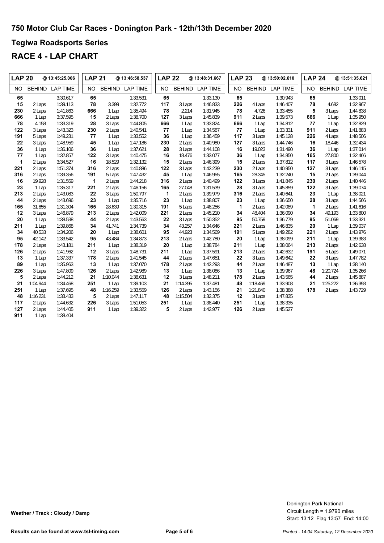### **Tegiwa Roadsports Series**

| <b>LAP 20</b> |               | @ 13:45:25.006  | <b>LAP 21</b> |          | @ 13:46:58.537  | <b>LAP 22</b> |          | @ 13:48:31.667  | <b>LAP 23</b> |               | @ 13:50:02.610  | <b>LAP 24</b> |               | @ 13:51:35.621  |
|---------------|---------------|-----------------|---------------|----------|-----------------|---------------|----------|-----------------|---------------|---------------|-----------------|---------------|---------------|-----------------|
| <b>NO</b>     | <b>BEHIND</b> | <b>LAP TIME</b> | <b>NO</b>     |          | BEHIND LAP TIME | <b>NO</b>     |          | BEHIND LAP TIME | <b>NO</b>     | <b>BEHIND</b> | <b>LAP TIME</b> | <b>NO</b>     | <b>BEHIND</b> | <b>LAP TIME</b> |
| 65            |               | 3:30.617        | 65            |          | 1:33.531        | 65            |          | 1:33.130        | 65            |               | 1:30.943        | 65            |               | 1:33.011        |
| 15            | 2 Laps        | 1:39.113        | 78            | 3.399    | 1:32.772        | 117           | 3 Laps   | 1:46.833        | 226           | 4 Laps        | 1:46.407        | 78            | 4.682         | 1:32.967        |
| 230           | 2 Laps        | 1:41.863        | 666           | 1 Lap    | 1:35.494        | 78            | 2.214    | 1:31.945        | 78            | 4.726         | 1:33.455        | 5             | 3 Laps        | 1:44.838        |
| 666           | 1 Lap         | 3:37.595        | 15            | 2 Laps   | 1:38.700        | 127           | 3 Laps   | 1:45.839        | 911           | 2 Laps        | 1:39.573        | 666           | 1 Lap         | 1:35.950        |
| 78            | 4.158         | 1:33.319        | 28            | 3 Laps   | 1:44.805        | 666           | 1 Lap    | 1:33.824        | 666           | 1 Lap         | 1:34.812        | 77            | 1 Lap         | 1:32.829        |
| 122           | 3 Laps        | 1:43.323        | 230           | 2 Laps   | 1:40.541        | 77            | 1 Lap    | 1:34.587        | 77            | 1 Lap         | 1:33.331        | 911           | 2 Laps        | 1:41.883        |
| 191           | 5 Laps        | 1:49.231        | 77            | 1 Lap    | 1:33.552        | 36            | 1 Lap    | 1:36.459        | 117           | 3 Laps        | 1:45.128        | 226           | 4 Laps        | 1:48.506        |
| 22            | 3 Laps        | 1:48.959        | 45            | 1 Lap    | 1:47.186        | 230           | 2 Laps   | 1:40.980        | 127           | 3 Laps        | 1:44.746        | 16            | 18.446        | 1:32.434        |
| 36            | 1 Lap         | 1:36.106        | 36            | 1 Lap    | 1:37.621        | 28            | 3 Laps   | 1:44.108        | 16            | 19.023        | 1:31.490        | 36            | 1 Lap         | 1:37.014        |
| 77            | 1 Lap         | 1:32.857        | 122           | 3 Laps   | 1:40.475        | 16            | 18.476   | 1:33.077        | 36            | 1 Lap         | 1:34.850        | 165           | 27.800        | 1:32.466        |
| 1             | 2 Laps        | 3:34.527        | 16            | 18.529   | 1:32.132        | 15            | 2 Laps   | 1:46.399        | 15            | 2 Laps        | 1:37.812        | 117           | 3 Laps        | 1:46.578        |
| 221           | 2 Laps        | 1:51.374        | 316           | 2 Laps   | 1:40.886        | 122           | 3 Laps   | 1:42.239        | 230           | 2 Laps        | 1:40.950        | 127           | 3 Laps        | 1:46.115        |
| 316           | 2 Laps        | 1:39.356        | 191           | 5 Laps   | 1:47.432        | 45            | 1 Lap    | 1:46.955        | 165           | 28.345        | 1:32.240        | 15            | 2 Laps        | 1:39.044        |
| 16            | 19.928        | 1:31.559        | $\mathbf{1}$  | 2 Laps   | 1:44.218        | 316           | 2 Laps   | 1:40.499        | 122           | 3 Laps        | 1:41.845        | 230           | 2 Laps        | 1:40.446        |
| 23            | 1 Lap         | 1:35.317        | 221           | 2 Laps   | 1:46.156        | 165           | 27.048   | 1:31.539        | 28            | 3 Laps        | 1:45.859        | 122           | 3 Laps        | 1:39.074        |
| 213           | 2 Laps        | 1:43.083        | 22            | 3 Laps   | 1:50.797        | 1             | 2 Laps   | 1:39.979        | 316           | 2 Laps        | 1:40.641        | 23            | 1 Lap         | 1:38.021        |
| 44            | 2 Laps        | 1:43.696        | 23            | 1 Lap    | 1:35.716        | 23            | 1 Lap    | 1:38.807        | 23            | 1 Lap         | 1:36.650        | 28            | 3 Laps        | 1:44.566        |
| 165           | 31.855        | 1:31.304        | 165           | 28.639   | 1:30.315        | 191           | 5 Laps   | 1:48.256        | $\mathbf{1}$  | 2 Laps        | 1:42.089        | $\mathbf{1}$  | 2 Laps        | 1:41.616        |
| 12            | 3 Laps        | 1:46.879        | 213           | 2 Laps   | 1:42.009        | 221           | 2 Laps   | 1:45.210        | 34            | 48.404        | 1:36.090        | 34            | 49.193        | 1:33.800        |
| 20            | 1 Lap         | 1:38.538        | 44            | 2 Laps   | 1:43.563        | 22            | 3 Laps   | 1:50.352        | 95            | 50.759        | 1:36.779        | 95            | 51.069        | 1:33.321        |
| 211           | 1 Lap         | 1:39.868        | 34            | 41.741   | 1:34.739        | 34            | 43.257   | 1:34.646        | 221           | 2 Laps        | 1:46.835        | 20            | 1 Lap         | 1:39.037        |
| 34            | 40.533        | 1:34.206        | 20            | 1 Lap    | 1:38.601        | 95            | 44.923   | 1:34.569        | 191           | 5 Laps        | 1:49.282        | 221           | 2 Laps        | 1:43.976        |
| 95            | 42.142        | 1:33.542        | 95            | 43.484   | 1:34.873        | 213           | 2 Laps   | 1:42.780        | 20            | 1 Lap         | 1:38.099        | 211           | 1 Lap         | 1:39.383        |
| 178           | 2 Laps        | 1:43.181        | 211           | 1 Lap    | 1:38.319        | 20            | 1 Lap    | 1:38.784        | 211           | 1 Lap         | 1:38.064        | 213           | 2 Laps        | 1:42.638        |
| 126           | 2 Laps        | 1:41.962        | 12            | 3 Laps   | 1:48.731        | 211           | 1 Lap    | 1:37.591        | 213           | 2 Laps        | 1:42.632        | 191           | 5 Laps        | 1:49.071        |
| 13            | 1 Lap         | 1:37.337        | 178           | 2 Laps   | 1:41.545        | 44            | 2 Laps   | 1:47.651        | 22            | 3 Laps        | 1:49.642        | 22            | 3 Laps        | 1:47.782        |
| 89            | 1 Lap         | 1:35.963        | 13            | 1 Lap    | 1:37.070        | 178           | 2 Laps   | 1:42.293        | 44            | 2 Laps        | 1:46.487        | 13            | 1 Lap         | 1:38.140        |
| 226           | 3 Laps        | 1:47.809        | 126           | 2 Laps   | 1:42.989        | 13            | 1 Lap    | 1:38.086        | 13            | 1 Lap         | 1:39.967        | 48            | 1:20.724      | 1:35.266        |
| 5             | 2 Laps        | 1:44.212        | 21            | 1:10.044 | 1:38.631        | 12            | 3 Laps   | 1:48.211        | 178           | 2 Laps        | 1:43.565        | 44            | 2 Laps        | 1:45.887        |
| 21            | 1:04.944      | 1:34.468        | 251           | 1 Lap    | 1:39.103        | 21            | 1:14.395 | 1:37.481        | 48            | 1:18.469      | 1:33.908        | 21            | 1:25.222      | 1:36.393        |
| 251           | 1 Lap         | 1:37.695        | 48            | 1:16.259 | 1:33.559        | 126           | 2 Laps   | 1:43.156        | 21            | 1:21.840      | 1:38.388        | 178           | 2 Laps        | 1:43.729        |
| 48            | 1:16.231      | 1:33.433        | 5             | 2 Laps   | 1:47.117        | 48            | 1:15.504 | 1:32.375        | 12            | 3 Laps        | 1:47.835        |               |               |                 |
| 117           | 2 Laps        | 1:44.632        | 226           | 3 Laps   | 1:51.053        | 251           | 1 Lap    | 1:38.440        | 251           | 1 Lap         | 1:38.335        |               |               |                 |
| 127           | 2 Laps        | 1:44.405        | 911           | 1 Lap    | 1:39.322        | 5             | 2 Laps   | 1:42.977        | 126           | 2 Laps        | 1:45.527        |               |               |                 |
| 911           | 1 Lap         | 1:38.404        |               |          |                 |               |          |                 |               |               |                 |               |               |                 |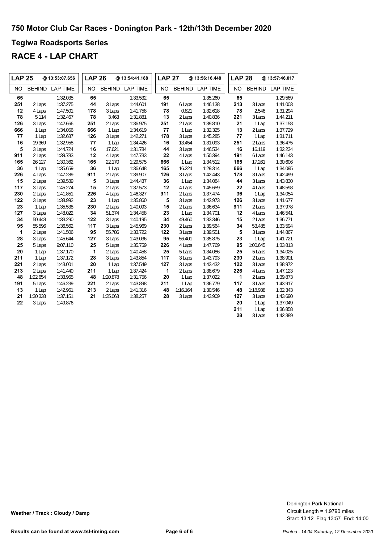### **Tegiwa Roadsports Series**

| <b>LAP 25</b> |          | @ 13:53:07.656         | <b>LAP 26</b> |          | @ 13:54:41.188  | <b>LAP 27</b> |          | @ 13:56:16.448         | <b>LAP 28</b> |          | @13:57:46.017   |
|---------------|----------|------------------------|---------------|----------|-----------------|---------------|----------|------------------------|---------------|----------|-----------------|
| <b>NO</b>     |          | <b>BEHIND LAP TIME</b> | <b>NO</b>     |          | BEHIND LAP TIME | <b>NO</b>     |          | <b>BEHIND LAP TIME</b> | <b>NO</b>     |          | BEHIND LAP TIME |
| 65            |          | 1:32.035               | 65            |          | 1:33.532        | 65            |          | 1:35.260               | 65            |          | 1:29.569        |
| 251           | 2 Laps   | 1:37.275               | 44            | 3 Laps   | 1:44.601        | 191           | 6 Laps   | 1:46.138               | 213           | 3 Laps   | 1:41.003        |
| 12            | 4 Laps   | 1:47.501               | 178           | 3 Laps   | 1:41.758        | 78            | 0.821    | 1:32.618               | 78            | 2.546    | 1:31.294        |
| 78            | 5.114    | 1:32.467               | 78            | 3.463    | 1:31.881        | 13            | 2 Laps   | 1:40.836               | 221           | 3 Laps   | 1:44.211        |
| 126           | 3 Laps   | 1:42.666               | 251           | 2 Laps   | 1:36.975        | 251           | 2 Laps   | 1:39.810               | 21            | 1 Lap    | 1:37.158        |
| 666           | 1 Lap    | 1:34.056               | 666           | 1 Lap    | 1:34.619        | 77            | 1 Lap    | 1:32.325               | 13            | 2 Laps   | 1:37.729        |
| 77            | 1 Lap    | 1:32.687               | 126           | 3 Laps   | 1:42.271        | 178           | 3 Laps   | 1:45.285               | 77            | 1 Lap    | 1:31.711        |
| 16            | 19.369   | 1:32.958               | 77            | 1 Lap    | 1:34.426        | 16            | 13.454   | 1:31.093               | 251           | 2 Laps   | 1:36.475        |
| 5             | 3 Laps   | 1:44.724               | 16            | 17.621   | 1:31.784        | 44            | 3 Laps   | 1:46.534               | 16            | 16.119   | 1:32.234        |
| 911           | 2 Laps   | 1:39.783               | 12            | 4 Laps   | 1:47.733        | 22            | 4 Laps   | 1:50.394               | 191           | 6 Laps   | 1:46.143        |
| 165           | 26.127   | 1:30.362               | 165           | 22.170   | 1:29.575        | 666           | 1 Lap    | 1:34.512               | 165           | 17.261   | 1:30.606        |
| 36            | 1 Lap    | 1:35.659               | 36            | 1 Lap    | 1:36.648        | 165           | 16.224   | 1:29.314               | 666           | 1 Lap    | 1:34.095        |
| 226           | 4 Laps   | 1:47.289               | 911           | 2 Laps   | 1:39.907        | 126           | 3 Laps   | 1:42.443               | 178           | 3 Laps   | 1:42.499        |
| 15            | 2 Laps   | 1:39.589               | 5             | 3 Laps   | 1:44.437        | 36            | 1 Lap    | 1:34.084               | 44            | 3 Laps   | 1:43.830        |
| 117           | 3 Laps   | 1:45.274               | 15            | 2 Laps   | 1:37.573        | 12            | 4 Laps   | 1:45.659               | 22            | 4 Laps   | 1:48.598        |
| 230           | 2 Laps   | 1:41.851               | 226           | 4 Laps   | 1:46.327        | 911           | 2 Laps   | 1:37.474               | 36            | 1 Lap    | 1:34.054        |
| 122           | 3 Laps   | 1:38.992               | 23            | 1 Lap    | 1:35.860        | 5             | 3 Laps   | 1:42.973               | 126           | 3 Laps   | 1:41.677        |
| 23            | 1 Lap    | 1:35.538               | 230           | 2 Laps   | 1:40.093        | 15            | 2 Laps   | 1:36.634               | 911           | 2 Laps   | 1:37.978        |
| 127           | 3 Laps   | 1:48.022               | 34            | 51.374   | 1:34.458        | 23            | 1 Lap    | 1:34.701               | 12            | 4 Laps   | 1:46.541        |
| 34            | 50.448   | 1:33.290               | 122           | 3 Laps   | 1:40.195        | 34            | 49.460   | 1:33.346               | 15            | 2 Laps   | 1:36.771        |
| 95            | 55.596   | 1:36.562               | 117           | 3 Laps   | 1:45.969        | 230           | 2 Laps   | 1:39.564               | 34            | 53.485   | 1:33.594        |
| 1             | 2 Laps   | 1:41.506               | 95            | 55.786   | 1:33.722        | 122           | 3 Laps   | 1:39.551               | 5             | 3 Laps   | 1:44.867        |
| 28            | 3 Laps   | 1:45.644               | 127           | 3 Laps   | 1:43.036        | 95            | 56.401   | 1:35.875               | 23            | 1 Lap    | 1:41.721        |
| 25            | 5 Laps   | 9:07.110               | 25            | 5 Laps   | 1:35.759        | 226           | 4 Laps   | 1:47.769               | 95            | 1:00.645 | 1:33.813        |
| 20            | 1 Lap    | 1:37.170               | 1             | 2 Laps   | 1:40.458        | 25            | 5 Laps   | 1:34.086               | 25            | 5 Laps   | 1:34.025        |
| 211           | 1 Lap    | 1:37.172               | 28            | 3 Laps   | 1:43.854        | 117           | 3 Laps   | 1:43.793               | 230           | 2 Laps   | 1:38.901        |
| 221           | 2 Laps   | 1:43.001               | 20            | 1 Lap    | 1:37.549        | 127           | 3 Laps   | 1:43.432               | 122           | 3 Laps   | 1:38.972        |
| 213           | 2 Laps   | 1:41.440               | 211           | 1 Lap    | 1:37.424        | 1             | 2 Laps   | 1:38.679               | 226           | 4 Laps   | 1:47.123        |
| 48            | 1:22.654 | 1:33.965               | 48            | 1:20.878 | 1:31.756        | 20            | 1 Lap    | 1:37.022               | $\mathbf{1}$  | 2 Laps   | 1:39.873        |
| 191           | 5 Laps   | 1:46.239               | 221           | 2 Laps   | 1:43.898        | 211           | 1 Lap    | 1:36.779               | 117           | 3 Laps   | 1:43.917        |
| 13            | 1 Lap    | 1:42.961               | 213           | 2 Laps   | 1:41.316        | 48            | 1:16.164 | 1:30.546               | 48            | 1:18.938 | 1:32.343        |
| 21            | 1:30.338 | 1:37.151               | 21            | 1:35.063 | 1:38.257        | 28            | 3 Laps   | 1:43.909               | 127           | 3 Laps   | 1:43.690        |
| 22            | 3 Laps   | 1:49.876               |               |          |                 |               |          |                        | 20            | 1 Lap    | 1:37.049        |
|               |          |                        |               |          |                 |               |          |                        | 211           | 1 Lap    | 1:36.858        |
|               |          |                        |               |          |                 |               |          |                        | 28            | 3 Laps   | 1:42.389        |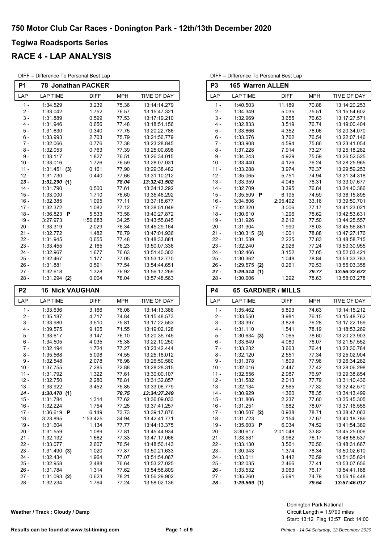### **RACE 4 - LAP ANALYSIS**

| DIFF = Difference To Personal Best Lap |
|----------------------------------------|
|                                        |

| P <sub>1</sub> | <b>78 Jonathan PACKER</b> |          |                           |              |  |  |  |
|----------------|---------------------------|----------|---------------------------|--------------|--|--|--|
| LAP            | <b>LAP TIME</b>           | DIFF     | <b>MPH</b><br>TIME OF DAY |              |  |  |  |
| 1 -            | 1:34.529                  | 3.239    | 75.36                     | 13:14:14.279 |  |  |  |
| 2 -            | 1:33.042                  | 1.752    | 76.57<br>13:15:47.321     |              |  |  |  |
| 3 -            | 1:31.889                  | 0.599    | 77.53                     | 13:17:19.210 |  |  |  |
| $4 -$          | 1:31.946                  | 0.656    | 77.48                     | 13:18:51.156 |  |  |  |
| 5 -            | 1:31.630                  | 0.340    | 77.75                     | 13:20:22.786 |  |  |  |
| 6 -            | 1:33.993                  | 2.703    | 75.79                     | 13:21:56.779 |  |  |  |
| 7 -            | 1:32.066                  | 0.776    | 77.38                     | 13:23:28.845 |  |  |  |
| 8 -            | 1:32.053                  | 0.763    | 77.39                     | 13:25:00.898 |  |  |  |
| $9 -$          | 1:33.117                  | 1.827    | 76.51                     | 13:26:34.015 |  |  |  |
| $10 -$         | 1:33.016                  | 1.726    | 76.59                     | 13:28:07.031 |  |  |  |
| $11 -$         | 1:31.451<br>(3)           | 0.161    | 77.90                     | 13:29:38.482 |  |  |  |
| $12 -$         | 1:31.730                  | 0.440    | 77.66                     | 13:31:10.212 |  |  |  |
| $13 -$         | 1:31.290<br>(1)           |          | 78.04                     | 13:32:41.502 |  |  |  |
| $14 -$         | 1:31.790                  | 0.500    | 77.61                     | 13:34:13.292 |  |  |  |
| $15 -$         | 1:33.000                  | 1.710    | 76.60                     | 13:35:46.292 |  |  |  |
| $16 -$         | 1:32.385                  | 1.095    | 77.11                     | 13:37:18.677 |  |  |  |
| $17 -$         | 1:32.372                  | 1.082    | 77.12                     | 13:38:51.049 |  |  |  |
| $18 -$         | 1:36.823<br>P             | 5.533    | 73.58                     | 13:40:27.872 |  |  |  |
| $19 -$         | 3:27.973                  | 1:56.683 | 34.25                     | 13:43:55.845 |  |  |  |
| 20 -           | 1:33.319                  | 2.029    | 76.34                     | 13:45:29.164 |  |  |  |
| $21 -$         | 1:32.772                  | 1.482    | 76.79                     | 13:47:01.936 |  |  |  |
| 22 -           | 1:31.945                  | 0.655    | 77.48                     | 13:48:33.881 |  |  |  |
| 23 -           | 1:33.455                  | 2.165    | 76.23                     | 13:50:07.336 |  |  |  |
| $24 -$         | 1:32.967                  | 1.677    | 76.63                     | 13:51:40.303 |  |  |  |
| 25 -           | 1:32.467                  | 1.177    | 77.05                     | 13:53:12.770 |  |  |  |
| 26 -           | 1:31.881                  | 0.591    | 77.54                     | 13:54:44.651 |  |  |  |
| 27 -           | 1:32.618                  | 1.328    | 76.92                     | 13:56:17.269 |  |  |  |
| 28 -           | $1:31.294$ (2)            | 0.004    | 78.04                     | 13:57:48.563 |  |  |  |
| P2             | <b>16 Nick VAUGHAN</b>    |          |                           |              |  |  |  |
| LAP            | LAP TIME                  | DIFF     | <b>MPH</b>                | TIME OF DAY  |  |  |  |
| $1 -$          | 1:33.636                  | 3.166    | 76.08                     | 13:14:13.386 |  |  |  |
| 2 -            | 1:35.187                  | 4.717    | 74.84                     | 13:15:48.573 |  |  |  |
| 3 -            | 1:33.980                  | 3.510    | 75.81                     | 13:17:22.553 |  |  |  |
| 4 -            | 1:39.575                  | 9.105    | 71.55                     | 13:19:02.128 |  |  |  |
| 5 -            | 1:33.617                  | 3.147    | 76.10                     | 13:20:35.745 |  |  |  |
| 6 -            | 1:34.505                  | 4.035    | 75.38                     | 13:22:10.250 |  |  |  |
| 7 -            | 1:32.194                  | 1.724    | 77.27                     | 13:23:42.444 |  |  |  |
| 8 -            | 1:35.568                  | 5.098    | 74.55                     | 13:25:18.012 |  |  |  |
| 9 -            | 1:32.548                  | 2.078    | 76.98                     | 13:26:50.560 |  |  |  |
| 10 -           | 1:37.755                  | 7.285    | 72.88                     | 13:28:28.315 |  |  |  |
| 11 -           | 1:31.792                  | 1.322    | 77.61                     | 13:30:00.107 |  |  |  |
| $12 -$         | 1:32.750                  | 2.280    | 76.81                     | 13:31:32.857 |  |  |  |
| $13 -$         | 1:33.922                  | 3.452    | 75.85                     | 13:33:06.779 |  |  |  |
| $14 -$         | 1:30.470(1)               |          | 78.75                     | 13:34:37.249 |  |  |  |
| $15 -$         | 1:31.784                  | 1.314    | 77.62                     | 13:36:09.033 |  |  |  |
| $16 -$         | 1:32.224                  | 1.754    | 77.25                     | 13:37:41.257 |  |  |  |
| $17 -$         | 1:36.619<br>P             | 6.149    | 73.73                     | 13:39:17.876 |  |  |  |
| $18 -$         | 3:23.895                  | 1:53.425 | 34.94                     | 13:42:41.771 |  |  |  |

19 - 1:31.604 1.134 77.77 13:44:13.375<br>20 - 1:31.559 1.089 77.81 13:45:44.934 1:31.559 1.089 77.81 13:45:44.934 21 - 1:32.132 1.662 13:47:17.066 77.33 22 - 1:33.077 2.607 13:48:50.143 76.54 23 - 1:31.490 1.020 13:50:21.633 **(3)** 77.87 24 - 1:32.434 1.964 77.07 13:51:54.067<br>25 - 1:32.958 2.488 76.64 13:53:27.025

26 - 1:31.784 1.314 77.62 13:54:58.809<br>27 - 1:31.093 (2) 0.623 78.21 13:56:29.902 1:31.093 **(2)** 0.623 78.21<br>1:32.234 1.764 77.24 28 - 1:32.234 1.764 13:58:02.136 77.24

| DIFF = Difference To Personal Best Lap |                         |             |            |              |  |  |  |  |  |
|----------------------------------------|-------------------------|-------------|------------|--------------|--|--|--|--|--|
| P <sub>3</sub>                         | <b>165 Warren ALLEN</b> |             |            |              |  |  |  |  |  |
| LAP                                    | <b>LAP TIME</b>         | <b>DIFF</b> | <b>MPH</b> | TIME OF DAY  |  |  |  |  |  |
| $1 -$                                  | 1:40.503                | 11.189      | 70.88      | 13:14:20.253 |  |  |  |  |  |
| $2-$                                   | 1:34.349                | 5.035       | 75.51      | 13:15:54.602 |  |  |  |  |  |
| $3 -$                                  | 1:32.969                | 3.655       | 76.63      | 13:17:27.571 |  |  |  |  |  |
| $4 -$                                  | 1:32.833                | 3.519       | 76.74      | 13:19:00.404 |  |  |  |  |  |
| $5 -$                                  | 1:33.666                | 4.352       | 76.06      | 13:20:34.070 |  |  |  |  |  |
| $6 -$                                  | 1:33.076                | 3.762       | 76.54      | 13:22:07.146 |  |  |  |  |  |
| 7 -                                    | 1:33.908                | 4.594       | 75.86      | 13:23:41.054 |  |  |  |  |  |
| 8 -                                    | 1:37.228                | 7.914       | 73.27      | 13:25:18.282 |  |  |  |  |  |
| $9 -$                                  | 1:34.243                | 4.929       | 75.59      | 13:26:52.525 |  |  |  |  |  |
| $10 -$                                 | 1:33.440                | 4.126       | 76.24      | 13:28:25.965 |  |  |  |  |  |
| $11 -$                                 | 1:33.288                | 3.974       | 76.37      | 13:29:59.253 |  |  |  |  |  |
| $12 -$                                 | 1:35.065                | 5.751       | 74.94      | 13:31:34.318 |  |  |  |  |  |
| $13 -$                                 | 1:33.359                | 4.045       | 76.31      | 13:33:07.677 |  |  |  |  |  |
| $14 -$                                 | 1:32.709                | 3.395       | 76.84      | 13:34:40.386 |  |  |  |  |  |
| $15 -$                                 | 1:35.509<br>P           | 6.195       | 74.59      | 13:36:15.895 |  |  |  |  |  |
| $16 -$                                 | 3:34.806                | 2:05.492    | 33.16      | 13:39:50.701 |  |  |  |  |  |
| $17 -$                                 | 1:32.320                | 3.006       | 77.17      | 13:41:23.021 |  |  |  |  |  |
| $18 -$                                 | 1:30.610                | 1.296       | 78.62      | 13:42:53.631 |  |  |  |  |  |
| $19 -$                                 | 1:31.926                | 2.612       | 77.50      | 13:44:25.557 |  |  |  |  |  |
| 20 -                                   | 1:31.304                | 1.990       | 78.03      | 13:45:56.861 |  |  |  |  |  |
| $21 -$                                 | 1:30.315<br>(3)         | 1.001       | 78.88      | 13:47:27.176 |  |  |  |  |  |
| $22 -$                                 | 1:31.539                | 2.225       | 77.83      | 13:48:58.715 |  |  |  |  |  |
| $23 -$                                 | 1:32.240                | 2.926       | 77.24      | 13:50:30.955 |  |  |  |  |  |
| $24 -$                                 | 1:32.466                | 3.152       | 77.05      | 13:52:03.421 |  |  |  |  |  |
| $25 -$                                 | 1:30.362                | 1.048       | 78.84      | 13:53:33.783 |  |  |  |  |  |
| $26 -$                                 | 1:29.575<br>(2)         | 0.261       | 79.53      | 13:55:03.358 |  |  |  |  |  |
| $27 -$                                 | 1:29.314<br>(1)         |             | 79.77      | 13:56:32.672 |  |  |  |  |  |
| $28 -$                                 | 1:30.606                | 1.292       | 78.63      | 13:58:03.278 |  |  |  |  |  |

| P4     | <b>65 GARDNER / MILLS</b> |             |            |                    |  |  |  |
|--------|---------------------------|-------------|------------|--------------------|--|--|--|
| LAP    | <b>LAP TIME</b>           | <b>DIFF</b> | <b>MPH</b> | <b>TIME OF DAY</b> |  |  |  |
| $1 -$  | 1:35.462                  | 5.893       | 74.63      | 13:14:15.212       |  |  |  |
| $2 -$  | 1:33.550                  | 3.981       | 76.15      | 13:15:48.762       |  |  |  |
| $3 -$  | 1:33.397                  | 3.828       | 76.28      | 13:17:22.159       |  |  |  |
| 4 -    | 1:31.110                  | 1.541       | 78.19      | 13:18:53.269       |  |  |  |
| $5 -$  | 1:30.634<br>(3)           | 1.065       | 78.60      | 13:20:23.903       |  |  |  |
| 6 -    | 1:33.649                  | 4.080       | 76.07      | 13:21:57.552       |  |  |  |
| 7 -    | 1:33.232                  | 3.663       | 76.41      | 13:23:30.784       |  |  |  |
| $8 -$  | 1:32.120                  | 2.551       | 77.34      | 13:25:02.904       |  |  |  |
| $9 -$  | 1:31.378                  | 1.809       | 77.96      | 13:26:34.282       |  |  |  |
| $10 -$ | 1:32.016                  | 2.447       | 77.42      | 13:28:06.298       |  |  |  |
| $11 -$ | 1:32.556                  | 2.987       | 76.97      | 13:29:38.854       |  |  |  |
| $12 -$ | 1:31.582                  | 2.013       | 77.79      | 13:31:10.436       |  |  |  |
| $13 -$ | 1:32.134                  | 2.565       | 77.32      | 13:32:42.570       |  |  |  |
| $14 -$ | 1:30.929                  | 1.360       | 78.35      | 13:34:13.499       |  |  |  |
| $15 -$ | 1:31.806                  | 2.237       | 77.60      | 13:35:45.305       |  |  |  |
| $16 -$ | 1:31.251                  | 1.682       | 78.07      | 13:37:16.556       |  |  |  |
| $17 -$ | 1:30.507<br>(2)           | 0.938       | 78.71      | 13:38:47.063       |  |  |  |
| $18 -$ | 1:31.723                  | 2.154       | 77.67      | 13:40:18.786       |  |  |  |
| $19 -$ | 1:35.603<br>P             | 6.034       | 74.52      | 13:41:54.389       |  |  |  |
| $20 -$ | 3:30.617                  | 2:01.048    | 33.82      | 13:45:25.006       |  |  |  |
| $21 -$ | 1:33.531                  | 3.962       | 76.17      | 13:46:58.537       |  |  |  |
| $22 -$ | 1:33.130                  | 3.561       | 76.50      | 13:48:31.667       |  |  |  |
| $23 -$ | 1:30.943                  | 1.374       | 78.34      | 13:50:02.610       |  |  |  |
| $24 -$ | 1:33.011                  | 3.442       | 76.59      | 13:51:35.621       |  |  |  |
| $25 -$ | 1:32.035                  | 2.466       | 77.41      | 13:53:07.656       |  |  |  |
| $26 -$ | 1:33.532                  | 3.963       | 76.17      | 13:54:41.188       |  |  |  |
| $27 -$ | 1:35.260                  | 5.691       | 74.79      | 13:56:16.448       |  |  |  |
| $28 -$ | 1:29.569<br>(1)           |             | 79.54      | 13:57:46.017       |  |  |  |

Circuit Length = 1.9790 miles Donington Park National

|  |  |  |  |  | Weather / Track : Cloudy / Damp |  |  |
|--|--|--|--|--|---------------------------------|--|--|
|--|--|--|--|--|---------------------------------|--|--|

Start: 13:12 Flag 13:57 End: 14:00

13:53:27.025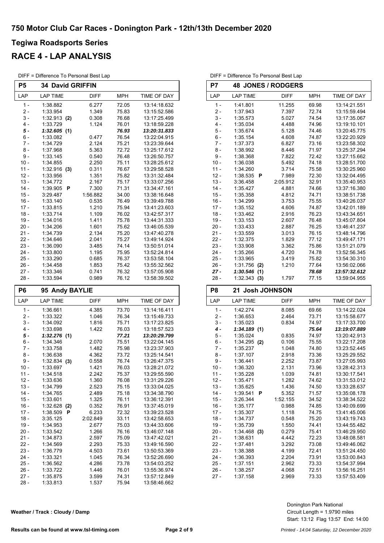### **RACE 4 - LAP ANALYSIS**

DIFF = Difference To Personal Best Lap

| Р5     | <b>34 David GRIFFIN</b> |             |            |                    |  |  |  |
|--------|-------------------------|-------------|------------|--------------------|--|--|--|
| LAP    | <b>LAP TIME</b>         | <b>DIFF</b> | <b>MPH</b> | <b>TIME OF DAY</b> |  |  |  |
| $1 -$  | 1:38.882                | 6.277       | 72.05      | 13:14:18.632       |  |  |  |
| $2 -$  | 1:33.954                | 1.349       | 75.83      | 13:15:52.586       |  |  |  |
| $3 -$  | 1:32.913<br>(2)         | 0.308       | 76.68      | 13:17:25.499       |  |  |  |
| $4 -$  | 1:33.729                | 1.124       | 76.01      | 13:18:59.228       |  |  |  |
| $5 -$  | 1:32.605<br>(1)         |             | 76.93      | 13:20:31.833       |  |  |  |
| $6 -$  | 1:33.082                | 0.477       | 76.54      | 13:22:04.915       |  |  |  |
| $7 -$  | 1:34.729                | 2.124       | 75.21      | 13:23:39.644       |  |  |  |
| $8 -$  | 1:37.968                | 5.363       | 72.72      | 13:25:17.612       |  |  |  |
| $9 -$  | 1:33.145                | 0.540       | 76.48      | 13:26:50.757       |  |  |  |
| $10 -$ | 1:34.855                | 2.250       | 75.11      | 13:28:25.612       |  |  |  |
| $11 -$ | 1:32.916<br>(3)         | 0.311       | 76.67      | 13:29:58.528       |  |  |  |
| $12 -$ | 1:33.956                | 1.351       | 75.82      | 13:31:32.484       |  |  |  |
| $13 -$ | 1:34.772                | 2.167       | 75.17      | 13:33:07.256       |  |  |  |
| $14 -$ | 1:39.905<br>P           | 7.300       | 71.31      | 13:34:47.161       |  |  |  |
| $15 -$ | 3:29.487                | 1:56.882    | 34.00      | 13:38:16.648       |  |  |  |
| $16 -$ | 1:33.140                | 0.535       | 76.49      | 13:39:49.788       |  |  |  |
| $17 -$ | 1:33.815                | 1.210       | 75.94      | 13:41:23.603       |  |  |  |
| $18 -$ | 1:33.714                | 1.109       | 76.02      | 13:42:57.317       |  |  |  |
| $19 -$ | 1:34.016                | 1.411       | 75.78      | 13:44:31.333       |  |  |  |
| $20 -$ | 1:34.206                | 1.601       | 75.62      | 13:46:05.539       |  |  |  |
| $21 -$ | 1:34.739                | 2.134       | 75.20      | 13:47:40.278       |  |  |  |
| $22 -$ | 1:34.646                | 2.041       | 75.27      | 13:49:14.924       |  |  |  |
| $23 -$ | 1:36.090                | 3.485       | 74.14      | 13:50:51.014       |  |  |  |
| $24 -$ | 1:33.800                | 1.195       | 75.95      | 13:52:24.814       |  |  |  |
| $25 -$ | 1:33.290                | 0.685       | 76.37      | 13:53:58.104       |  |  |  |
| $26 -$ | 1:34.458                | 1.853       | 75.42      | 13:55:32.562       |  |  |  |
| $27 -$ | 1:33.346                | 0.741       | 76.32      | 13:57:05.908       |  |  |  |
| 28 -   | 1:33.594                | 0.989       | 76.12      | 13:58:39.502       |  |  |  |

| P6     | 95 Andy BAYLIE  |             |            |                    |  |  |
|--------|-----------------|-------------|------------|--------------------|--|--|
| LAP    | <b>LAP TIME</b> | <b>DIFF</b> | <b>MPH</b> | <b>TIME OF DAY</b> |  |  |
| 1 -    | 1:36.661        | 4.385       | 73.70      | 13:14:16.411       |  |  |
| $2 -$  | 1:33.322        | 1.046       | 76.34      | 13:15:49.733       |  |  |
| $3 -$  | 1:34.092        | 1.816       | 75.71      | 13:17:23.825       |  |  |
| 4 -    | 1:33.698        | 1.422       | 76.03      | 13:18:57.523       |  |  |
| 5 -    | 1:32.276<br>(1) |             | 77.21      | 13:20:29.799       |  |  |
| $6 -$  | 1:34.346        | 2.070       | 75.51      | 13:22:04.145       |  |  |
| 7 -    | 1:33.758        | 1.482       | 75.98      | 13:23:37.903       |  |  |
| $8 -$  | 1:36.638        | 4.362       | 73.72      | 13:25:14.541       |  |  |
| $9-$   | 1:32.834<br>(3) | 0.558       | 76.74      | 13:26:47.375       |  |  |
| $10 -$ | 1:33.697        | 1.421       | 76.03      | 13:28:21.072       |  |  |
| $11 -$ | 1:34.518        | 2.242       | 75.37      | 13:29:55.590       |  |  |
| 12 -   | 1:33.636        | 1.360       | 76.08      | 13:31:29.226       |  |  |
| $13 -$ | 1:34.799        | 2.523       | 75.15      | 13:33:04.025       |  |  |
| $14 -$ | 1:34.765        | 2.489       | 75.18      | 13:34:38.790       |  |  |
| $15 -$ | 1:33.601        | 1.325       | 76.11      | 13:36:12.391       |  |  |
| $16 -$ | 1:32.628<br>(2) | 0.352       | 76.91      | 13:37:45.019       |  |  |
| $17 -$ | 1:38.509<br>P   | 6.233       | 72.32      | 13:39:23.528       |  |  |
| $18 -$ | 3:35.125        | 2:02.849    | 33.11      | 13:42:58.653       |  |  |
| $19 -$ | 1:34.953        | 2.677       | 75.03      | 13:44:33.606       |  |  |
| $20 -$ | 1:33.542        | 1.266       | 76.16      | 13:46:07.148       |  |  |
| $21 -$ | 1:34.873        | 2.597       | 75.09      | 13:47:42.021       |  |  |
| $22 -$ | 1:34.569        | 2.293       | 75.33      | 13:49:16.590       |  |  |
| $23 -$ | 1:36.779        | 4.503       | 73.61      | 13:50:53.369       |  |  |
| $24 -$ | 1:33.321        | 1.045       | 76.34      | 13:52:26.690       |  |  |
| $25 -$ | 1:36.562        | 4.286       | 73.78      | 13:54:03.252       |  |  |
| 26 -   | 1:33.722        | 1.446       | 76.01      | 13:55:36.974       |  |  |
| 27 -   | 1:35.875        | 3.599       | 74.31      | 13:57:12.849       |  |  |
| 28 -   | 1:33.813        | 1.537       | 75.94      | 13:58:46.662       |  |  |

| P7     | <b>48 JONES / RODGERS</b> |             |            |              |  |  |
|--------|---------------------------|-------------|------------|--------------|--|--|
| LAP    | <b>LAP TIME</b>           | <b>DIFF</b> | <b>MPH</b> | TIME OF DAY  |  |  |
| $1 -$  | 1:41.801                  | 11.255      | 69.98      | 13:14:21.551 |  |  |
| $2-$   | 1:37.943                  | 7.397       | 72.74      | 13:15:59.494 |  |  |
| $3 -$  | 1:35.573                  | 5.027       | 74.54      | 13:17:35.067 |  |  |
| $4 -$  | 1:35.034                  | 4.488       | 74.96      | 13:19:10.101 |  |  |
| $5 -$  | 1:35.674                  | 5.128       | 74.46      | 13:20:45.775 |  |  |
| $6 -$  | 1:35.154                  | 4.608       | 74.87      | 13:22:20.929 |  |  |
| $7 -$  | 1:37.373                  | 6.827       | 73.16      | 13:23:58.302 |  |  |
| $8 -$  | 1:38.992                  | 8.446       | 71.97      | 13:25:37.294 |  |  |
| 9 -    | 1:38.368                  | 7.822       | 72.42      | 13:27:15.662 |  |  |
| $10 -$ | 1:36.038                  | 5.492       | 74.18      | 13:28:51.700 |  |  |
| $11 -$ | 1:34.260                  | 3.714       | 75.58      | 13:30:25.960 |  |  |
| $12 -$ | 1:38.535<br>P             | 7.989       | 72.30      | 13:32:04.495 |  |  |
| $13 -$ | 3:36.458                  | 2:05.912    | 32.91      | 13:35:40.953 |  |  |
| $14 -$ | 1:35.427                  | 4.881       | 74.66      | 13:37:16.380 |  |  |
| $15 -$ | 1:35.358                  | 4.812       | 74.71      | 13:38:51.738 |  |  |
| $16 -$ | 1:34.299                  | 3.753       | 75.55      | 13:40:26.037 |  |  |
| $17 -$ | 1:35.152                  | 4.606       | 74.87      | 13:42:01.189 |  |  |
| $18 -$ | 1:33.462                  | 2.916       | 76.23      | 13:43:34.651 |  |  |
| $19 -$ | 1:33.153                  | 2.607       | 76.48      | 13:45:07.804 |  |  |
| $20 -$ | 1:33.433                  | 2.887       | 76.25      | 13:46:41.237 |  |  |
| $21 -$ | 1:33.559                  | 3.013       | 76.15      | 13:48:14.796 |  |  |
| $22 -$ | 1:32.375                  | 1.829       | 77.12      | 13:49:47.171 |  |  |
| $23 -$ | 1:33.908                  | 3.362       | 75.86      | 13:51:21.079 |  |  |
| $24 -$ | 1:35.266                  | 4.720       | 74.78      | 13:52:56.345 |  |  |
| $25 -$ | 1:33.965                  | 3.419       | 75.82      | 13:54:30.310 |  |  |
| 26 -   | 1:31.756<br>(2)           | 1.210       | 77.64      | 13:56:02.066 |  |  |
| $27 -$ | 1:30.546<br>(1)           |             | 78.68      | 13:57:32.612 |  |  |
| 28 -   | 1:32.343<br>(3)           | 1.797       | 77.15      | 13:59:04.955 |  |  |

DIFF = Difference To Personal Best Lap

| P8     | 21 Josh JOHNSON |             |            |              |  |  |
|--------|-----------------|-------------|------------|--------------|--|--|
| LAP    | <b>LAP TIME</b> | <b>DIFF</b> | <b>MPH</b> | TIME OF DAY  |  |  |
| $1 -$  | 1:42.274        | 8.085       | 69.66      | 13:14:22.024 |  |  |
| 2 -    | 1:36.653        | 2.464       | 73.71      | 13:15:58.677 |  |  |
| $3 -$  | 1:35.023        | 0.834       | 74.97      | 13:17:33.700 |  |  |
| $4 -$  | 1:34.189(1)     |             | 75.64      | 13:19:07.889 |  |  |
| $5 -$  | 1:35.024        | 0.835       | 74.97      | 13:20:42.913 |  |  |
| $6 -$  | 1:34.295 (2)    | 0.106       | 75.55      | 13:22:17.208 |  |  |
| $7 -$  | 1:35.237        | 1.048       | 74.80      | 13:23:52.445 |  |  |
| $8 -$  | 1:37.107        | 2.918       | 73.36      | 13:25:29.552 |  |  |
| $9 -$  | 1:36.441        | 2.252       | 73.87      | 13:27:05.993 |  |  |
| $10 -$ | 1:36.320        | 2.131       | 73.96      | 13:28:42.313 |  |  |
| $11 -$ | 1:35.228        | 1.039       | 74.81      | 13:30:17.541 |  |  |
| $12 -$ | 1:35.471        | 1.282       | 74.62      | 13:31:53.012 |  |  |
| $13 -$ | 1:35.625        | 1.436       | 74.50      | 13:33:28.637 |  |  |
| $14 -$ | 1:39.541<br>P   | 5.352       | 71.57      | 13:35:08.178 |  |  |
| $15 -$ | 3:26.344        | 1:52.155    | 34.52      | 13:38:34.522 |  |  |
| $16 -$ | 1:35.177        | 0.988       | 74.85      | 13:40:09.699 |  |  |
| $17 -$ | 1:35.307        | 1.118       | 74.75      | 13:41:45.006 |  |  |
| $18 -$ | 1:34.737        | 0.548       | 75.20      | 13:43:19.743 |  |  |
| $19 -$ | 1:35.739        | 1.550       | 74.41      | 13:44:55.482 |  |  |
| $20 -$ | 1:34.468<br>(3) | 0.279       | 75.41      | 13:46:29.950 |  |  |
| $21 -$ | 1:38.631        | 4.442       | 72.23      | 13.48.08.581 |  |  |
| $22 -$ | 1:37.481        | 3.292       | 73.08      | 13:49:46.062 |  |  |
| 23 -   | 1:38.388        | 4.199       | 72.41      | 13:51:24.450 |  |  |
| 24 -   | 1:36.393        | 2.204       | 73.91      | 13:53:00.843 |  |  |
| 25 -   | 1:37.151        | 2.962       | 73.33      | 13:54:37.994 |  |  |
| $26 -$ | 1:38.257        | 4.068       | 72.51      | 13:56:16.251 |  |  |
| $27 -$ | 1:37.158        | 2.969       | 73.33      | 13:57:53.409 |  |  |

|  |  |  |  |  | Weather / Track : Cloudy / Damp |  |  |
|--|--|--|--|--|---------------------------------|--|--|
|--|--|--|--|--|---------------------------------|--|--|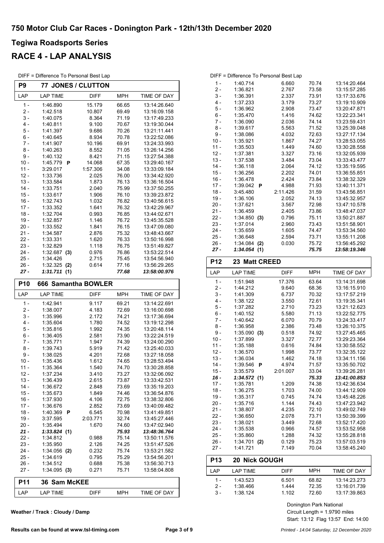### **RACE 4 - LAP ANALYSIS**

| DIFF = Difference To Personal Best Lap |
|----------------------------------------|
|                                        |

r.

| P9               |                        | 77 JONES / CLUTTON |                |                              |
|------------------|------------------------|--------------------|----------------|------------------------------|
| LAP              | <b>LAP TIME</b>        | <b>DIFF</b>        | <b>MPH</b>     | TIME OF DAY                  |
| $1 -$            | 1:46.890               | 15.179             | 66.65          | 13:14:26.640                 |
| 2 -              | 1:42.518               | 10.807             | 69.49          | 13:16:09.158                 |
| 3 -              | 1:40.075               | 8.364              | 71.19          | 13:17:49.233                 |
| $4 -$            | 1:40.811               | 9.100              | 70.67          | 13:19:30.044                 |
| 5 -              | 1:41.397               | 9.686              | 70.26          | 13:21:11.441                 |
| 6 -              | 1:40.645               | 8.934              | 70.78          | 13:22:52.086                 |
| $7 -$            | 1:41.907               | 10.196             | 69.91          | 13:24:33.993                 |
| 8 -              | 1:40.263               | 8.552              | 71.05          | 13:26:14.256                 |
| 9 -              | 1:40.132               | 8.421              | 71.15          | 13:27:54.388                 |
| $10 -$           | 1:45.779<br>P          | 14.068             | 67.35          | 13:29:40.167                 |
| $11 -$           | 3:29.017               | 1:57.306           | 34.08          | 13:33:09.184                 |
| $12 -$           | 1:33.736               | 2.025              | 76.00          | 13:34:42.920                 |
| $13 -$<br>14 -   | 1:33.584<br>1:33.751   | 1.873<br>2.040     | 76.13<br>75.99 | 13:36:16.504<br>13:37:50.255 |
| $15 -$           | 1:33.617               | 1.906              | 76.10          | 13:39:23.872                 |
| $16 -$           | 1:32.743               | 1.032              | 76.82          | 13:40:56.615                 |
| $17 -$           | 1:33.352               | 1.641              | 76.32          | 13:42:29.967                 |
| $18 -$           | 1:32.704               | 0.993              | 76.85          | 13:44:02.671                 |
| $19 -$           | 1:32.857               | 1.146              | 76.72          | 13:45:35.528                 |
| 20 -             | 1:33.552               | 1.841              | 76.15          | 13:47:09.080                 |
| $21 -$           | 1:34.587               | 2.876              | 75.32          | 13:48:43.667                 |
| $22 -$           | 1:33.331               | 1.620              | 76.33          | 13:50:16.998                 |
| 23 -             | 1:32.829               | 1.118              | 76.75          | 13:51:49.827                 |
| $24 -$           | 1:32.687<br>(3)        | 0.976              | 76.86          | 13:53:22.514                 |
| $25 -$           | 1:34.426               | 2.715              | 75.45          | 13:54:56.940                 |
| 26 -             | 1:32.325<br>(2)        | 0.614              | 77.16          | 13:56:29.265                 |
| 27 -             | 1:31.711<br>(1)        |                    | 77.68          | 13:58:00.976                 |
| <b>P10</b>       | 666 Samantha BOWLER    |                    |                |                              |
|                  |                        |                    |                |                              |
| LAP              | <b>LAP TIME</b>        | <b>DIFF</b>        | <b>MPH</b>     |                              |
|                  |                        |                    |                | TIME OF DAY                  |
| $1 -$            | 1:42.941               | 9.117              | 69.21          | 13:14:22.691                 |
| $2 -$<br>$3 -$   | 1:38.007<br>1:35.996   | 4.183              | 72.69<br>74.21 | 13:16:00.698<br>13:17:36.694 |
| $4 -$            | 1:35.604               | 2.172<br>1.780     | 74.52          | 13:19:12.298                 |
| 5 -              | 1:35.816               | 1.992              | 74.35          | 13:20:48.114                 |
| 6 -              | 1:36.405               | 2.581              | 73.90          | 13:22:24.519                 |
| 7 -              | 1:35.771               | 1.947              | 74.39          | 13:24:00.290                 |
| 8 -              | 1:39.743               | 5.919              | 71.42          | 13:25:40.033                 |
| 9 -              | 1:38.025               | 4.201              | 72.68          | 13:27:18.058                 |
| $10 -$           | 1:35.436               | 1.612              | 74.65          | 13:28:53.494                 |
| $11 -$           | 1:35.364               | 1.540              | 74.70          | 13:30:28.858                 |
| $12 -$           | 1:37.234               | 3.410              | 73.27          | 13:32:06.092                 |
| $13 -$           | 1:36.439               | 2.615              | 73.87          | 13:33:42.531                 |
| $14 -$           | 1:36.672               | 2.848              | 73.69          | 13:35:19.203                 |
| $15 -$           | 1:35.673               | 1.849              | 74.46          | 13:36:54.876                 |
| $16 -$           | 1:37.930               | 4.106              | 72.75          | 13:38:32.806                 |
| $17 -$           | 1:36.676               | 2.852              | 73.69          | 13:40:09.482                 |
| $18 -$           | 1:40.369<br>P          | 6.545              | 70.98          | 13:41:49.851                 |
| $19 -$           | 3:37.595               | 2:03.771           | 32.74          | 13:45:27.446                 |
| $20 -$           | 1:35.494               | 1.670              | 74.60          | 13:47:02.940<br>13:48:36.764 |
| $21 -$<br>$22 -$ | 1:33.824(1)            |                    | 75.93          | 13:50:11.576                 |
| 23 -             | 1:34.812<br>1:35.950   | 0.988              | 75.14          | 13:51:47.526                 |
| 24 -             | $1:34.056$ (2)         | 2.126<br>0.232     | 74.25<br>75.74 | 13:53:21.582                 |
| 25 -             | 1:34.619               | 0.795              | 75.29          | 13:54:56.201                 |
| $26 -$           | 1:34.512               | 0.688              | 75.38          | 13:56:30.713                 |
| 27 -             | $1:34.095$ (3)         | 0.271              | 75.71          | 13:58:04.808                 |
| <b>P11</b>       | <b>Sam McKEE</b><br>36 |                    |                |                              |

| Weather / Track: Cloudy / Damp |  |
|--------------------------------|--|
|--------------------------------|--|

|        | DIFF = Difference To Personal Best Lap |          |       |              |  |  |
|--------|----------------------------------------|----------|-------|--------------|--|--|
| $1 -$  | 1:40.714                               | 6.660    | 70.74 | 13:14:20.464 |  |  |
| 2 -    | 1:36.821                               | 2.767    | 73.58 | 13:15:57.285 |  |  |
| $3 -$  | 1:36.391                               | 2.337    | 73.91 | 13:17:33.676 |  |  |
| $4 -$  | 1:37.233                               | 3.179    | 73.27 | 13:19:10.909 |  |  |
| $5 -$  | 1:36.962                               | 2.908    | 73.47 | 13:20:47.871 |  |  |
| $6 -$  | 1:35.470                               | 1.416    | 74.62 | 13:22:23.341 |  |  |
| $7 -$  | 1:36.090                               | 2.036    | 74.14 | 13:23:59.431 |  |  |
| $8 -$  | 1:39.617                               | 5.563    | 71.52 | 13:25:39.048 |  |  |
| 9 -    | 1:38.086                               | 4.032    | 72.63 | 13:27:17.134 |  |  |
| $10 -$ | 1:35.921                               | 1.867    | 74.27 | 13:28:53.055 |  |  |
| $11 -$ | 1:35.503                               | 1.449    | 74.60 | 13:30:28.558 |  |  |
| $12 -$ | 1:37.381                               | 3.327    | 73.16 | 13:32:05.939 |  |  |
| $13 -$ | 1:37.538                               | 3.484    | 73.04 | 13:33:43.477 |  |  |
| $14 -$ | 1:36.118                               | 2.064    | 74.12 | 13:35:19.595 |  |  |
| $15 -$ | 1:36.256                               | 2.202    | 74.01 | 13:36:55.851 |  |  |
| 16 -   | 1:36.478                               | 2.424    | 73.84 | 13:38:32.329 |  |  |
| $17 -$ | 1:39.042<br>P                          | 4.988    | 71.93 | 13:40:11.371 |  |  |
| $18 -$ | 3:45.480                               | 2:11.426 | 31.59 | 13:43:56.851 |  |  |
| $19 -$ | 1:36.106                               | 2.052    | 74.13 | 13:45:32.957 |  |  |
| $20 -$ | 1:37.621                               | 3.567    | 72.98 | 13:47:10.578 |  |  |
| $21 -$ | 1:36.459                               | 2.405    | 73.86 | 13:48:47.037 |  |  |
| $22 -$ | 1:34.850<br>(3)                        | 0.796    | 75.11 | 13:50:21.887 |  |  |
| $23 -$ | 1:37.014                               | 2.960    | 73.43 | 13:51:58.901 |  |  |
| $24 -$ | 1:35.659                               | 1.605    | 74.47 | 13:53:34.560 |  |  |
| $25 -$ | 1:36.648                               | 2.594    | 73.71 | 13:55:11.208 |  |  |
| $26 -$ | 1:34.084<br>(2)                        | 0.030    | 75.72 | 13:56:45.292 |  |  |
| 27 -   | 1:34.054<br>(1)                        |          | 75.75 | 13:58:19.346 |  |  |

| P12    | <b>23 Matt CREED</b>     |             |            |              |
|--------|--------------------------|-------------|------------|--------------|
| LAP    | <b>LAP TIME</b>          | <b>DIFF</b> | <b>MPH</b> | TIME OF DAY  |
| $1 -$  | 1:51.948                 | 17.376      | 63.64      | 13:14:31.698 |
| $2-$   | 1:44.212                 | 9.640       | 68.36      | 13:16:15.910 |
| $3 -$  | 1:41.309                 | 6.737       | 70.32      | 13:17:57.219 |
| $4 -$  | 1:38.122                 | 3.550       | 72.61      | 13:19:35.341 |
| $5 -$  | 1:37.282                 | 2.710       | 73.23      | 13:21:12.623 |
| $6 -$  | 1:40.152                 | 5.580       | 71.13      | 13:22:52.775 |
| 7 -    | 1:40.642                 | 6.070       | 70.79      | 13:24:33.417 |
| $8 -$  | 1:36.958                 | 2.386       | 73.48      | 13:26:10.375 |
| $9 -$  | 1:35.090<br>(3)          | 0.518       | 74.92      | 13:27:45.465 |
| $10 -$ | 1:37.899                 | 3.327       | 72.77      | 13:29:23.364 |
| $11 -$ | 1:35.188                 | 0.616       | 74.84      | 13:30:58.552 |
| $12 -$ | 1:36.570                 | 1.998       | 73.77      | 13:32:35.122 |
| $13 -$ | 1:36.034                 | 1.462       | 74.18      | 13:34:11.156 |
| $14 -$ | 1:39.546<br>Р            | 4.974       | 71.57      | 13:35:50.702 |
| $15 -$ | 3:35.579                 | 2:01.007    | 33.04      | 13:39:26.281 |
| $16 -$ | 1:34.572(1)              |             | 75.33      | 13:41:00.853 |
| $17 -$ | 1:35.781                 | 1.209       | 74.38      | 13:42:36.634 |
| $18 -$ | 1:36.275                 | 1.703       | 74.00      | 13:44:12.909 |
| $19 -$ | 1:35.317                 | 0.745       | 74.74      | 13:45:48.226 |
| $20 -$ | 1:35.716                 | 1.144       | 74.43      | 13:47:23.942 |
| $21 -$ | 1:38.807                 | 4.235       | 72.10      | 13:49:02.749 |
| $22 -$ | 1:36.650                 | 2.078       | 73.71      | 13:50:39.399 |
| $23 -$ | 1:38.021                 | 3.449       | 72.68      | 13:52:17.420 |
| $24 -$ | 1:35.538                 | 0.966       | 74.57      | 13:53:52.958 |
| $25 -$ | 1:35.860                 | 1.288       | 74.32      | 13:55:28.818 |
| $26 -$ | 1:34.701<br>(2)          | 0.129       | 75.23      | 13:57:03.519 |
| 27 -   | 1:41.721                 | 7.149       | 70.04      | 13:58:45.240 |
| D1?    | <b>טט וויסט אייווע ט</b> |             |            |              |

| <b>P13</b> | <b>20 Nick GOUGH</b> |             |       |              |
|------------|----------------------|-------------|-------|--------------|
| I AP       | I AP TIMF            | <b>DIFF</b> | MPH   | TIME OF DAY  |
| 1 -        | 1.43.523             | 6.501       | 68.82 | 13:14:23.273 |
| 2 -        | 1.38.466             | 1444        | 72.35 | 13:16:01.739 |
| 3 -        | 1:38.124             | 1 1 0 2     | 72.60 | 13:17:39.863 |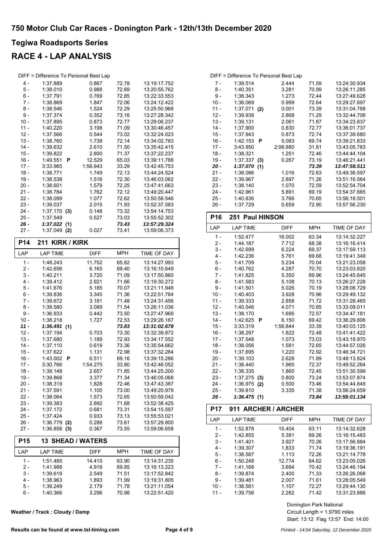### **RACE 4 - LAP ANALYSIS**

| DIFF = Difference To Personal Best Lap |                 |          |       |              |  |
|----------------------------------------|-----------------|----------|-------|--------------|--|
| 4 -                                    | 1:37.889        | 0.867    | 72.78 | 13:19:17.752 |  |
| 5 -                                    | 1:38.010        | 0.988    | 72.69 | 13:20:55.762 |  |
| 6 -                                    | 1:37.791        | 0.769    | 72.85 | 13:22:33.553 |  |
| $7 -$                                  | 1:38.869        | 1.847    | 72.06 | 13:24:12.422 |  |
| $8 -$                                  | 1:38.546        | 1.524    | 72.29 | 13:25:50.968 |  |
| $9 -$                                  | 1:37.374        | 0.352    | 73.16 | 13:27:28.342 |  |
| $10 -$                                 | 1:37.895        | 0.873    | 72.77 | 13:29:06.237 |  |
| $11 -$                                 | 1:40.220        | 3.198    | 71.09 | 13:30:46.457 |  |
| $12 -$                                 | 1:37.566        | 0.544    | 73.02 | 13:32:24.023 |  |
| $13 -$                                 | 1:38.760        | 1.738    | 72.14 | 13:34:02.783 |  |
| $14 -$                                 | 1:39.632        | 2.610    | 71.50 | 13:35:42.415 |  |
| $15 -$                                 | 1:39.822        | 2.800    | 71.37 | 13:37:22.237 |  |
| $16 -$                                 | 1:49.551<br>P   | 12.529   | 65.03 | 13:39:11.788 |  |
| $17 -$                                 | 3:33.965        | 1:56.943 | 33.29 | 13:42:45.753 |  |
| $18 -$                                 | 1:38.771        | 1.749    | 72.13 | 13:44:24.524 |  |
| $19 -$                                 | 1:38.538        | 1.516    | 72.30 | 13:46:03.062 |  |
| $20 -$                                 | 1:38.601        | 1.579    | 72.25 | 13:47:41.663 |  |
| 21 -                                   | 1:38.784        | 1.762    | 72.12 | 13:49:20.447 |  |
| $22 -$                                 | 1:38.099        | 1.077    | 72.62 | 13:50:58.546 |  |
| 23 -                                   | 1:39.037        | 2.015    | 71.93 | 13:52:37.583 |  |
| 24 -                                   | 1:37.170<br>(3) | 0.148    | 73.32 | 13:54:14.753 |  |
| 25 -                                   | 1:37.549        | 0.527    | 73.03 | 13:55:52.302 |  |
| 26 -                                   | 1:37.022(1)     |          | 73.43 | 13:57:29.324 |  |
| 27 -                                   | 1:37.049<br>(2) | 0.027    | 73.41 | 13:59:06.373 |  |

| P14        | 211 KIRK / KIRK          |             |            |                    |  |
|------------|--------------------------|-------------|------------|--------------------|--|
| LAP        | <b>LAP TIME</b>          | <b>DIFF</b> | <b>MPH</b> | <b>TIME OF DAY</b> |  |
| 1 -        | 1:48.243                 | 11.752      | 65.82      | 13:14:27.993       |  |
| $2 -$      | 1:42.656                 | 6.165       | 69.40      | 13:16:10.649       |  |
| $3 -$      | 1:40.211                 | 3.720       | 71.09      | 13:17:50.860       |  |
| 4 -        | 1:39.412                 | 2.921       | 71.66      | 13:19:30.272       |  |
| $5 -$      | 1:41.676                 | 5.185       | 70.07      | 13:21:11.948       |  |
| $6 -$      | 1:39.836                 | 3.345       | 71.36      | 13:22:51.784       |  |
| $7 -$      | 1:39.672                 | 3.181       | 71.48      | 13:24:31.456       |  |
| 8 -        | 1:39.580                 | 3.089       | 71.54      | 13:26:11.036       |  |
| $9-$       | 1:36.933                 | 0.442       | 73.50      | 13:27:47.969       |  |
| $10 -$     | 1:38.218                 | 1.727       | 72.53      | 13:29:26.187       |  |
| $11 -$     | 1:36.491<br>(1)          |             | 73.83      | 13:31:02.678       |  |
| $12 -$     | 1:37.194                 | 0.703       | 73.30      | 13:32:39.872       |  |
| $13 -$     | 1:37.680                 | 1.189       | 72.93      | 13:34:17.552       |  |
| $14 -$     | 1:37.110                 | 0.619       | 73.36      | 13:35:54.662       |  |
| $15 -$     | 1:37.622                 | 1.131       | 72.98      | 13:37:32.284       |  |
| $16 -$     | 1:43.002<br>P            | 6.511       | 69.16      | 13:39:15.286       |  |
| $17 -$     | 3:30.766                 | 1:54.275    | 33.80      | 13:42:46.052       |  |
| $18 -$     | 1:39.148                 | 2.657       | 71.85      | 13:44:25.200       |  |
| $19 -$     | 1:39.868                 | 3.377       | 71.34      | 13:46:05.068       |  |
| $20 -$     | 1:38.319                 | 1.828       | 72.46      | 13:47:43.387       |  |
| $21 -$     | 1:37.591                 | 1.100       | 73.00      | 13:49:20.978       |  |
| $22 -$     | 1:38.064                 | 1.573       | 72.65      | 13:50:59.042       |  |
| $23 -$     | 1:39.383                 | 2.892       | 71.68      | 13:52:38.425       |  |
| $24 -$     | 1:37.172                 | 0.681       | 73.31      | 13:54:15.597       |  |
| $25 -$     | 1:37.424                 | 0.933       | 73.13      | 13:55:53.021       |  |
| $26 -$     | 1:36.779<br>(2)          | 0.288       | 73.61      | 13:57:29.800       |  |
| $27 -$     | $1:36.858$ (3)           | 0.367       | 73.55      | 13:59:06.658       |  |
| <b>P15</b> | <b>13 SHEAD / WATERS</b> |             |            |                    |  |
| LAP        | <b>LAP TIME</b>          | <b>DIFF</b> | <b>MPH</b> | TIME OF DAY        |  |
| 1 -        | 1:51.485                 | 14.415      | 63.90      | 13:14:31.235       |  |
| 2 -        | 1:41.988                 | 4.918       | 69.85      | 13:16:13.223       |  |
| $3 -$      | 1:39.619                 | 2.549       | 71.51      | 13:17:52.842       |  |
| $4 -$      | 1:38.963                 | 1.893       | 71.99      | 13:19:31.805       |  |
| $5 -$      | 1:39.249                 | 2.179       | 71.78      | 13:21:11.054       |  |

6 - 1:40.366 3.296 13:22:51.420 70.98

**Weather / Track : Cloudy / Damp**

| 8 -            | 1:40.351                    | 3.281              | 70.99          | 13:26:11.285                 |
|----------------|-----------------------------|--------------------|----------------|------------------------------|
| $9 -$          | 1:38.343                    | 1.273              | 72.44          | 13:27:49.628                 |
| $10 -$         | 1:38.069                    | 0.999              | 72.64          | 13:29:27.697                 |
| $11 -$         | 1:37.071<br>(2)             | 0.001              | 73.39          | 13:31:04.768                 |
| $12 -$         | 1:39.938                    | 2.868              | 71.29          | 13:32:44.706                 |
| $13 -$         | 1:39.131                    | 2.061              | 71.87          | 13:34:23.837                 |
| $14 -$         | 1:37.900                    | 0.830              | 72.77          | 13:36:01.737                 |
| 15 -           | 1:37.943                    | 0.873              | 72.74          | 13:37:39.680                 |
| $16 -$         | 1:42.153<br>P               | 5.083              | 69.74          | 13:39:21.833                 |
| $17 -$         | 3:43.950                    | 2:06.880           | 31.81          | 13:43:05.783                 |
| $18 -$         | 1:38.321                    | 1.251              | 72.46          | 13:44:44.104                 |
| $19 -$         | 1:37.337<br>(3)             | 0.267              | 73.19          | 13:46:21.441                 |
| $20 -$         | 1:37.070(1)                 |                    | 73.39          | 13:47:58.511                 |
| 21 -           | 1:38.086                    | 1.016              | 72.63          | 13:49:36.597                 |
| $22 -$         | 1:39.967                    | 2.897              | 71.26          | 13:51:16.564                 |
| $23 -$         | 1:38.140                    | 1.070              | 72.59          | 13:52:54.704                 |
| $24 -$         | 1:42.961                    | 5.891              | 69.19          | 13:54:37.665                 |
| $25 -$         | 1:40.836                    | 3.766              | 70.65          | 13:56:18.501                 |
| 26 -           | 1:37.729                    | 0.659              | 72.90          | 13:57:56.230                 |
| <b>P16</b>     | <b>Paul HINSON</b><br>251   |                    |                |                              |
| LAP            | <b>LAP TIME</b>             | <b>DIFF</b>        | <b>MPH</b>     | TIME OF DAY                  |
| $1 -$          | 1:52.477                    | 16.002             | 63.34          | 13:14:32.227                 |
| $2 -$          | 1:44.187                    | 7.712              | 68.38          | 13:16:16.414                 |
| $3 -$          | 1:42.699                    | 6.224              | 69.37          | 13:17:59.113                 |
| 4 -            | 1:42.236                    | 5.761              | 69.68          | 13:19:41.349                 |
| 5 -            | 1:41.709                    | 5.234              | 70.04          | 13:21:23.058                 |
| $6 -$          | 1:40.762                    | 4.287              | 70.70          | 13:23:03.820                 |
| $7 -$          | 1:41.825                    | 5.350              | 69.96          | 13:24:45.645                 |
| 8 -            | 1:41.583                    | 5.108              | 70.13          | 13:26:27.228                 |
| $9-$           | 1:41.501                    | 5.026              | 70.19          | 13:28:08.729                 |
| $10 -$         | 1:40.403                    | 3.928              | 70.96          | 13:29:49.132                 |
| $11 -$         | 1:39.333                    | 2.858              | 71.72          | 13:31:28.465                 |
| $12 -$         | 1:40.546                    | 4.071              | 70.85          | 13:33:09.011                 |
| $13 -$         | 1:38.170                    | 1.695              | 72.57          | 13:34:47.181                 |
| $14 -$         | 1:42.625<br>Ρ               | 6.150              | 69.42          | 13:36:29.806                 |
| $15 -$         | 3:33.319                    | 1:56.844           | 33.39          | 13:40:03.125                 |
| $16 -$         | 1:38.297                    | 1.822              | 72.48          | 13:41:41.422                 |
| $17 -$         | 1:37.548                    | 1.073              | 73.03          | 13:43:18.970                 |
| $18 -$         | 1:38.056                    | 1.581              | 72.65          | 13:44:57.026                 |
| $19 -$         | 1:37.695                    | 1.220              | 72.92          | 13:46:34.721                 |
| $20 -$         | 1:39.103                    | 2.628              | 71.89          | 13:48:13.824                 |
| $21 -$         | 1:38.440                    | 1.965              | 72.37          | 13:49:52.264                 |
| $22 -$         | 1:38.335                    | 1.860              | 72.45          | 13:51:30.599                 |
| $23 -$         | $1:37.275$ (3)              | 0.800              | 73.24          | 13:53:07.874                 |
| 24 -           | $1:36.975$ (2)              | 0.500              | 73.46          | 13:54:44.849                 |
| $25 -$<br>26 - | 1:39.810<br>1:36.475(1)     | 3.335              | 71.38<br>73.84 | 13:56:24.659<br>13:58:01.134 |
| <b>P17</b>     | 911 ARCHER / ARCHER         |                    |                |                              |
|                |                             |                    |                |                              |
| LAP            | <b>LAP TIME</b><br>1.50.070 | DIFF<br>$4E$ $40A$ | MPH<br>62.11   | TIME OF DAY<br>12.11.22.00   |
|                |                             |                    |                |                              |

DIFF = Difference To Personal Best Lap

7 - 1:39.514 2.444 13:24:30.934 71.59

| LAP |        | <b>LAP TIME</b> | <b>DIFF</b> | <b>MPH</b> | TIME OF DAY  |
|-----|--------|-----------------|-------------|------------|--------------|
|     | 1 -    | 1:52.878        | 15.404      | 63.11      | 13:14:32.628 |
|     | $2 -$  | 1:42.855        | 5.381       | 69.26      | 13:16:15.483 |
|     | 3 -    | 1.41.401        | 3.927       | 70.26      | 13:17:56.884 |
|     | 4 -    | 1:39.307        | 1.833       | 71.74      | 13:19:36.191 |
|     | 5 -    | 1:38.587        | 1.113       | 72.26      | 13:21:14.778 |
|     | $6 -$  | 1:50.248        | 12.774      | 64.62      | 13:23:05.026 |
|     | 7 -    | 1:41.168        | 3.694       | 70.42      | 13:24:46.194 |
|     | 8 -    | 1:39.874        | 2.400       | 71.33      | 13:26:26.068 |
|     | $9 -$  | 1:39.481        | 2.007       | 71.61      | 13:28:05.549 |
|     | $10 -$ | 1:38.581        | 1.107       | 72.27      | 13:29:44.130 |
|     |        | 1:39.756        | 2.282       | 71.42      | 13:31:23.886 |
|     |        |                 |             |            |              |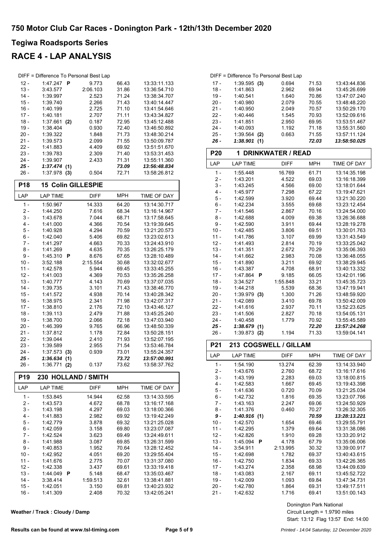### **RACE 4 - LAP ANALYSIS**

|                 | DIFF = Difference To Personal Best Lap |             |            |              |
|-----------------|----------------------------------------|-------------|------------|--------------|
| $12 -$          | 1:47.247<br>P                          | 9.773       | 66.43      | 13:33:11.133 |
| $13 -$          | 3:43.577                               | 2:06.103    | 31.86      | 13:36:54.710 |
| $14 -$          | 1:39.997                               | 2.523       | 71.24      | 13:38:34.707 |
| $15 -$          | 1:39.740                               | 2.266       | 71.43      | 13:40:14.447 |
| $16 -$          | 1:40.199                               | 2.725       | 71.10      | 13:41:54.646 |
| $17 -$          | 1:40.181                               | 2.707       | 71.11      | 13:43:34.827 |
| $18 -$          | 1:37.661<br>(2)                        | 0.187       | 72.95      | 13:45:12.488 |
| 19 -            | 1:38.404                               | 0.930       | 72.40      | 13:46:50.892 |
| $20 -$          | 1:39.322                               | 1.848       | 71.73      | 13:48:30.214 |
| 21 -            | 1:39.573                               | 2.099       | 71.55      | 13:50:09.787 |
| $22 -$          | 1:41.883                               | 4.409       | 69.92      | 13:51:51.670 |
| $23 -$          | 1:39.783                               | 2.309       | 71.40      | 13:53:31.453 |
| 24 -            | 1:39.907                               | 2.433       | 71.31      | 13:55:11.360 |
| 25 -            | 1:37.474(1)                            |             | 73.09      | 13:56:48.834 |
| $26 -$          | 1:37.978<br>(3)                        | 0.504       | 72.71      | 13:58:26.812 |
|                 |                                        |             |            |              |
| <b>P18</b>      | <b>15 Colin GILLESPIE</b>              |             |            |              |
| LAP             | <b>LAP TIME</b>                        | <b>DIFF</b> | <b>MPH</b> | TIME OF DAY  |
| $1 -$           | 1:50.967                               | 14.333      | 64.20      | 13:14:30.717 |
| $2 -$           | 1:44.250                               | 7.616       | 68.34      | 13:16:14.967 |
| 3 -             | 1:43.678                               | 7.044       | 68.71      | 13:17:58.645 |
| $4 -$           | 1:41.000                               | 4.366       | 70.54      | 13:19:39.645 |
| 5 -             | 1:40.928                               | 4.294       | 70.59      | 13:21:20.573 |
| 6 -             | 1:42.040                               | 5.406       | 69.82      | 13:23:02.613 |
| $7 -$           | 1:41.297                               | 4.663       | 70.33      | 13:24:43.910 |
| 8 -             | 1:41.269                               | 4.635       | 70.35      | 13:26:25.179 |
| 9 -             | 1:45.310<br>P                          | 8.676       | 67.65      | 13:28:10.489 |
| $10 -$          | 3:52.188                               | 2:15.554    | 30.68      | 13:32:02.677 |
| $11 -$          | 1:42.578                               | 5.944       | 69.45      | 13:33:45.255 |
| $12 -$          | 1:41.003                               | 4.369       | 70.53      | 13:35:26.258 |
| $13 -$          | 1:40.777                               | 4.143       | 70.69      | 13:37:07.035 |
| $14 -$          | 1:39.735                               | 3.101       | 71.43      | 13:38:46.770 |
| $15 -$          | 1:41.572                               | 4.938       | 70.14      | 13:40:28.342 |
| $16 -$          | 1:38.975                               | 2.341       | 71.98      | 13:42:07.317 |
| $17 -$          | 1:38.810                               | 2.176       | 72.10      | 13:43:46.127 |
| $18 -$          | 1:39.113                               | 2.479       | 71.88      | 13:45:25.240 |
| 19 -            | 1:38.700                               | 2.066       | 72.18      | 13:47:03.940 |
| 20 -            | 1:46.399                               | 9.765       | 66.96      | 13:48:50.339 |
| 21 -            | 1:37.812                               | 1.178       | 72.84      | 13:50:28.151 |
| $22 -$          | 1:39.044                               | 2.410       | 71.93      | 13:52:07.195 |
| 23 -            | 1:39.589                               | 2.955       | 71.54      | 13:53:46.784 |
| 24 -            | 1:37.573<br>(3)                        | 0.939       | 73.01      | 13:55:24.357 |
| 25 -            | 1:36.634<br>(1)                        |             | 73.72      | 13:57:00.991 |
| 26 -            | 1:36.771 (2)                           | 0.137       | 73.62      | 13:58:37.762 |
| P <sub>19</sub> | 230 HOLLAND / SMITH                    |             |            |              |
| LAP             | <b>LAP TIME</b>                        | DIFF        | <b>MPH</b> | TIME OF DAY  |
| $1 -$           | 1:53.845                               | 14.944      | 62.58      | 13:14:33.595 |
| $2 -$           | 1:43.573                               | 4.672       | 68.78      | 13:16:17.168 |
| 3 -             | 1:43.198                               | 4.297       | 69.03      | 13:18:00.366 |
| 4 -             | 1:41.883                               | 2.982       | 69.92      | 13:19:42.249 |
| 5 -             | 1:42.779                               | 3.878       | 69.32      | 13:21:25.028 |
| 6 -             | 1:42.059                               | 3.158       | 69.80      | 13:23:07.087 |
| $7 -$           | 1:42.524                               | 3.623       | 69.49      | 13:24:49.611 |
| 8 -             | 1:41.988                               | 3.087       | 69.85      | 13:26:31.599 |
| 9 -             | 1:40.853                               | 1.952       | 70.64      | 13:28:12.452 |
| $10 -$          | 1:42.952                               | 4.051       | 69.20      | 13:29:55.404 |
| $11 -$          | 1:41.676                               | 2.775       | 70.07      | 13:31:37.080 |
|                 |                                        |             |            |              |
| $12 -$          | 1:42.338                               | 3.437       | 69.61      | 13:33:19.418 |
| $13 -$          | 1:44.049<br>P                          | 5.148       | 68.47      | 13:35:03.467 |
| $14 -$          | 3:38.414                               | 1:59.513    | 32.61      | 13:38:41.881 |
| $15 -$          | 1:42.051                               | 3.150       | 69.81      | 13:40:23.932 |

**Weather / Track : Cloudy / Damp**

| DIFF = Difference To Personal Best Lap |                 |       |       |              |  |
|----------------------------------------|-----------------|-------|-------|--------------|--|
| $17 -$                                 | $1:39.595$ (3)  | 0.694 | 71.53 | 13:43:44.836 |  |
| $18 -$                                 | 1:41.863        | 2.962 | 69.94 | 13:45:26.699 |  |
| $19 -$                                 | 1:40.541        | 1.640 | 70.86 | 13:47:07.240 |  |
| $20 -$                                 | 1:40.980        | 2.079 | 70.55 | 13:48:48.220 |  |
| $21 -$                                 | 1:40.950        | 2.049 | 70.57 | 13:50:29.170 |  |
| $22 -$                                 | 1:40.446        | 1.545 | 70.93 | 13:52:09.616 |  |
| $23 -$                                 | 1:41.851        | 2.950 | 69.95 | 13:53:51.467 |  |
| $24 -$                                 | 1:40.093        | 1.192 | 71.18 | 13:55:31.560 |  |
| $25 -$                                 | 1:39.564<br>(2) | 0.663 | 71.55 | 13:57:11.124 |  |
| - 26                                   | 1:38.901        |       | 72.03 | 13:58:50.025 |  |
|                                        |                 |       |       |              |  |

| P <sub>20</sub> | 1 DRINKWATER / READ |             |            |              |  |
|-----------------|---------------------|-------------|------------|--------------|--|
| LAP             | <b>LAP TIME</b>     | <b>DIFF</b> | <b>MPH</b> | TIME OF DAY  |  |
| $1 -$           | 1:55.448            | 16.769      | 61.71      | 13:14:35.198 |  |
| $2 -$           | 1:43.201            | 4.522       | 69.03      | 13:16:18.399 |  |
| 3 -             | 1:43.245            | 4.566       | 69.00      | 13:18:01.644 |  |
| 4 -             | 1:45.977            | 7.298       | 67.22      | 13:19:47.621 |  |
| 5 -             | 1:42.599            | 3.920       | 69.44      | 13:21:30.220 |  |
| $6 -$           | 1:42.234            | 3.555       | 69.68      | 13:23:12.454 |  |
| $7 -$           | 1:41.546            | 2.867       | 70.16      | 13:24:54.000 |  |
| $8 -$           | 1:42.688            | 4.009       | 69.38      | 13:26:36.688 |  |
| 9 -             | 1:42.590            | 3.911       | 69.44      | 13:28:19.278 |  |
| $10 -$          | 1:42.485            | 3.806       | 69.51      | 13:30:01.763 |  |
| $11 -$          | 1:41.786            | 3.107       | 69.99      | 13:31:43.549 |  |
| $12 -$          | 1:41.493            | 2.814       | 70.19      | 13:33:25.042 |  |
| $13 -$          | 1:41.351            | 2.672       | 70.29      | 13:35:06.393 |  |
| $14 -$          | 1:41 662            | 2.983       | 70.08      | 13:36:48.055 |  |
| $15 -$          | 1:41.890            | 3.211       | 69.92      | 13:38:29.945 |  |
| $16 -$          | 1:43.387            | 4.708       | 68.91      | 13:40:13.332 |  |
| $17 -$          | 1:47.864<br>P       | 9.185       | 66.05      | 13:42:01.196 |  |
| $18 -$          | 3.34527             | 1:55.848    | 33.21      | 13:45:35.723 |  |
| $19 -$          | 1:44.218            | 5.539       | 68.36      | 13:47:19.941 |  |
| $20 -$          | 1:39.979<br>(3)     | 1.300       | 71.26      | 13:48:59.920 |  |
| $21 -$          | 1:42.089            | 3.410       | 69.78      | 13:50:42.009 |  |
| $22 -$          | 1:41.616            | 2.937       | 70.11      | 13:52:23.625 |  |
| $23 -$          | 1:41.506            | 2.827       | 70.18      | 13:54:05.131 |  |
| $24 -$          | 1:40.458            | 1.779       | 70.92      | 13:55:45.589 |  |
| 25 -            | 1:38.679<br>(1)     |             | 72.20      | 13:57:24.268 |  |
| $26 -$          | 1:39.873<br>(2)     | 1.194       | 71.33      | 13:59:04.141 |  |

#### **P21 213 COGSWELL / GILLAM**

| LAP    | <b>LAP TIME</b> | <b>DIFF</b> | <b>MPH</b> | TIME OF DAY  |
|--------|-----------------|-------------|------------|--------------|
| $1 -$  | 1:54.190        | 13.274      | 62.39      | 13:14:33.940 |
| 2 -    | 1:43.676        | 2.760       | 68.72      | 13:16:17.616 |
| $3 -$  | 1:43.199        | 2.283       | 69.03      | 13:18:00.815 |
| 4 -    | 1:42.583        | 1.667       | 69.45      | 13:19:43.398 |
| 5 -    | 1:41.636        | 0.720       | 70.09      | 13:21:25.034 |
| $6 -$  | 1:42.732        | 1.816       | 69.35      | 13:23:07.766 |
| $7 -$  | 1:43.163        | 2.247       | 69.06      | 13:24:50.929 |
| 8 -    | 1:41.376        | 0.460       | 70.27      | 13:26:32.305 |
| 9 -    | 1:40.916(1)     |             | 70.59      | 13:28:13.221 |
| $10 -$ | 1:42.570        | 1.654       | 69.46      | 13:29:55.791 |
| $11 -$ | 1:42.295        | 1.379       | 69.64      | 13:31:38.086 |
| $12 -$ | 1:42.826        | 1.910       | 69.28      | 13:33:20.912 |
| $13 -$ | 1:45.094<br>P   | 4.178       | 67.79      | 13:35:06.006 |
| $14 -$ | 3:54.911        | 2:13.995    | 30.32      | 13:39:00.917 |
| $15 -$ | 1:42.698        | 1.782       | 69.37      | 13:40:43.615 |
| $16 -$ | 1:42.750        | 1.834       | 69.33      | 13:42:26.365 |
| $17 -$ | 1:43.274        | 2.358       | 68.98      | 13:44:09.639 |
| $18 -$ | 1:43.083        | 2.167       | 69.11      | 13:45:52.722 |
| $19 -$ | 1:42.009        | 1.093       | 69.84      | 13:47:34.731 |
| $20 -$ | 1:42.780        | 1.864       | 69.31      | 13:49:17.511 |
| 21 -   | 1:42.632        | 1.716       | 69.41      | 13:51:00.143 |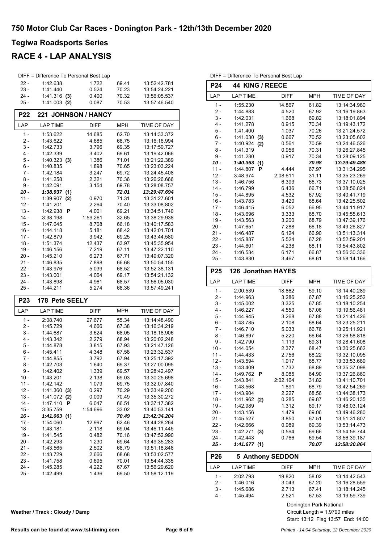### **RACE 4 - LAP ANALYSIS**

|                  | DIFF = Difference To Personal Best Lap |                |                |                              |
|------------------|----------------------------------------|----------------|----------------|------------------------------|
| $22 -$           | 1:42.638                               | 1.722          | 69.41          | 13:52:42.781                 |
| $23 -$           | 1:41.440                               | 0.524          | 70.23          | 13:54:24.221                 |
| $24 -$           | $1:41.316$ (3)                         | 0.400          | 70.32          | 13:56:05.537                 |
| 25 -             | $1:41.003$ (2)                         | 0.087          | 70.53          | 13:57:46.540                 |
|                  |                                        |                |                |                              |
| <b>P22</b>       | 221 JOHNSON / HANCY                    |                |                |                              |
| LAP              | <b>LAP TIME</b>                        | <b>DIFF</b>    | <b>MPH</b>     | TIME OF DAY                  |
| $1 -$            | 1:53.622                               | 14.685         | 62.70          | 13:14:33.372                 |
| 2 -              | 1:43.622                               | 4.685          | 68.75          | 13:16:16.994                 |
| 3 -              | 1:42.733                               | 3.796          | 69.35          | 13:17:59.727                 |
| $4 -$            | 1:42.339                               | 3.402          | 69.61          | 13:19:42.066                 |
| 5 -              | 1:40.323<br>(3)                        | 1.386          | 71.01          | 13:21:22.389                 |
| 6 -              | 1:40.835                               | 1.898          | 70.65          | 13:23:03.224                 |
| 7 -              | 1:42.184                               | 3.247          | 69.72          | 13:24:45.408                 |
| 8 -              | 1:41.258                               | 2.321          | 70.36          | 13:26:26.666                 |
| 9 -              | 1:42.091                               | 3.154          | 69.78          | 13:28:08.757                 |
| 10 -             | 1:38.937(1)                            |                | 72.01          | 13:29:47.694                 |
| $11 -$           | 1:39.907<br>(2)                        | 0.970          | 71.31          | 13:31:27.601                 |
| $12 -$           | 1:41.201                               | 2.264          | 70.40          | 13:33:08.802                 |
| $13 -$           | 1:42.938<br>P                          | 4.001          | 69.21          | 13:34:51.740                 |
| 14 -             | 3:38.198                               | 1:59.261       | 32.65          | 13:38:29.938                 |
| $15 -$           | 1:47.645                               | 8.708          | 66.18          | 13:40:17.583                 |
| $16 -$<br>$17 -$ | 1:44.118                               | 5.181<br>3.942 | 68.42<br>69.25 | 13:42:01.701<br>13:43:44.580 |
| $18 -$           | 1:42.879<br>1:51.374                   | 12.437         | 63.97          | 13:45:35.954                 |
| 19 -             | 1:46.156                               | 7.219          | 67.11          | 13:47:22.110                 |
| 20 -             | 1:45.210                               | 6.273          | 67.71          | 13:49:07.320                 |
| 21 -             | 1:46.835                               | 7.898          | 66.68          | 13:50:54.155                 |
| 22 -             | 1:43.976                               | 5.039          | 68.52          | 13:52:38.131                 |
| $23 -$           | 1:43.001                               | 4.064          | 69.17          | 13:54:21.132                 |
|                  |                                        |                |                |                              |
|                  |                                        |                |                |                              |
| 24 -<br>25 -     | 1:43.898<br>1:44.211                   | 4.961<br>5.274 | 68.57<br>68.36 | 13:56:05.030<br>13:57:49.241 |
|                  |                                        |                |                |                              |
| P <sub>23</sub>  | 178 Pete SEELY                         |                |                |                              |
| LAP              | <b>LAP TIME</b>                        | <b>DIFF</b>    | <b>MPH</b>     | TIME OF DAY                  |
| $1 -$            | 2:08.740                               | 27.677         | 55.34          | 13:14:48.490                 |
| 2 -              | 1:45.729                               | 4.666          | 67.38          | 13:16:34.219                 |
| 3 -              | 1:44.687                               | 3.624          | 68.05          | 13:18:18.906                 |
| 4 -              | 1:43.342                               | 2.279          | 68.94          | 13:20:02.248                 |
| 5 -              | 1:44.878                               | 3.815          | 67.93          | 13:21:47.126                 |
| 6 -              | 1:45.411                               | 4.348          | 67.58          | 13:23:32.537                 |
| 7 -              | 1:44.855                               | 3.792          | 67.94          | 13:25:17.392                 |
| 8 -              | 1:42.703                               | 1.640          | 69.37          | 13:27:00.095                 |
| 9 -              | 1:42.402                               | 1.339          | 69.57          | 13:28:42.497                 |
| $10 -$           | 1:43.201                               | 2.138          | 69.03          | 13:30:25.698                 |
| $11 -$           | 1:42.142                               | 1.079          | 69.75          | 13:32:07.840                 |
| $12 -$           | 1:41.360<br>(3)                        | 0.297          | 70.29          | 13:33:49.200                 |
| $13 -$           | 1:41.072<br>(2)                        | 0.009          | 70.49          | 13:35:30.272                 |
| 14 -             | 1:47.110<br>P                          | 6.047          | 66.51          | 13:37:17.382                 |
| $15 -$<br>$16 -$ | 3:35.759                               | 1:54.696       | 33.02<br>70.49 | 13:40:53.141<br>13:42:34.204 |
| $17 -$           | 1:41.063(1)<br>1:54.060                | 12.997         | 62.46          | 13:44:28.264                 |
| 18 -             | 1:43.181                               | 2.118          | 69.04          | 13:46:11.445                 |
| $19 -$           | 1:41.545                               | 0.482          | 70.16          | 13:47:52.990                 |
| $20 -$           | 1:42.293                               | 1.230          | 69.64          | 13:49:35.283                 |
| 21 -             | 1:43.565                               | 2.502          | 68.79          | 13:51:18.848                 |
| 22 -             | 1:43.729                               | 2.666          | 68.68          | 13:53:02.577                 |
| $23 -$           | 1:41.758                               | 0.695          | 70.01          | 13:54:44.335                 |
| 24 -             | 1:45.285                               | 4.222          | 67.67          | 13:56:29.620                 |

| <b>P24</b>       | <b>44 KING / REECE</b>  |                |                       |                              |  |
|------------------|-------------------------|----------------|-----------------------|------------------------------|--|
| LAP              | <b>LAP TIME</b>         | <b>DIFF</b>    | <b>MPH</b>            | TIME OF DAY                  |  |
| 1 -              | 1:55.230                | 14.867         | 61.82                 | 13:14:34.980                 |  |
| $2 -$            | 1:44.883                | 4.520          | 67.92                 | 13:16:19.863                 |  |
| $3 -$            | 1:42.031                | 1.668          | 69.82                 | 13:18:01.894                 |  |
| 4 -              | 1:41.278                | 0.915          | 70.34                 | 13:19:43.172                 |  |
| $5 -$            | 1:41.400                | 1.037          | 70.26                 | 13:21:24.572                 |  |
| 6 -              | 1:41.030<br>(3)         | 0.667          | 70.52                 | 13:23:05.602                 |  |
| 7 -              | 1:40.924<br>(2)         | 0.561          | 70.59                 | 13:24:46.526                 |  |
| 8 -              | 1:41.319                | 0.956          | 70.31                 | 13:26:27.845                 |  |
| 9 -              | 1:41.280                | 0.917          | 70.34                 | 13:28:09.125                 |  |
| 10 -             | 1:40.363(1)             |                | 70.98                 | 13:29:49.488                 |  |
| $11 -$           | 1:44.807<br>Р           | 4.444          | 67.97                 | 13:31:34.295                 |  |
| $12 -$           | 3:48.974                | 2:08.611       | 31.11                 | 13:35:23.269                 |  |
| $13 -$           | 1:46.756                | 6.393          | 66.73                 | 13:37:10.025                 |  |
| $14 -$           | 1:46.799                | 6.436          | 66.71                 | 13:38:56.824                 |  |
| $15 -$           | 1:44.895                | 4.532          | 67.92                 | 13:40:41.719                 |  |
| $16 -$           | 1:43.783                | 3.420          | 68.64                 | 13:42:25.502                 |  |
| $17 -$           | 1:46.415                | 6.052          | 66.95                 | 13:44:11.917                 |  |
| $18 -$           | 1:43.696                | 3.333          | 68.70                 | 13:45:55.613                 |  |
| $19 -$           | 1:43.563                | 3.200          | 68.79                 | 13:47:39.176                 |  |
| 20 -             | 1:47.651                | 7.288          | 66.18                 | 13:49:26.827                 |  |
| $21 -$           | 1:46.487                | 6.124          | 66.90                 | 13:51:13.314                 |  |
| 22 -             | 1:45.887                | 5.524          | 67.28                 | 13:52:59.201                 |  |
| $23 -$           | 1:44.601                | 4.238          | 68.11                 | 13:54:43.802                 |  |
| 24 -<br>25 -     | 1:46.534<br>1:43.830    | 6.171<br>3.467 | 66.87<br>68.61        | 13:56:30.336<br>13:58:14.166 |  |
|                  |                         |                |                       |                              |  |
| P25              | 126 Jonathan HAYES      |                |                       |                              |  |
| LAP              | <b>LAP TIME</b>         | <b>DIFF</b>    | <b>MPH</b>            | TIME OF DAY                  |  |
| $1 -$            | 2:00.539                | 18.862         | 59.10                 | 13:14:40.289                 |  |
| $2 -$            | 1:44.963                | 3.286          | 67.87                 | 13:16:25.252                 |  |
| 3 -              | 1:45.002                | 3.325          | 67.85                 | 13:18:10.254                 |  |
| 4 -              | 1:46.227                | 4.550          | 67.06                 | 13:19:56.481                 |  |
| $5 -$            | 1:44.945                | 3.268          | 67.88                 | 13:21:41.426                 |  |
| 6 -              | 1:43.785                | 2.108          | 68.64                 | 13:23:25.211                 |  |
| 7 -              | 1:46.710                | 5.033          | 66.76                 | 13:25:11.921                 |  |
| 8 -              | 1:46.897                | 5.220          | 66.64                 | 13:26:58.818                 |  |
| 9 -              | 1:42.790                | 1.113          | 69.31                 | 13:28:41.608<br>13:30:25.662 |  |
| $10 -$<br>$11 -$ | 1:44.054<br>1:44.433    | 2.377<br>2.756 | 68.47<br>68.22        | 13:32:10.095                 |  |
| $12 -$           | 1:43.594                | 1.917          | 68.77                 | 13:33:53.689                 |  |
| $13 -$           | 1:43.409                | 1.732          | 68.89                 | 13:35:37.098                 |  |
| 14 -             | 1:49.762<br>Р           | 8.085          | 64.90                 | 13:37:26.860                 |  |
| $15 -$           | 3:43.841                | 2:02.164       | 31.82                 | 13:41:10.701                 |  |
| $16 -$           | 1:43.568                | 1.891          | 68.79                 | 13:42:54.269                 |  |
| $17 -$           | 1:43.904                | 2.227          | 68.56                 | 13:44:38.173                 |  |
| $18 -$           | 1:41.962 (2)            | 0.285          | 69.87                 | 13:46:20.135                 |  |
| $19 -$           | 1:42.989                | 1.312          | 69.17                 | 13:48:03.124                 |  |
| $20 -$           | 1:43.156                | 1.479          | 69.06                 | 13:49:46.280                 |  |
| 21 -             | 1:45.527                | 3.850          | 67.51                 | 13:51:31.807                 |  |
| $22 -$           | 1:42.666                | 0.989          | 69.39                 | 13:53:14.473                 |  |
| $23 -$           | 1.42.271(3)             | 0.594          | 69.66                 | 13:54:56.744                 |  |
| 24 -             | 1:42.443                | 0.766          | 69.54                 | 13:56:39.187                 |  |
| 25 -             | 1:41.677(1)             |                | 70.07                 | 13:58:20.864                 |  |
| P <sub>26</sub>  | <b>5 Anthony SEDDON</b> |                |                       |                              |  |
| LAP              | <b>LAP TIME</b>         | DIFF           | MPH                   | TIME OF DAY                  |  |
| $1 -$            | 2:02.793                | 19.820         | 58.02                 | 13:14:42.543                 |  |
| $2 -$            | 1:46.016                | 3.043          | 67.20                 | 13:16:28.559                 |  |
| $3 -$            | 1:45.686                | 2.713          | 67.41                 | 13:18:14.245                 |  |
| 4 -              | 1:45.494                | 2.521          | 67.53                 | 13:19:59.739                 |  |
|                  |                         |                | ninaton Dork National |                              |  |

DIFF = Difference To Personal Best Lap

Donington Park National

Start: 13:12 Flag 13:57 End: 14:00 Circuit Length = 1.9790 miles

**Weather / Track : Cloudy / Damp**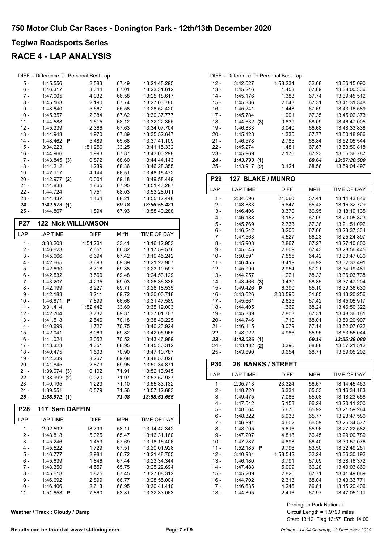### **RACE 4 - LAP ANALYSIS**

| DIFF = Difference To Personal Best Lap |                             |                |                |                              |
|----------------------------------------|-----------------------------|----------------|----------------|------------------------------|
| 5 -                                    | 1:45.556                    | 2.583          | 67.49          | 13:21:45.295                 |
| 6 -                                    | 1:46.317                    | 3.344          | 67.01          | 13:23:31.612                 |
| 7 -                                    | 1:47.005                    | 4.032          | 66.58          | 13:25:18.617                 |
| 8 -                                    | 1:45.163                    | 2.190          | 67.74          | 13:27:03.780                 |
| 9 -                                    | 1:48.640                    | 5.667          | 65.58          | 13:28:52.420                 |
| $10 -$                                 | 1:45.357                    | 2.384          | 67.62          | 13:30:37.777                 |
| $11 -$                                 | 1:44.588                    | 1.615          | 68.12          | 13:32:22.365                 |
| $12 -$                                 | 1:45.339                    | 2.366          | 67.63          | 13:34:07.704                 |
| $13 -$                                 | 1:44.943                    | 1.970          | 67.89          | 13:35:52.647                 |
| $14 -$                                 | 1:48.462<br>P               | 5.489          | 65.68          | 13:37:41.109                 |
| $15 -$                                 | 3:34.223                    | 1:51.250       | 33.25          | 13:41:15.332                 |
| $16 -$                                 | 1:44.966                    | 1.993          | 67.87          | 13:43:00.298                 |
| $17 -$                                 | 1:43.845<br>(3)             | 0.872          | 68.60          | 13:44:44.143                 |
| 18 -                                   | 1:44.212                    | 1.239          | 68.36          | 13:46:28.355                 |
| 19 -                                   | 1:47.117                    | 4.144          | 66.51          | 13:48:15.472                 |
| 20 -                                   | $1:42.977$ (2)              | 0.004          | 69.18          | 13:49:58.449                 |
| 21 -                                   | 1:44.838                    | 1.865          | 67.95          | 13:51:43.287                 |
| 22 -                                   | 1:44.724                    | 1.751          | 68.03          | 13:53:28.011                 |
| $23 -$                                 | 1:44.437                    | 1.464          | 68.21          | 13:55:12.448                 |
| 24 -                                   | 1:42.973(1)                 |                | 69.18          | 13:56:55.421                 |
| $25 -$                                 | 1:44.867                    | 1.894          | 67.93          | 13:58:40.288                 |
| <b>P27</b>                             | <b>122 Nick WILLIAMSON</b>  |                |                |                              |
| LAP                                    | <b>LAP TIME</b>             | <b>DIFF</b>    | <b>MPH</b>     | TIME OF DAY                  |
| $1 -$                                  | 3:33.203                    | 1:54.231       | 33.41          | 13:16:12.953                 |
| $2 -$                                  | 1:46.623                    | 7.651          | 66.82          | 13:17:59.576                 |
| $3 -$                                  | 1:45.666                    | 6.694          | 67.42          | 13:19:45.242                 |
| 4 -                                    | 1:42.665                    | 3.693          | 69.39          | 13:21:27.907                 |
| 5 -                                    | 1:42.690                    | 3.718          | 69.38          | 13:23:10.597                 |
| 6 -                                    | 1:42.532                    | 3.560          | 69.48          | 13:24:53.129                 |
| 7 -                                    | 1:43.207                    | 4.235          | 69.03          | 13:26:36.336                 |
| 8 -                                    | 1:42.199                    | 3.227          | 69.71          | 13:28:18.535                 |
| 9 -                                    | 1:42.183                    | 3.211          | 69.72          | 13:30:00.718                 |
| $10 -$                                 | 1:46.871<br>P               | 7.899          | 66.66          | 13:31:47.589                 |
| $11 -$                                 | 3:31.414                    | 1:52.442       | 33.69          | 13:35:19.003                 |
| $12 -$                                 | 1:42.704                    | 3.732          | 69.37          | 13:37:01.707                 |
| $13 -$                                 | 1:41.518                    | 2.546          | 70.18          | 13:38:43.225                 |
| $14 -$                                 | 1:40.699                    | 1.727          | 70.75          | 13:40:23.924                 |
| 15 -                                   | 1:42.041                    | 3.069          | 69.82          | 13:42:05.965                 |
| $16 -$                                 | 1:41.024                    | 2.052          | 70.52          | 13:43:46.989                 |
| $17 -$                                 | 1:43.323                    | 4.351          | 68.95          | 13:45:30.312                 |
| $18 -$                                 | 1:40.475                    | 1.503          | 70.90          | 13:47:10.787                 |
| $19 -$                                 | 1:42.239                    | 3.267          | 69.68          | 13:48:53.026                 |
| 20 -                                   | 1:41.845                    | 2.873          | 69.95          | 13:50:34.871                 |
| 21 -                                   | 1:39.074<br>(3)             | 0.102          | 71.91          | 13:52:13.945                 |
| $22 -$<br>$23 -$                       | 1:38.992<br>(2)<br>1:40.195 | 0.020<br>1.223 | 71.97          | 13:53:52.937                 |
| 24 -                                   |                             |                | 71.10          | 13:55:33.132<br>13:57:12.683 |
| 25 -                                   |                             |                |                |                              |
|                                        | 1:39.551                    | 0.579          | 71.56          |                              |
|                                        | 1:38.972(1)                 |                | 71.98          | 13:58:51.655                 |
| <b>P28</b>                             | 117 Sam DAFFIN              |                |                |                              |
| LAP                                    | LAP TIME                    | <b>DIFF</b>    | <b>MPH</b>     | TIME OF DAY                  |
| $1 -$                                  | 2:02.592                    | 18.799         | 58.11          | 13:14:42.342                 |
| $2 -$                                  | 1:48.818                    | 5.025          | 65.47          | 13:16:31.160                 |
| 3 -                                    | 1:45.246                    | 1.453          | 67.69          | 13:18:16.406                 |
| 4 -                                    | 1:45.522                    | 1.729          | 67.51          | 13:20:01.928                 |
| 5 -                                    | 1:46.777                    | 2.984          | 66.72          | 13:21:48.705                 |
| 6 -                                    | 1:45.639                    | 1.846          | 67.44          | 13:23:34.344                 |
| 7 -                                    | 1:48.350                    | 4.557          | 65.75          | 13:25:22.694                 |
| $8 -$                                  | 1:45.618                    | 1.825          | 67.45          | 13:27:08.312                 |
| 9 -                                    | 1:46.692                    | 2.899          | 66.77          | 13:28:55.004                 |
| $10 -$<br>$11 -$                       | 1:46.406<br>1:51.653<br>Ρ   | 2.613<br>7.860 | 66.95<br>63.81 | 13:30:41.410<br>13:32:33.063 |

**Weather / Track : Cloudy / Damp**

|        |            |     | DIFF = Difference To Personal Best Lap |       |              |
|--------|------------|-----|----------------------------------------|-------|--------------|
| $12 -$ | 3:42.027   |     | 1:58.234                               | 32.08 | 13:36:15.090 |
| $13 -$ | 1:45.246   |     | 1.453                                  | 67.69 | 13:38:00.336 |
| $14 -$ | 1:45.176   |     | 1.383                                  | 67.74 | 13:39:45.512 |
| $15 -$ | 1:45.836   |     | 2.043                                  | 67.31 | 13:41:31.348 |
| $16 -$ | 1:45.241   |     | 1.448                                  | 67.69 | 13:43:16.589 |
| $17 -$ | 1:45.784   |     | 1.991                                  | 67.35 | 13:45:02.373 |
| $18 -$ | 1.44632(3) |     | 0.839                                  | 68.09 | 13:46:47.005 |
| $19 -$ | 1:46.833   |     | 3.040                                  | 66.68 | 13:48:33.838 |
| $20 -$ | 1:45.128   |     | 1.335                                  | 67.77 | 13:50:18.966 |
| $21 -$ | 1:46.578   |     | 2.785                                  | 66.84 | 13:52:05.544 |
| $22 -$ | 1:45.274   |     | 1.481                                  | 67.67 | 13:53:50.818 |
| $23 -$ | 1:45.969   |     | 2.176                                  | 67.23 | 13:55:36.787 |
| $24 -$ | 1:43.793   | (1) |                                        | 68.64 | 13:57:20.580 |
| $25 -$ | 1:43.917   | (2) | 0.124                                  | 68.56 | 13:59:04.497 |

| P <sub>29</sub> | <b>127 BLAKE / MUNRO</b> |             |            |                    |
|-----------------|--------------------------|-------------|------------|--------------------|
| LAP             | <b>LAP TIME</b>          | <b>DIFF</b> | <b>MPH</b> | <b>TIME OF DAY</b> |
| $1 -$           | 2:04.096                 | 21.060      | 57.41      | 13:14:43.846       |
| $2 -$           | 1:48.883                 | 5.847       | 65.43      | 13:16:32.729       |
| $3 -$           | 1:46.406                 | 3.370       | 66.95      | 13:18:19.135       |
| $4 -$           | 1:46.188                 | 3.152       | 67.09      | 13:20:05.323       |
| $5 -$           | 1:45.769                 | 2.733       | 67.36      | 13:21:51.092       |
| $6 -$           | 1:46.242                 | 3.206       | 67.06      | 13:23:37.334       |
| $7 -$           | 1:47.563                 | 4.527       | 66.23      | 13:25:24.897       |
| $8 -$           | 1:45.903                 | 2.867       | 67.27      | 13:27:10.800       |
| $9 -$           | 1:45.645                 | 2.609       | 67.43      | 13:28:56.445       |
| $10 -$          | 1:50.591                 | 7.555       | 64.42      | 13:30:47.036       |
| $11 -$          | 1:46.455                 | 3.419       | 66.92      | 13:32:33.491       |
| $12 -$          | 1:45.990                 | 2.954       | 67.21      | 13:34:19.481       |
| $13 -$          | 1:44.257                 | 1.221       | 68.33      | 13:36:03.738       |
| $14 -$          | 1:43.466<br>(3)          | 0.430       | 68.85      | 13:37:47.204       |
| $15 -$          | 1:49.426<br>P            | 6.390       | 65.10      | 13:39:36.630       |
| $16 -$          | 3:43.626                 | 2:00.590    | 31.85      | 13:43:20.256       |
| $17 -$          | 1:45.661                 | 2.625       | 67.42      | 13:45:05.917       |
| $18 -$          | 1:44.405                 | 1.369       | 68.24      | 13:46:50.322       |
| $19 -$          | 1:45.839                 | 2.803       | 67.31      | 13:48:36.161       |
| $20 -$          | 1:44.746                 | 1.710       | 68.01      | 13:50:20.907       |
| $21 -$          | 1:46.115                 | 3.079       | 67.14      | 13:52:07.022       |
| $22 -$          | 1:48.022                 | 4.986       | 65.95      | 13:53:55.044       |
| $23 -$          | 1:43.036(1)              |             | 69.14      | 13:55:38.080       |
| $24 -$          | $1:43.432$ (2)           | 0.396       | 68.88      | 13:57:21.512       |
| $25 -$          | 1:43.690                 | 0.654       | 68.71      | 13:59:05.202       |
| <b>P30</b>      | <b>28 BANKS / STREET</b> |             |            |                    |
| LAP             | <b>LAP TIME</b>          | <b>DIFF</b> | <b>MPH</b> | <b>TIME OF DAY</b> |
| $1 -$           | 2:05.713                 | 23.324      | 56.67      | 13:14:45.463       |
| $2 -$           | 1:48.720                 | 6.331       | 65.53      | 13:16:34.183       |
| $3 -$           | 1:49.475                 | 7.086       | 65.08      | 13:18:23.658       |

4 - 1:47.542 5.153 66.24 13:20:11.200 5 - 1:48.064 5.675 65.92 13:21:59.264<br>6 - 1:48.322 5.933 65.77 13:23:47.586 6 - 1:48.322 5.933 13:23:47.586 65.77

8 - 1:48.005 5.616 65.96 13:27:22.582 9 - 1:47.207 4.818 66.45 13:29:09.789 10 - 1:47.287 4.898 66.40 13:30:57.076 11 - 1:52.185 **P** 9.796 63.50 13:32:49.261<br>12 - 3:40.931 1:58.542 32.24 13:36:30.192 12 - 3:40.931 1:58.542 13:36:30.192 32.24 13 - 1:46.180 3.791 67.09 13:38:16.372 14 - 1:47.488 5.099 66.28 13:40:03.860 15 - 1:45.209 2.820 67.71 13:41:49.069 16 - 1:44.702 2.313 68.04 13:43:33.771 17 - 1:46.635 4.246 66.81 13:45:20.406 18 - 1:44.805 2.416 67.97 13:47:05.211

> Start: 13:12 Flag 13:57 End: 14:00 Circuit Length = 1.9790 miles Donington Park National

13:25:34.577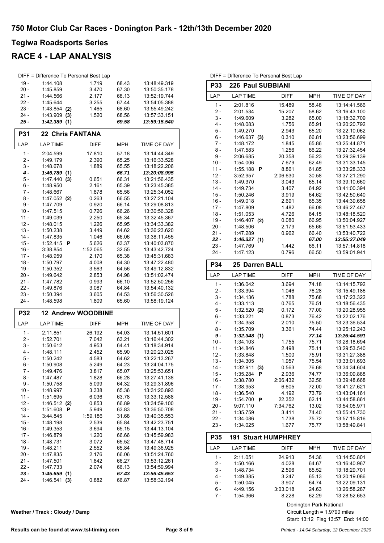### **RACE 4 - LAP ANALYSIS**

| DIFF = Difference To Personal Best Lap |                         |             |       |              |  |
|----------------------------------------|-------------------------|-------------|-------|--------------|--|
| $19 -$                                 | 1:44.108                | 1.719       | 68.43 | 13:48:49.319 |  |
| $20 -$                                 | 1:45.859                | 3.470       | 67.30 | 13:50:35.178 |  |
| $21 -$                                 | 1:44.566                | 2.177       | 68.13 | 13:52:19.744 |  |
| $22 -$                                 | 1:45.644                | 3.255       | 67.44 | 13:54:05.388 |  |
| $23 -$                                 | 1:43.854<br>(2)         | 1.465       | 68.60 | 13:55:49.242 |  |
| $24 -$                                 | 1:43.909<br>(3)         | 1.520       | 68.56 | 13:57:33.151 |  |
| $25 -$                                 | 1:42.389<br>(1)         |             | 69.58 | 13:59:15.540 |  |
| P31                                    | <b>22 Chris FANTANA</b> |             |       |              |  |
|                                        |                         |             |       |              |  |
| LAP                                    | <b>LAP TIME</b>         | <b>DIFF</b> | MPH   | TIME OF DAY  |  |
| $1 -$                                  | 2:04.599                | 17.810      | 57.18 | 13:14:44:349 |  |
| 2 -                                    | 1:49.179                | 2.390       | 65.25 | 13:16:33.528 |  |
| 3 -                                    | 1:48.678                | 1.889       | 65.55 | 13:18:22.206 |  |
| 4 -                                    | 1:46.789<br>(1)         |             | 66.71 | 13:20:08.995 |  |
| 5 -                                    | 1:47.440<br>(3)         | 0.651       | 66.31 | 13:21:56.435 |  |
| $6 -$                                  | 1:48.950                | 2.161       | 65.39 | 13:23:45.385 |  |
| 7 -                                    | 1:48.667                | 1.878       | 65.56 | 13:25:34.052 |  |
| 8 -                                    | 1:47.052<br>(2)         | 0.263       | 66.55 | 13:27:21.104 |  |

| 5 -    | 1:47.440<br>(3) | 0.651    | 66.31 | 13:21:56.435 |
|--------|-----------------|----------|-------|--------------|
| 6 -    | 1:48.950        | 2.161    | 65.39 | 13:23:45.385 |
| 7 -    | 1:48.667        | 1.878    | 65.56 | 13:25:34.052 |
| 8 -    | $1:47.052$ (2)  | 0.263    | 66.55 | 13:27:21.104 |
| 9 -    | 1:47.709        | 0.920    | 66.14 | 13.29:08.813 |
| 10 -   | 1:47.515        | 0.726    | 66.26 | 13:30:56.328 |
| $11 -$ | 1:49.039        | 2.250    | 65.34 | 13:32:45.367 |
| $12 -$ | 1:48.015        | 1.226    | 65.95 | 13:34:33.382 |
| $13 -$ | 1:50.238        | 3.449    | 64.62 | 13:36:23.620 |
| $14 -$ | 1:47.835        | 1.046    | 66.06 | 13:38:11.455 |
| $15 -$ | 1:52.415<br>-P  | 5.626    | 63.37 | 13:40:03.870 |
| $16 -$ | 3:38.854        | 1:52.065 | 32.55 | 13:43:42.724 |
| $17 -$ | 1:48.959        | 2.170    | 65.38 | 13:45:31.683 |
| 18 -   | 1:50.797        | 4.008    | 64.30 | 13:47:22.480 |
| $19 -$ | 1:50.352        | 3.563    | 64.56 | 13:49:12.832 |
| $20 -$ | 1:49.642        | 2.853    | 64.98 | 13:51:02.474 |
| 21 -   | 1:47.782        | 0.993    | 66.10 | 13:52:50.256 |
| 22 -   | 1:49.876        | 3.087    | 64.84 | 13:54:40.132 |
| 23 -   | 1:50.394        | 3.605    | 64.53 | 13:56:30.526 |
| 24 -   | 1:48.598        | 1.809    | 65.60 | 13:58:19.124 |

| <b>P32</b> | <b>12 Andrew WOODBINE</b> |             |            |              |
|------------|---------------------------|-------------|------------|--------------|
| LAP        | <b>LAP TIME</b>           | <b>DIFF</b> | <b>MPH</b> | TIME OF DAY  |
| 1 -        | 2:11.851                  | 26.192      | 54.03      | 13:14:51.601 |
| 2 -        | 1:52.701                  | 7.042       | 63.21      | 13:16:44.302 |
| $3 -$      | 1:50.612                  | 4.953       | 64.41      | 13:18:34.914 |
| 4 -        | 1:48.111                  | 2.452       | 65.90      | 13:20:23.025 |
| 5 -        | 1:50.242                  | 4.583       | 64.62      | 13:22:13.267 |
| $6-$       | 1:50.908                  | 5.249       | 64.23      | 13:24:04.175 |
| 7 -        | 1:49.476                  | 3.817       | 65.07      | 13:25:53.651 |
| 8 -        | 1:47.487                  | 1.828       | 66.28      | 13:27:41.138 |
| 9 -        | 1:50.758                  | 5.099       | 64.32      | 13:29:31.896 |
| $10 -$     | 1:48.997                  | 3.338       | 65.36      | 13:31:20.893 |
| $11 -$     | 1:51.695                  | 6.036       | 63.78      | 13:33:12.588 |
| $12 -$     | 1:46.512<br>(2)           | 0.853       | 66.89      | 13:34:59.100 |
| $13 -$     | 1:51.608<br>P             | 5.949       | 63.83      | 13:36:50.708 |
| $14 -$     | 3:44.845                  | 1:59.186    | 31.68      | 13:40:35.553 |
| $15 -$     | 1:48.198                  | 2.539       | 65.84      | 13:42:23.751 |
| $16 -$     | 1:49.353                  | 3.694       | 65.15      | 13:44:13.104 |
| $17 -$     | 1:46.879                  | 1.220       | 66.66      | 13:45:59.983 |
| $18 -$     | 1:48.731                  | 3.072       | 65.52      | 13:47:48.714 |
| $19 -$     | 1:48.211                  | 2.552       | 65.84      | 13:49:36.925 |
| $20 -$     | 1:47.835                  | 2.176       | 66.06      | 13:51:24.760 |
| $21 -$     | 1:47.501                  | 1.842       | 66.27      | 13:53:12.261 |
| 22 -       | 1:47.733                  | 2.074       | 66.13      | 13:54:59.994 |
| 23 -       | 1:45.659<br>(1)           |             | 67.43      | 13:56:45.653 |
| 24 -       | 1:46.541<br>(3)           | 0.882       | 66.87      | 13:58:32.194 |

| LAP             | <b>LAP TIME</b>       | <b>DIFF</b>  | <b>MPH</b>   | TIME OF DAY  |
|-----------------|-----------------------|--------------|--------------|--------------|
| $1 -$           | 2:01.816              | 15.489       | 58.48        | 13:14:41.566 |
| $2 -$           | 2:01.534              | 15.207       | 58.62        | 13:16:43.100 |
| $3 -$           | 1:49.609              | 3.282        | 65.00        | 13:18:32.709 |
| $4 -$           | 1:48.083              | 1.756        | 65.91        | 13:20:20.792 |
| $5 -$           | 1:49.270              | 2.943        | 65.20        | 13:22:10.062 |
| $6 -$           | 1:46.637(3)           | 0.310        | 66.81        | 13:23:56.699 |
| $7 -$           | 1:48.172              | 1.845        | 65.86        | 13:25:44.871 |
| $8 -$           | 1:47.583              | 1.256        | 66.22        | 13:27:32.454 |
| $9 -$           | 2:06.685              | 20.358       | 56.23        | 13:29:39.139 |
| $10 -$          | 1:54.006              | 7.679        | 62.49        | 13:31:33.145 |
| $11 -$          | 1:55.188<br>P         | 8.861        | 61.85        | 13:33:28.333 |
| $12 -$          | 3:52.957              | 2:06.630     | 30.58        | 13:37:21.290 |
| $13 -$          | 1:49.370              | 3.043        | 65.14        | 13:39:10.660 |
| $14 -$          | 1:49.734              | 3.407        | 64.92        | 13:41:00.394 |
| $15 -$          | 1:50.246              | 3.919        | 64.62        | 13:42:50.640 |
| $16 -$          | 1:49.018              | 2.691        | 65.35        | 13:44:39.658 |
| $17 -$          | 1:47.809              | 1.482        | 66.08        | 13:46:27.467 |
| $18 -$          | 1:51.053              | 4.726        | 64.15        | 13:48:18.520 |
| $19 -$          | $1:46.407$ (2)        | 0.080        | 66.95        | 13:50:04.927 |
| $20 -$          | 1:48.506              | 2.179        | 65.66        | 13:51:53.433 |
| $21 -$          | 1:47.289              | 0.962        | 66.40        | 13:53:40.722 |
| $22 -$          | 1:46.327(1)           |              | 67.00        | 13:55:27.049 |
| $23 -$          | 1:47.769              | 1.442        | 66.11        | 13:57:14.818 |
| 24 -            | 1:47.123              | 0.796        | 66.50        | 13:59:01.941 |
| <b>P34</b>      | <b>25 Darren BALL</b> |              |              |              |
| LAP             | <b>LAP TIME</b>       | <b>DIFF</b>  | <b>MPH</b>   | TIME OF DAY  |
| $1 -$           | 1:36.042              | 3.694        | 74.18        | 13:14:15.792 |
| $\mathcal{D}$ . | 1.33.304              | $1$ $04$ $6$ | <b>76.28</b> | 13.15.40.186 |

DIFF = Difference To Personal Best Lap **P33 226 Paul SUBBIANI**

| –‴     | .               | ו וו ש   |       | ורש ושווו    |
|--------|-----------------|----------|-------|--------------|
| $1 -$  | 1:36.042        | 3.694    | 74.18 | 13:14:15.792 |
| 2 -    | 1:33.394        | 1.046    | 76.28 | 13:15:49.186 |
| $3 -$  | 1:34.136        | 1.788    | 75.68 | 13:17:23.322 |
| 4 -    | 1:33.113        | 0.765    | 76.51 | 13:18:56.435 |
| 5 -    | 1:32.520 (2)    | 0.172    | 77.00 | 13:20:28.955 |
| $6 -$  | 1:33.221        | 0.873    | 76.42 | 13:22:02.176 |
| 7 -    | 1:34.358        | 2.010    | 75.50 | 13:23:36.534 |
| $8 -$  | 1:35.709        | 3.361    | 74.44 | 13:25:12.243 |
| $9 -$  | 1:32.348(1)     |          | 77.14 | 13:26:44.591 |
| $10 -$ | 1:34.103        | 1.755    | 75.71 | 13:28:18.694 |
| $11 -$ | 1:34.846        | 2.498    | 75.11 | 13:29:53.540 |
| $12 -$ | 1:33.848        | 1.500    | 75.91 | 13:31:27.388 |
| $13 -$ | 1:34.305        | 1.957    | 75.54 | 13:33:01.693 |
| $14 -$ | 1:32.911<br>(3) | 0.563    | 76.68 | 13.34.34.604 |
| $15 -$ | 1:35.284<br>Р   | 2.936    | 74.77 | 13:36:09.888 |
| 16 -   | 3:38.780        | 2:06.432 | 32.56 | 13:39:48.668 |
| $17 -$ | 1:38.953        | 6.605    | 72.00 | 13:41:27.621 |
| $18 -$ | 1:36.540        | 4.192    | 73.79 | 13:43:04.161 |
| $19 -$ | 1:54.700<br>P   | 22.352   | 62.11 | 13:44:58.861 |
| $20 -$ | 9:07.110        | 7:34.762 | 13.02 | 13:54:05.971 |
| 21 -   | 1:35.759        | 3.411    | 74.40 | 13:55:41.730 |
| 22 -   | 1:34.086        | 1.738    | 75.72 | 13:57:15.816 |
| 23 -   | 1:34.025        | 1.677    | 75.77 | 13:58:49.841 |

| <b>P35</b> | <b>191 Stuart HUMPHREY</b> |             |            |              |
|------------|----------------------------|-------------|------------|--------------|
| LAP        | <b>LAP TIME</b>            | <b>DIFF</b> | <b>MPH</b> | TIME OF DAY  |
| 1 -        | 2:11.051                   | 24.913      | 54.36      | 13:14:50.801 |
| 2 -        | 1:50.166                   | 4.028       | 64.67      | 13:16:40.967 |
| $3 -$      | 1:48.734                   | 2.596       | 65.52      | 13:18:29.701 |
| 4 -        | 1:49.385                   | 3.247       | 65.13      | 13:20:19.086 |
| $5 -$      | 1:50.045                   | 3.907       | 64.74      | 13:22:09.131 |
| $6 -$      | 4:49.156                   | 3:03.018    | 24.63      | 13:26:58.287 |
| 7 -        | 1:54.366                   | 8.228       | 62.29      | 13:28:52.653 |
|            |                            |             |            |              |

Circuit Length = 1.9790 miles Donington Park National

Start: 13:12 Flag 13:57 End: 14:00

**Weather / Track : Cloudy / Damp**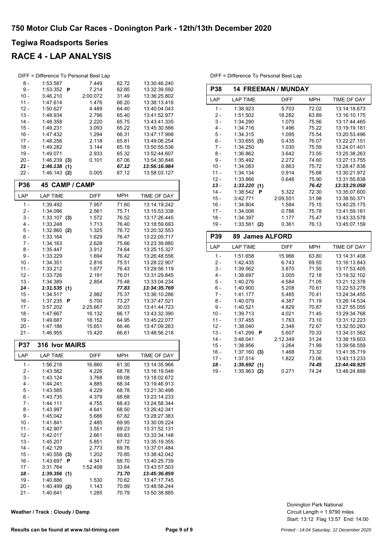### **RACE 4 - LAP ANALYSIS**

|                  | DIFF = Difference To Personal Best Lap |                   |                |                              |
|------------------|----------------------------------------|-------------------|----------------|------------------------------|
| 8 -              | 1:53.587                               | 7.449             | 62.72          | 13:30:46.240                 |
| $9 -$            | 1:53.352<br>P                          | 7.214             | 62.85          | 13:32:39.592                 |
| $10 -$           | 3:46.210                               | 2:00.072          | 31.49          | 13:36:25.802                 |
| $11 -$           | 1:47.614                               | 1.476             | 66.20          | 13:38:13.416                 |
| $12 -$<br>$13 -$ | 1:50.627                               | 4.489             | 64.40<br>65.40 | 13:40:04.043<br>13:41:52.977 |
| $14 -$           | 1:48.934<br>1:48.358                   | 2.796<br>2.220    | 65.75          | 13:43:41.335                 |
| $15 -$           | 1:49.231                               | 3.093             | 65.22          | 13:45:30.566                 |
| $16 -$           | 1:47.432                               | 1.294             | 66.31          | 13:47:17.998                 |
| $17 -$           | 1:48.256                               | 2.118             | 65.81          | 13:49:06.254                 |
| $18 -$           | 1:49.282                               | 3.144             | 65.19          | 13:50:55.536                 |
| 19 -             | 1:49.071                               | 2.933             | 65.32          | 13:52:44.607                 |
| 20 -             | 1:46.239<br>(3)                        | 0.101             | 67.06          | 13:54:30.846                 |
| 21 -             | 1:46.138<br>(1)                        |                   | 67.12          | 13:56:16.984                 |
| 22 -             | 1:46.143<br>(2)                        | 0.005             | 67.12          | 13:58:03.127                 |
| <b>P36</b>       | 45 CAMP / CAMP                         |                   |                |                              |
| LAP              | LAP TIME                               | <b>DIFF</b>       | MPH            | TIME OF DAY                  |
| $1 -$            | 1:39.492                               | 7.957             | 71.60          | 13:14:19.242                 |
| 2 -              | 1:34.096                               | 2.561             | 75.71          | 13:15:53.338                 |
| $3 -$<br>4 -     | $1:33.107$ (3)<br>1:33.248             | 1.572<br>1.713    | 76.52<br>76.40 | 13:17:26.445<br>13:18:59.693 |
| 5 -              | $1:32.860$ (2)                         | 1.325             | 76.72          | 13:20:32.553                 |
| 6 -              | 1:33.164                               | 1.629             | 76.47          | 13:22:05.717                 |
| 7 -              | 1:34.163                               | 2.628             | 75.66          | 13:23:39.880                 |
| 8 -              | 1:35.447                               | 3.912             | 74.64          | 13:25:15.327                 |
| $9 -$            | 1:33.229                               | 1.694             | 76.42          | 13:26:48.556                 |
| $10 -$           | 1:34.351                               | 2.816             | 75.51          | 13:28:22.907                 |
| $11 -$           | 1:33.212                               | 1.677             | 76.43          | 13:29:56.119                 |
| 12 -             | 1:33.726                               | 2.191             | 76.01          | 13:31:29.845                 |
| $13 -$           | 1:34.389                               | 2.854             | 75.48          | 13:33:04.234                 |
| 14 -             | 1:31.535<br>(1)                        |                   | 77.83          | 13:34:35.769                 |
| $15 -$           | 1:34.517                               | 2.982             | 75.37          | 13:36:10.286                 |
| $16 -$<br>$17 -$ | 1:37.235<br>Р<br>3:57.202              | 5.700<br>2:25.667 | 73.27          | 13:37:47.521<br>13:41:44.723 |
| $18 -$           | 1:47.667                               | 16.132            | 30.03<br>66.17 | 13:43:32.390                 |
| 19 -             | 1:49.687                               | 18.152            | 64.95          | 13:45:22.077                 |
| 20 -             | 1:47.186                               | 15.651            | 66.46          | 13:47:09.263                 |
| $21 -$           | 1:46.955                               | 15.420            | 66.61          | 13:48:56.218                 |
| <b>P37</b>       | 316 Ivor MAIRS                         |                   |                |                              |
| LAP              | <b>LAP TIME</b>                        | <b>DIFF</b>       | <b>MPH</b>     | TIME OF DAY                  |
| $1 -$            | 1:56.216                               | 16.860            | 61.30          | 13:14:35.966                 |
| $2 -$            | 1:43.582                               | 4.226             | 68.78          | 13:16:19.548                 |
| 3 -              | 1:43.124                               | 3.768             | 69.08          | 13:18:02.672                 |
| 4 -              | 1:44.241                               | 4.885             | 68.34          | 13:19:46.913                 |
| 5 -              | 1:43.585                               | 4.229             | 68.78          | 13:21:30.498                 |
| 6 -              | 1:43.735                               | 4.379             | 68.68          | 13:23:14.233                 |
| $7 -$            | 1:44.111                               | 4.755             | 68.43          | 13:24:58.344                 |
| 8 -              | 1:43.997                               | 4.641             | 68.50          | 13:26:42.341                 |
| 9 -<br>$10 -$    | 1:45.042<br>1:41.841                   | 5.686<br>2.485    | 67.82<br>69.95 | 13:28:27.383<br>13:30:09.224 |
| $11 -$           | 1:42.907                               | 3.551             | 69.23          | 13:31:52.131                 |
| $12 -$           | 1:42.017                               | 2.661             | 69.83          | 13:33:34.148                 |
| $13 -$           | 1:45.207                               | 5.851             | 67.72          | 13:35:19.355                 |
| 14 -             | 1:42.129                               | 2.773             | 69.76          | 13:37:01.484                 |
| $15 -$           | 1:40.558<br>(3)                        | 1.202             | 70.85          | 13:38:42.042                 |
| $16 -$           | 1:43.697<br>Ρ                          | 4.341             | 68.70          | 13:40:25.739                 |
| 17 -             | 3:31.764                               | 1:52.408          | 33.64          | 13:43:57.503                 |
| $18 -$           | 1:39.356(1)                            |                   | 71.70          | 13:45:36.859                 |
| 19 -             | 1:40.886                               | 1.530             | 70.62          | 13:47:17.745                 |
| 20 -<br>$21 -$   | 1:40.499 (2)<br>1:40.641               | 1.143<br>1.285    | 70.89<br>70.79 | 13:48:58.244<br>13:50:38.885 |
|                  |                                        |                   |                |                              |

| Weather / Track: Cloudy / Damp |  |  |  |
|--------------------------------|--|--|--|
|--------------------------------|--|--|--|

| <b>14 FREEMAN / MUNDAY</b><br><b>P38</b> |                 |             |            |              |  |  |
|------------------------------------------|-----------------|-------------|------------|--------------|--|--|
| LAP                                      | <b>LAP TIME</b> | <b>DIFF</b> | <b>MPH</b> | TIME OF DAY  |  |  |
| $1 -$                                    | 1:38.923        | 5.703       | 72.02      | 13:14:18.673 |  |  |
| $2 -$                                    | 1:51.502        | 18.282      | 63.89      | 13:16:10.175 |  |  |
| $3 -$                                    | 1:34.290        | 1.070       | 75.56      | 13:17:44.465 |  |  |
| $4 -$                                    | 1:34.716        | 1.496       | 75.22      | 13:19:19.181 |  |  |
| $5 -$                                    | 1:34.315        | 1.095       | 75.54      | 13:20:53.496 |  |  |
| $6 -$                                    | 1:33.655<br>(3) | 0.435       | 76.07      | 13:22:27.151 |  |  |
| $7 -$                                    | 1:34.250        | 1.030       | 75.59      | 13:24:01.401 |  |  |
| $8 -$                                    | 1:36.862        | 3.642       | 73.55      | 13:25:38.263 |  |  |
| $9 -$                                    | 1:35.492        | 2.272       | 74.60      | 13:27:13.755 |  |  |
| $10 -$                                   | 1:34.083        | 0.863       | 75.72      | 13:28:47.838 |  |  |
| $11 -$                                   | 1:34.134        | 0.914       | 75.68      | 13:30:21.972 |  |  |
| $12 -$                                   | 1:33.866        | 0.646       | 75.90      | 13:31:55.838 |  |  |
| $13 -$                                   | 1:33.220(1)     |             | 76.42      | 13:33:29.058 |  |  |
| $14 -$                                   | 1:38.542<br>Р   | 5.322       | 72.30      | 13:35:07.600 |  |  |
| $15 -$                                   | 3:42.771        | 2:09.551    | 31.98      | 13:38:50.371 |  |  |
| $16 -$                                   | 1:34.804        | 1.584       | 75.15      | 13:40:25.175 |  |  |
| $17 -$                                   | 1:34.006        | 0.786       | 75.78      | 13:41:59.181 |  |  |
| $18 -$                                   | 1:34.397        | 1.177       | 75.47      | 13:43:33.578 |  |  |
| $19 -$                                   | 1:33.581<br>(2) | 0.361       | 76.13      | 13:45:07.159 |  |  |
| P39                                      | 89 James ALFORD |             |            |              |  |  |
| LAP                                      | <b>LAP TIME</b> | <b>DIFF</b> | <b>MPH</b> | TIME OF DAY  |  |  |
| $1 -$                                    | 1:51.658        | 15.966      | 63.80      | 13:14:31.408 |  |  |
| $2 -$                                    | 1:42.435        | 6.743       | 69.55      | 13:16:13.843 |  |  |
| $3 -$                                    | 1:39.562        | 3.870       | 71.55      | 13:17:53.405 |  |  |
| $4 -$                                    | 1:38.697        | 3.005       | 72.18      | 13:19:32.102 |  |  |
| $5 -$                                    | 1:40.276        | 4.584       | 71.05      | 13:21:12.378 |  |  |
| $6 -$                                    | 1:40.900        | 5.208       | 70.61      | 13:22:53.278 |  |  |
| $7 -$                                    | 1:41.177        | 5.485       | 70.41      | 13:24:34.455 |  |  |
| $8 -$                                    | 1:40.079        | 4.387       | 71.19      | 13:26:14.534 |  |  |
| $9 -$                                    | 1:40.521        | 4.829       | 70.87      | 13:27:55.055 |  |  |

10 - 1:39.713 4.021 71.45 13:29:34.768 11 - 1:37.455 1.763 73.10 13:31:12.223<br>12 - 1:38.040 2.348 72.67 13:32:50.263 12 - 1:38.040 2.348 72.67 13:32:50.263 13 - 1:41.299 **P** 5.607 70.33 13:34:31.562<br>14 - 3:48.041 2:12.349 31.24 13:38:19.603

15 - 1:38.956 3.264 71.99 13:39:58.559<br>16 - 1:37.160 (3) 1.468 73.32 13:41:35.719 16 - 1:37.160 **(3)** 1.468 73.32 13:41:35.719<br>17 - 1:37.514 1.822 73.06 13:43:13.233 17 - 1:37.514 1.822 73.06 13:43:13.233<br>**18 - 1:35.692 (1)** 74.45 13:44:48.925 18 - 1:35.692 (1)<br>
18 - 1:35.692 (1)<br>
19 - 1:35.963 (2) 0.271 74.24 13:46:24.888

3:48.041 2:12.349

1:35.963 **(2)** 

DIFF = Difference To Personal Best Lap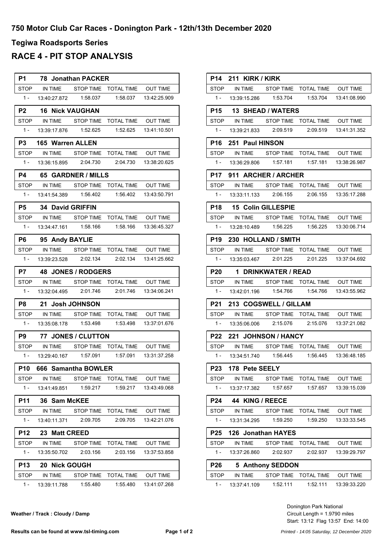### **RACE 4 - PIT STOP ANALYSIS**

| <b>P1</b>   |                           | 78 Jonathan PACKER |                                                   |                 |
|-------------|---------------------------|--------------------|---------------------------------------------------|-----------------|
|             |                           |                    | STOP IN TIME STOP TIME TOTAL TIME OUT TIME        |                 |
|             |                           |                    | 1- 13:40:27.872  1:58.037  1:58.037  13:42:25.909 |                 |
|             | P2 16 Nick VAUGHAN        |                    |                                                   |                 |
|             |                           |                    | STOP IN TIME STOP TIME TOTAL TIME                 | OUT TIME        |
|             |                           |                    | 1- 13:39:17.876  1:52.625  1:52.625  13:41:10.501 |                 |
| <b>P3</b>   | <b>165 Warren ALLEN</b>   |                    |                                                   |                 |
|             |                           |                    | STOP IN TIME STOP TIME TOTAL TIME OUT TIME        |                 |
|             |                           |                    | 1- 13:36:15.895  2:04.730  2:04.730  13:38:20.625 |                 |
| P4          | <b>65 GARDNER / MILLS</b> |                    |                                                   |                 |
|             |                           |                    | STOP IN TIME STOP TIME TOTAL TIME OUT TIME        |                 |
|             | 1 - 13:41:54.389 1:56.402 |                    |                                                   |                 |
|             | P5 34 David GRIFFIN       |                    |                                                   |                 |
|             |                           |                    | STOP IN TIME STOP TIME TOTAL TIME OUT TIME        |                 |
| $1 -$       |                           |                    | 13:34.47.161  1:58.166  1:58.166  13:36:45.327    |                 |
|             | P6 95 Andy BAYLIE         |                    |                                                   |                 |
|             |                           |                    | STOP IN TIME STOP TIME TOTAL TIME OUT TIME        |                 |
|             |                           |                    | 1- 13:39:23.528  2:02.134  2:02.134  13:41:25.662 |                 |
|             | P7 48 JONES / RODGERS     |                    |                                                   |                 |
|             |                           |                    | STOP IN TIME STOP TIME TOTAL TIME OUT TIME        |                 |
| $1 -$       |                           |                    | 13:32:04.495  2:01.746  2:01.746  13:34:06.241    |                 |
|             | P8 21 Josh JOHNSON        |                    |                                                   |                 |
|             |                           |                    | STOP IN TIME STOP TIME TOTAL TIME OUT TIME        |                 |
|             |                           |                    | 1- 13:35:08.178  1:53.498  1:53.498  13:37:01.676 |                 |
|             | P9 77 JONES / CLUTTON     |                    |                                                   |                 |
|             |                           |                    | STOP IN TIME STOP TIME TOTAL TIME OUT TIME        |                 |
|             |                           |                    |                                                   |                 |
| P10         | 666 Samantha BOWLER       |                    |                                                   |                 |
| STOP        | IN TIME                   | STOP TIME          | <b>TOTAL TIME</b>                                 | <b>OUT TIME</b> |
| $1 -$       | 13:41:49.851              | 1.59.217           | 1:59.217                                          | 13:43:49.068    |
| P11         | 36 Sam McKEE              |                    |                                                   |                 |
| <b>STOP</b> | IN TIME                   | STOP TIME          | <b>TOTAL TIME</b>                                 | <b>OUT TIME</b> |
| 1 -         | 13:40:11.371              | 2:09.705           | 2:09.705                                          | 13:42:21.076    |
| P12         | 23<br><b>Matt CREED</b>   |                    |                                                   |                 |
| STOP        | IN TIME                   | STOP TIME          | <b>TOTAL TIME</b>                                 | <b>OUT TIME</b> |
| 1 -         | 13:35:50.702              | 2:03.156           | 2:03.156                                          | 13:37:53.858    |
| <b>P13</b>  | 20 Nick GOUGH             |                    |                                                   |                 |
| STOP        | IN TIME                   | STOP TIME          | <b>TOTAL TIME</b>                                 | <b>OUT TIME</b> |
| 1 -         | 13:39:11.788              | 1:55.480           | 1:55.480                                          | 13:41:07.268    |

|                 | <b>P14 211 KIRK / KIRK</b> |                         |                                                         |                 |
|-----------------|----------------------------|-------------------------|---------------------------------------------------------|-----------------|
|                 |                            |                         | STOP IN TIME STOP TIME TOTAL TIME OUT TIME              |                 |
| $1 -$           |                            |                         | 13:39:15.286   1:53.704   1:53.704   13:41:08.990       |                 |
|                 |                            | P15 13 SHEAD / WATERS   |                                                         |                 |
|                 |                            |                         | STOP IN TIME STOP TIME TOTAL TIME OUT TIME              |                 |
| $1 -$           |                            |                         | 13:39:21.833  2:09.519  2:09.519  13:41:31.352          |                 |
| P16 I           | 251 Paul HINSON            |                         |                                                         |                 |
|                 |                            |                         | STOP IN TIME STOP TIME TOTAL TIME OUT TIME              |                 |
| $1 -$           |                            |                         | 13:36:29.806  1:57.181  1:57.181  13:38:26.987          |                 |
| <b>P17</b>      |                            | 911 ARCHER / ARCHER     |                                                         |                 |
|                 |                            |                         | STOP IN TIME STOP TIME TOTAL TIME OUT TIME              |                 |
|                 |                            |                         | 1 - 13:33:11.133   2:06.155   2:06.155   13:35:17.288   |                 |
|                 |                            | P18 15 Colin GILLESPIE  |                                                         |                 |
|                 |                            |                         | STOP IN TIME STOP TIME TOTAL TIME OUT TIME              |                 |
| $1 -$           |                            | 13:28:10.489   1:56.225 |                                                         |                 |
| P19             |                            | 230 HOLLAND / SMITH     |                                                         |                 |
| STOP            |                            |                         | IN TIME STOP TIME TOTAL TIME OUT TIME                   |                 |
| $1 -$           |                            |                         | 13:35:03.467  2:01.225  2:01.225  13:37:04.692          |                 |
|                 |                            | P20 1 DRINKWATER / READ |                                                         |                 |
|                 |                            |                         | STOP IN TIME STOP TIME TOTAL TIME OUT TIME              |                 |
| $1 -$           |                            |                         |                                                         |                 |
| P21             |                            | 213 COGSWELL / GILLAM   |                                                         |                 |
|                 |                            |                         | STOP IN TIME STOP TIME TOTAL TIME OUT TIME              |                 |
|                 |                            |                         | 1- 13:35:06.006  2:15.076  2:15.076  13:37:21.082       |                 |
| <b>P22</b>      |                            | 221 JOHNSON / HANCY     |                                                         |                 |
|                 |                            |                         | STOP IN TIME STOP TIME TOTAL TIME OUT TIME              |                 |
|                 |                            |                         | 1- 13:34:51.740    1:56.445    1:56.445    13:36:48.185 |                 |
| P23             | 178 Pete SEELY             |                         |                                                         |                 |
| <b>STOP</b>     | IN TIME                    |                         | STOP TIME TOTAL TIME                                    | OUT TIME        |
| $1 -$           | 13:37:17.382               | 1:57.657                | 1:57.657                                                | 13:39:15.039    |
| P24             |                            | 44 KING / REECE         |                                                         |                 |
| <b>STOP</b>     | IN TIME                    | <b>STOP TIME</b>        | <b>TOTAL TIME</b>                                       | <b>OUT TIME</b> |
| $1 -$           | 13:31:34.295               | 1:59.250                | 1:59.250                                                | 13:33:33.545    |
| P <sub>25</sub> |                            | 126 Jonathan HAYES      |                                                         |                 |
| <b>STOP</b>     | IN TIME                    | <b>STOP TIME</b>        | <b>TOTAL TIME</b>                                       | <b>OUT TIME</b> |
| $1 -$           | 13:37:26.860               | 2:02.937                | 2:02.937                                                | 13:39:29.797    |
| <b>P26</b>      |                            | 5 Anthony SEDDON        |                                                         |                 |
| <b>STOP</b>     | IN TIME                    | <b>STOP TIME</b>        | <b>TOTAL TIME</b>                                       | <b>OUT TIME</b> |
| $1 -$           | 13:37:41.109               | 1:52.111                | 1:52.111                                                | 13:39:33.220    |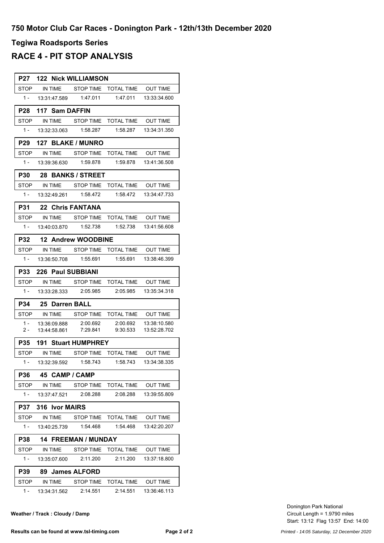### **RACE 4 - PIT STOP ANALYSIS**

| P27         |                    | <b>122 Nick WILLIAMSON</b> |                                                |                        |
|-------------|--------------------|----------------------------|------------------------------------------------|------------------------|
| STOP        | IN TIME            |                            | STOP TIME TOTAL TIME                           | <b>OUT TIME</b>        |
| $1 -$       |                    |                            | 1:47.011                                       | 13:33:34.600           |
| <b>P28</b>  |                    | 117 Sam DAFFIN             |                                                |                        |
| <b>STOP</b> |                    |                            | IN TIME STOP TIME TOTAL TIME OUT TIME          |                        |
| $1 -$       |                    |                            |                                                | 1:58.287  13:34:31.350 |
| P29         |                    | 127 BLAKE / MUNRO          |                                                |                        |
| STOP        |                    |                            | IN TIME STOP TIME TOTAL TIME OUT TIME          |                        |
| $1 -$       |                    |                            | 1:59.878                                       | 13:41:36.508           |
| <b>P30</b>  |                    | 28 BANKS / STREET          |                                                |                        |
| STOP        | IN TIME            |                            | STOP TIME TOTAL TIME                           | OUT TIME               |
| $1 -$       |                    | 13:32:49.261  1:58.472     |                                                |                        |
| P31         |                    | 22 Chris FANTANA           |                                                |                        |
| <b>STOP</b> | IN TIME            |                            | STOP TIME  TOTAL TIME  OUT TIME                |                        |
| $1 -$       |                    |                            |                                                |                        |
| <b>P32</b>  |                    | <b>12 Andrew WOODBINE</b>  |                                                |                        |
|             |                    |                            | STOP IN TIME STOP TIME TOTAL TIME OUT TIME     |                        |
| $1 -$       | 13:36:50.708       | 1:55.691                   | 1.55.691                                       | 13:38:46.399           |
| <b>P33</b>  |                    | 226 Paul SUBBIANI          |                                                |                        |
| STOP        |                    |                            | IN TIME STOP TIME TOTAL TIME                   | OUT TIME               |
| $1 -$       | 13:33:28.333       | 2:05.985                   | 2:05.985                                       | 13:35:34.318           |
| P34         |                    | 25 Darren BALL             |                                                |                        |
| STOP        |                    | IN TIME STOP TIME          | TOTAL TIME OUT TIME                            |                        |
| $1 -$       |                    |                            | 2:00.692                                       | 13:38:10.580           |
| 2 -         |                    | 13.44.58.861 7:29.841      | 9:30.533                                       | 13:52:28.702           |
| <b>P35</b>  |                    | <b>191 Stuart HUMPHREY</b> |                                                |                        |
| <b>STOP</b> | IN TIME            | STOP TIME                  | <b>TOTAL TIME</b>                              | OUT TIME               |
|             |                    |                            | 1:58.743                                       | 13:34:38.335           |
| P36         |                    | 45 CAMP / CAMP             |                                                |                        |
|             |                    |                            | STOP IN TIME STOP TIME TOTAL TIME OUT TIME     |                        |
|             |                    | 1 - 13:37:47.521 2:08.288  |                                                | 2:08.288  13:39:55.809 |
|             | P37 316 Ivor MAIRS |                            |                                                |                        |
|             |                    |                            | STOP IN TIME STOP TIME TOTAL TIME OUT TIME     |                        |
| $1 -$       |                    |                            |                                                | 1:54.468 13:42:20.207  |
|             |                    | P38 14 FREEMAN / MUNDAY    |                                                |                        |
|             |                    |                            | STOP IN TIME STOP TIME TOTAL TIME OUT TIME     |                        |
| $1 -$       |                    |                            | 13:35:07.600  2:11.200  2:11.200  13:37:18.800 |                        |
|             |                    |                            |                                                |                        |
|             |                    | P39 89 James ALFORD        |                                                |                        |
|             |                    |                            | STOP IN TIME STOP TIME TOTAL TIME OUT TIME     |                        |

**Weather / Track : Cloudy / Damp**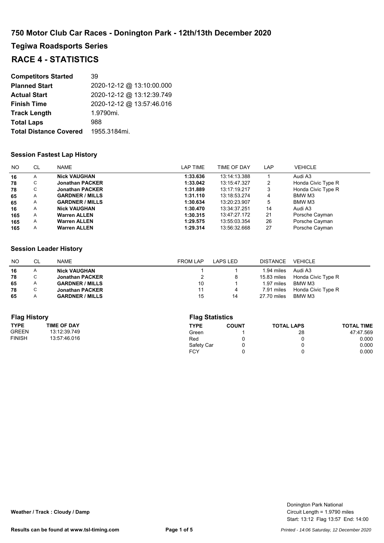**Tegiwa Roadsports Series**

### **RACE 4 - STATISTICS**

| <b>Competitors Started</b>    | 39                        |
|-------------------------------|---------------------------|
| <b>Planned Start</b>          | 2020-12-12 @ 13:10:00.000 |
| <b>Actual Start</b>           | 2020-12-12 @ 13:12:39.749 |
| <b>Finish Time</b>            | 2020-12-12 @ 13:57:46.016 |
| <b>Track Length</b>           | 1.9790mi.                 |
| <b>Total Laps</b>             | 988                       |
| <b>Total Distance Covered</b> | 1955.3184mi.              |

#### **Session Fastest Lap History**

| NO. | <b>CL</b> | <b>NAME</b>            | LAP TIME | TIME OF DAY  | LAP | <b>VEHICLE</b>     |
|-----|-----------|------------------------|----------|--------------|-----|--------------------|
| 16  | A         | <b>Nick VAUGHAN</b>    | 1:33.636 | 13:14:13.388 |     | Audi A3            |
| 78  | U.        | <b>Jonathan PACKER</b> | 1:33.042 | 13:15:47.327 | 2   | Honda Civic Type R |
| 78  |           | <b>Jonathan PACKER</b> | 1:31.889 | 13:17:19.217 | 3   | Honda Civic Type R |
| 65  | A         | <b>GARDNER / MILLS</b> | 1:31.110 | 13:18:53.274 | 4   | BMW M3             |
| 65  | A         | <b>GARDNER / MILLS</b> | 1:30.634 | 13:20:23.907 | 5   | BMW M3             |
| 16  | A         | <b>Nick VAUGHAN</b>    | 1:30.470 | 13:34:37.251 | 14  | Audi A3            |
| 165 | A         | <b>Warren ALLEN</b>    | 1:30.315 | 13:47:27.172 | 21  | Porsche Cayman     |
| 165 | A         | <b>Warren ALLEN</b>    | 1:29.575 | 13:55:03.354 | 26  | Porsche Cayman     |
| 165 | A         | <b>Warren ALLEN</b>    | 1:29.314 | 13:56:32.668 | 27  | Porsche Cayman     |

#### **Session Leader History**

| NO. | CL            | NAME                   | <b>FROM LAP</b> | LAPS LED | DISTANCE    | VEHICLE            |
|-----|---------------|------------------------|-----------------|----------|-------------|--------------------|
| 16  | A             | <b>Nick VAUGHAN</b>    |                 |          | 1.94 miles  | Audi A3            |
| 78  | $\mathsf{C}$  | <b>Jonathan PACKER</b> |                 |          | 15.83 miles | Honda Civic Type R |
| 65  | A             | <b>GARDNER / MILLS</b> | 10              |          | 1.97 miles  | BMW M3             |
| 78  | $\mathcal{C}$ | <b>Jonathan PACKER</b> | 11              | 4        | 7.91 miles  | Honda Civic Type R |
| 65  |               | <b>GARDNER / MILLS</b> | 15              | 14       | 27.70 miles | BMW M3             |

| <b>Flag History</b> |                    |            | <b>Flag Statistics</b> |                   |                   |  |  |
|---------------------|--------------------|------------|------------------------|-------------------|-------------------|--|--|
| <b>TYPE</b>         | <b>TIME OF DAY</b> | TYPE       | <b>COUNT</b>           | <b>TOTAL LAPS</b> | <b>TOTAL TIME</b> |  |  |
| <b>GREEN</b>        | 13:12:39.749       | Green      |                        | 28                | 47:47.569         |  |  |
| <b>FINISH</b>       | 13:57:46.016       | Red        |                        |                   | 0.000             |  |  |
|                     |                    | Safety Car |                        |                   | 0.000             |  |  |
|                     |                    | <b>FCY</b> |                        |                   | 0.000             |  |  |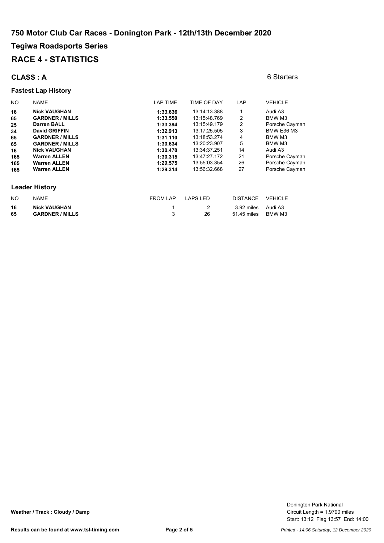### **Tegiwa Roadsports Series RACE 4 - STATISTICS**

#### **CLASS : A** 6 Starters

#### **Fastest Lap History**

#### NO NAME **NAME** NAME TIME TIME OF DAY LAP VEHICLE **16 Nick VAUGHAN 1:33.636 1:33.636 1:33.636 1:4:13.388** 1 Audi A3<br>**1:33.550 1:33.550 1:5:48.769** 2 **BMW** M3 **65 GARDNER / MILLS 1:33.550** 13:15:48.769 2<br>**25 Darren BALL 1:33.394** 13:15:49.179 2 **251 1:33.394 13:15:49.179 11:33.394 Darren BALL Principle Cayman<br>
<b>2511:25.505 11:17:25.505 12:050 BMW E36 M3 34 David GRIFFIN 1:32.913** 13:17:25.505 3 BMW E36 M3 **65 GARDNER / MILLS 1:31.110** 13:18:53.274 4 BMW M3 **65 GARDNER / MILLS 1:30.634** 13:20:23.907 5 BMW M3 **16 Nick VAUGHAN 1:30.470** 13:34:37.251 14 Audi A3 **165 Warren ALLEN 1:30.315** 13:47:27.172 21 Porsche Cayman **165 Warren ALLEN 1:29.575** 13:55:03.354 26 Porsche Cayman **165 Warren ALLEN 1:29.314** 13:56:32.668 27 Porsche Cayman **Leader History**

| <b>NO</b> | <b>NAME</b>            | FROM LAP | LAPS LED | <b>DISTANCE</b> | VEHICLE |
|-----------|------------------------|----------|----------|-----------------|---------|
| 16        | <b>Nick VAUGHAN</b>    |          |          | 3.92 miles      | Audi A3 |
| 65        | <b>GARDNER / MILLS</b> |          | 26       | 51.45 miles     | BMW M3  |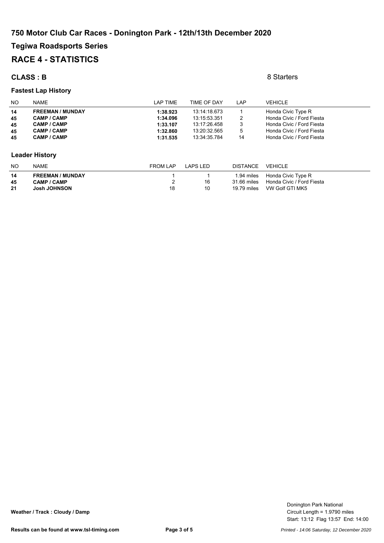### **Tegiwa Roadsports Series RACE 4 - STATISTICS**

#### **CLASS : B** 8 Starters

#### **Fastest Lap History**

| <b>NO</b>             | <b>NAME</b>             | LAP TIME        | TIME OF DAY  | LAP             | <b>VEHICLE</b>            |  |
|-----------------------|-------------------------|-----------------|--------------|-----------------|---------------------------|--|
| 14                    | <b>FREEMAN / MUNDAY</b> | 1:38.923        | 13:14:18.673 |                 | Honda Civic Type R        |  |
| 45                    | <b>CAMP / CAMP</b>      | 1:34.096        | 13:15:53.351 | 2               | Honda Civic / Ford Fiesta |  |
| 45                    | CAMP / CAMP             | 1:33.107        | 13:17:26.458 | 3               | Honda Civic / Ford Fiesta |  |
| 45                    | CAMP / CAMP             | 1:32.860        | 13:20:32.565 | 5               | Honda Civic / Ford Fiesta |  |
| 45                    | CAMP / CAMP             | 1:31.535        | 13:34:35.784 | 14              | Honda Civic / Ford Fiesta |  |
|                       |                         |                 |              |                 |                           |  |
| <b>Leader History</b> |                         |                 |              |                 |                           |  |
| <b>NO</b>             | <b>NAME</b>             | <b>FROM LAP</b> | LAPS LED     | <b>DISTANCE</b> | <b>VEHICLE</b>            |  |

| 14 | <b>FREEMAN / MUNDAY</b> |  | 1.94 miles  | Honda Civic Type R        |
|----|-------------------------|--|-------------|---------------------------|
| 45 | <b>CAMP / CAMP</b>      |  | 31.66 miles | Honda Civic / Ford Fiesta |
| 21 | <b>Josh JOHNSON</b>     |  | 19.79 miles | VW Golf GTI MK5           |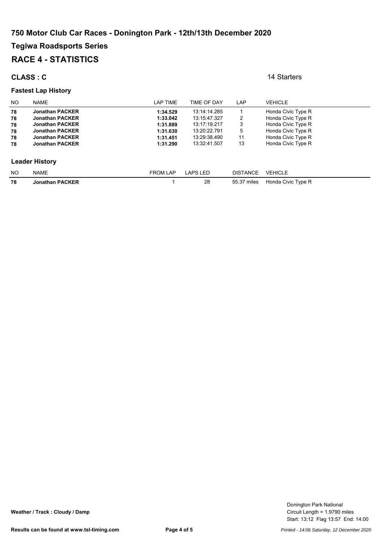## **Tegiwa Roadsports Series**

### **RACE 4 - STATISTICS**

#### **CLASS : C** 14 Starters

#### **Fastest Lap History**

| NO.                   | <b>NAME</b>            | LAP TIME        | TIME OF DAY     | LAP             | <b>VEHICLE</b>     |  |
|-----------------------|------------------------|-----------------|-----------------|-----------------|--------------------|--|
| 78                    | <b>Jonathan PACKER</b> | 1:34.529        | 13:14:14.285    |                 | Honda Civic Type R |  |
| 78                    | <b>Jonathan PACKER</b> | 1:33.042        | 13:15:47.327    | 2               | Honda Civic Type R |  |
| 78                    | <b>Jonathan PACKER</b> | 1:31.889        | 13:17:19.217    | 3               | Honda Civic Type R |  |
| 78                    | <b>Jonathan PACKER</b> | 1:31.630        | 13:20:22.791    | 5               | Honda Civic Type R |  |
| 78                    | <b>Jonathan PACKER</b> | 1:31.451        | 13:29:38.490    | 11              | Honda Civic Type R |  |
| 78                    | <b>Jonathan PACKER</b> | 1:31.290        | 13:32:41.507    | 13              | Honda Civic Type R |  |
| <b>Leader History</b> |                        |                 |                 |                 |                    |  |
| NO.                   | <b>NAME</b>            | <b>FROM LAP</b> | <b>LAPS LED</b> | <b>DISTANCE</b> | <b>VEHICLE</b>     |  |
| 78                    | <b>Jonathan PACKER</b> |                 | 28              | 55.37 miles     | Honda Civic Type R |  |